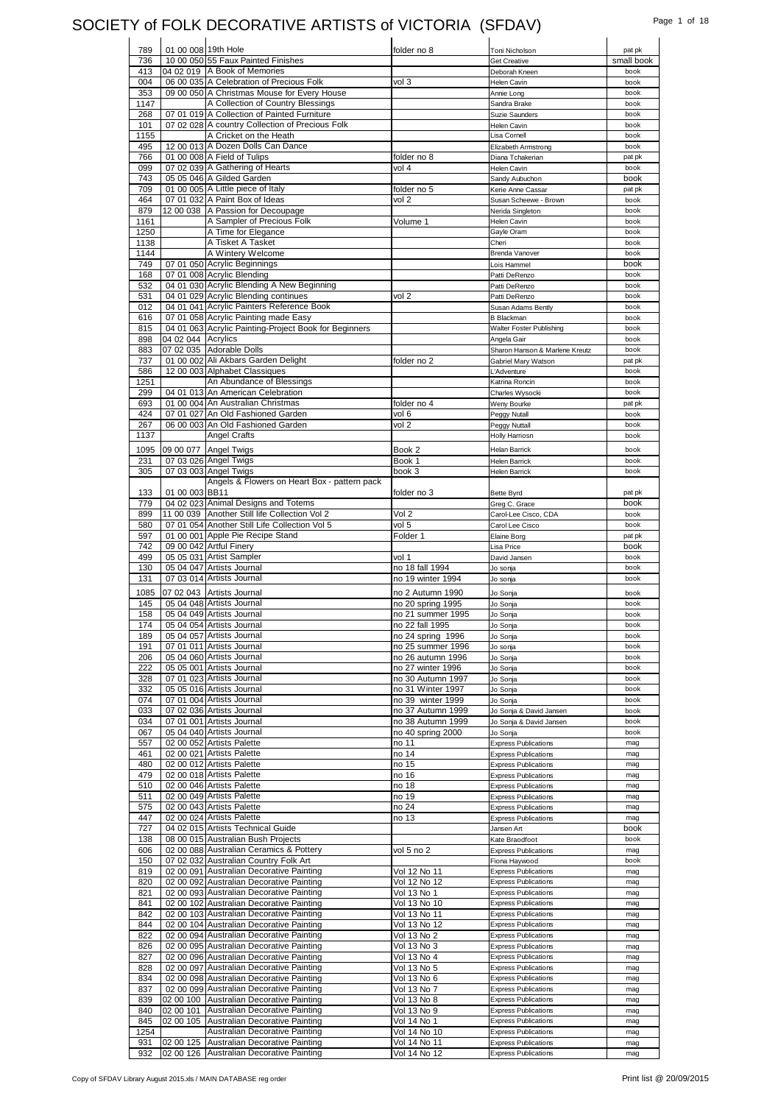### SOCIETY of FOLK DECORATIVE ARTISTS of VICTORIA (SFDAV) Page 1 of 18

| 789  | 01 00 008 19th Hole |                                                       | folder no 8       | Toni Nicholson                 | pat pk     |
|------|---------------------|-------------------------------------------------------|-------------------|--------------------------------|------------|
| 736  |                     | 10 00 050 55 Faux Painted Finishes                    |                   | <b>Get Creative</b>            | small book |
|      |                     |                                                       |                   |                                |            |
| 413  |                     | 04 02 019 A Book of Memories                          |                   | Deborah Kneen                  | book       |
| 004  |                     | 06 00 035 A Celebration of Precious Folk              | vol 3             | <b>Helen Cavin</b>             | book       |
| 353  |                     | 09 00 050 A Christmas Mouse for Every House           |                   | Annie Long                     | book       |
| 1147 |                     | A Collection of Country Blessings                     |                   | Sandra Brake                   | book       |
| 268  |                     | 07 01 019 A Collection of Painted Furniture           |                   | Suzie Saunders                 | book       |
|      |                     |                                                       |                   |                                |            |
| 101  |                     | 07 02 028 A country Collection of Precious Folk       |                   | <b>Helen Cavin</b>             | book       |
| 1155 |                     | A Cricket on the Heath                                |                   | Lisa Cornell                   | book       |
| 495  |                     | 12 00 013 A Dozen Dolls Can Dance                     |                   | Elizabeth Armstrong            | book       |
| 766  |                     | 01 00 008 A Field of Tulips                           | folder no 8       | Diana Tchakerian               | pat pk     |
|      |                     | 07 02 039 A Gathering of Hearts                       |                   |                                | book       |
| 099  |                     |                                                       | vol 4             | Helen Cavin                    |            |
| 743  |                     | 05 05 046 A Gilded Garden                             |                   | Sandy Aubuchon                 | book       |
| 709  |                     | 01 00 005 A Little piece of Italy                     | folder no 5       | Kerie Anne Cassar              | pat pk     |
|      |                     | 07 01 032 A Paint Box of Ideas                        |                   |                                |            |
| 464  |                     |                                                       | vol 2             | Susan Scheewe - Brown          | book       |
| 879  |                     | 12 00 038 A Passion for Decoupage                     |                   | Nerida Singleton               | book       |
| 1161 |                     | A Sampler of Precious Folk                            | Volume 1          | Helen Cavin                    | book       |
| 1250 |                     | A Time for Elegance                                   |                   | Gayle Oram                     | book       |
|      |                     |                                                       |                   |                                |            |
| 1138 |                     | A Tisket A Tasket                                     |                   | Cheri                          | book       |
| 1144 |                     | A Wintery Welcome                                     |                   | Brenda Vanover                 | book       |
| 749  |                     | 07 01 050 Acrylic Beginnings                          |                   | Lois Hammel                    | book       |
| 168  |                     | 07 01 008 Acrylic Blending                            |                   | Patti DeRenzo                  | book       |
|      |                     |                                                       |                   |                                |            |
| 532  |                     | 04 01 030 Acrylic Blending A New Beginning            |                   | Patti DeRenzo                  | book       |
| 531  |                     | 04 01 029 Acrylic Blending continues                  | vol 2             | Patti DeRenzo                  | book       |
| 012  |                     | 04 01 041 Acrylic Painters Reference Book             |                   | Susan Adams Bently             | book       |
|      |                     |                                                       |                   |                                |            |
| 616  |                     | 07 01 058 Acrylic Painting made Easy                  |                   | <b>B</b> Blackman              | book       |
| 815  |                     | 04 01 063 Acrylic Painting-Project Book for Beginners |                   | Walter Foster Publishing       | book       |
| 898  | 04 02 044 Acrylics  |                                                       |                   | Angela Gair                    | book       |
|      |                     |                                                       |                   |                                |            |
| 883  |                     | 07 02 035 Adorable Dolls                              |                   | Sharon Hanson & Marlene Kreutz | book       |
| 737  |                     | 01 00 002 Ali Akbars Garden Delight                   | folder no 2       | Gabriel Mary Watson            | pat pk     |
| 586  |                     | 12 00 003 Alphabet Classiques                         |                   | L'Adventure                    | book       |
| 1251 |                     | An Abundance of Blessings                             |                   | Katrina Roncin                 | book       |
|      |                     |                                                       |                   |                                |            |
| 299  |                     | 04 01 013 An American Celebration                     |                   | Charles Wysocki                | book       |
| 693  |                     | 01 00 004 An Australian Christmas                     | folder no 4       | Weny Bourke                    | pat pk     |
| 424  |                     | 07 01 027 An Old Fashioned Garden                     | vol 6             | Peggy Nutall                   | book       |
|      |                     |                                                       | vol <sub>2</sub>  |                                |            |
| 267  |                     | 06 00 003 An Old Fashioned Garden                     |                   | Peggy Nuttall                  | book       |
| 1137 |                     | Angel Crafts                                          |                   | <b>Holly Harriosn</b>          | book       |
| 1095 |                     |                                                       |                   |                                | book       |
|      |                     | 09 00 077 Angel Twigs                                 | Book 2            | Helan Barrick                  |            |
| 231  |                     | 07 03 026 Angel Twigs                                 | Book 1            | <b>Helen Barrick</b>           | book       |
| 305  |                     | 07 03 003 Angel Twigs                                 | book 3            | <b>Helen Barrick</b>           | book       |
|      |                     | Angels & Flowers on Heart Box - pattern pack          |                   |                                |            |
|      |                     |                                                       |                   |                                |            |
| 133  | 01 00 003 BB11      |                                                       | folder no 3       | <b>Bette Byrd</b>              | pat pk     |
| 779  |                     | 04 02 023 Animal Designs and Totems                   |                   | Greg C. Grace                  | book       |
| 899  |                     | 11 00 039 Another Still life Collection Vol 2         | Vol 2             | Carol-Lee Cisco, CDA           | book       |
|      |                     |                                                       |                   |                                |            |
| 580  |                     | 07 01 054 Another Still Life Collection Vol 5         | vol 5             | Carol Lee Cisco                | book       |
| 597  |                     | 01 00 001 Apple Pie Recipe Stand                      | Folder 1          | Elaine Borg                    | pat pk     |
| 742  |                     | 09 00 042 Artful Finery                               |                   | Lisa Price                     | book       |
|      |                     |                                                       |                   |                                |            |
|      |                     |                                                       |                   |                                |            |
| 499  |                     | 05 05 031 Artist Sampler                              | vol 1             | David Jansen                   | book       |
| 130  |                     | 05 04 047 Artists Journal                             | no 18 fall 1994   | Jo sonja                       | book       |
| 131  |                     | 07 03 014 Artists Journal                             | no 19 winter 1994 | Jo sonja                       | book       |
|      |                     |                                                       |                   |                                |            |
| 1085 |                     | 07 02 043 Artists Journal                             | no 2 Autumn 1990  | Jo Sonja                       | book       |
| 145  |                     | 05 04 048 Artists Journal                             | no 20 spring 1995 | Jo Sonja                       | book       |
| 158  |                     | 05 04 049 Artists Journal                             | no 21 summer 1995 | Jo Sonja                       | book       |
|      |                     |                                                       |                   |                                | book       |
| 174  |                     | 05 04 054 Artists Journal                             | no 22 fall 1995   | Jo Sonja                       |            |
| 189  |                     | 05 04 057 Artists Journal                             | no 24 spring 1996 | Jo Sonja                       | book       |
| 191  |                     | 07 01 011 Artists Journal                             | no 25 summer 1996 | Jo sonja                       | book       |
| 206  |                     | 05 04 060 Artists Journal                             | no 26 autumn 1996 | Jo Sonja                       | book       |
|      |                     |                                                       | no 27 winter 1996 |                                | book       |
| 222  |                     | 05 05 001 Artists Journal                             |                   | Jo Sonja                       |            |
| 328  |                     | 07 01 023 Artists Journal                             | no 30 Autumn 1997 | Jo Sonja                       | book       |
| 332  |                     | 05 05 016 Artists Journal                             | no 31 Winter 1997 | Jo Sonja                       | book       |
| 074  |                     | 07 01 004 Artists Journal                             | no 39 winter 1999 | Jo Sonja                       | book       |
|      |                     |                                                       |                   |                                | book       |
| 033  |                     | 07 02 036 Artists Journal                             | no 37 Autumn 1999 | Jo Sonja & David Jansen        |            |
| 034  |                     | 07 01 001 Artists Journal                             | no 38 Autumn 1999 | Jo Sonja & David Jansen        | book       |
| 067  |                     | 05 04 040 Artists Journal                             | no 40 spring 2000 | Jo Sonja                       | book       |
| 557  |                     | 02 00 052 Artists Palette                             | no 11             | <b>Express Publications</b>    | mag        |
|      |                     |                                                       |                   |                                | mag        |
| 461  |                     | 02 00 021 Artists Palette                             | no 14             | <b>Express Publications</b>    |            |
| 480  |                     | 02 00 012 Artists Palette                             | no 15             | <b>Express Publications</b>    | mag        |
| 479  |                     | 02 00 018 Artists Palette                             | no 16             | <b>Express Publications</b>    | mag        |
| 510  |                     | 02 00 046 Artists Palette                             | no 18             | <b>Express Publications</b>    | mag        |
|      |                     |                                                       |                   |                                |            |
| 511  |                     | 02 00 049 Artists Palette                             | no 19             | <b>Express Publications</b>    | mag        |
| 575  |                     | 02 00 043 Artists Palette                             | no 24             | <b>Express Publications</b>    | mag        |
| 447  |                     | 02 00 024 Artists Palette                             | no 13             | <b>Express Publications</b>    | mag        |
| 727  |                     | 04 02 015 Artists Technical Guide                     |                   | Jansen Art                     | book       |
|      |                     |                                                       |                   |                                |            |
| 138  |                     | 08 00 015 Australian Bush Projects                    |                   | Kate Braodfoot                 | book       |
| 606  |                     | 02 00 088 Australian Ceramics & Pottery               | vol 5 no 2        | <b>Express Publications</b>    | mag        |
| 150  |                     | 07 02 032 Australian Country Folk Art                 |                   | Fiona Haywood                  | book       |
| 819  |                     | 02 00 091 Australian Decorative Painting              | Vol 12 No 11      | <b>Express Publications</b>    | mag        |
|      |                     |                                                       |                   |                                |            |
| 820  |                     | 02 00 092 Australian Decorative Painting              | Vol 12 No 12      | <b>Express Publications</b>    | mag        |
| 821  |                     | 02 00 093 Australian Decorative Painting              | Vol 13 No 1       | <b>Express Publications</b>    | mag        |
| 841  |                     | 02 00 102 Australian Decorative Painting              | Vol 13 No 10      | <b>Express Publications</b>    | mag        |
|      |                     |                                                       |                   |                                |            |
| 842  |                     | 02 00 103 Australian Decorative Painting              | Vol 13 No 11      | <b>Express Publications</b>    | mag        |
| 844  |                     | 02 00 104 Australian Decorative Painting              | Vol 13 No 12      | <b>Express Publications</b>    | mag        |
| 822  |                     | 02 00 094 Australian Decorative Painting              | Vol 13 No 2       | <b>Express Publications</b>    | mag        |
|      |                     |                                                       |                   |                                |            |
| 826  |                     | 02 00 095 Australian Decorative Painting              | Vol 13 No 3       | <b>Express Publications</b>    | mag        |
| 827  |                     | 02 00 096 Australian Decorative Painting              | Vol 13 No 4       | <b>Express Publications</b>    | mag        |
| 828  |                     | 02 00 097 Australian Decorative Painting              | Vol 13 No 5       | <b>Express Publications</b>    | mag        |
| 834  |                     |                                                       |                   | <b>Express Publications</b>    | mag        |
|      |                     | 02 00 098 Australian Decorative Painting              | Vol 13 No 6       |                                |            |
| 837  |                     | 02 00 099 Australian Decorative Painting              | Vol 13 No 7       | <b>Express Publications</b>    | mag        |
| 839  |                     | 02 00 100 Australian Decorative Painting              | Vol 13 No 8       | <b>Express Publications</b>    | mag        |
| 840  |                     |                                                       |                   | <b>Express Publications</b>    | mag        |
|      |                     | 02 00 101 Australian Decorative Painting              | Vol 13 No 9       |                                |            |
| 845  |                     | 02 00 105 Australian Decorative Painting              | Vol 14 No 1       | <b>Express Publications</b>    | mag        |
| 1254 |                     | Australian Decorative Painting                        | Vol 14 No 10      | <b>Express Publications</b>    | mag        |
| 931  |                     | 02 00 125 Australian Decorative Painting              | Vol 14 No 11      | <b>Express Publications</b>    | mag        |
| 932  |                     | 02 00 126 Australian Decorative Painting              | Vol 14 No 12      | <b>Express Publications</b>    | mag        |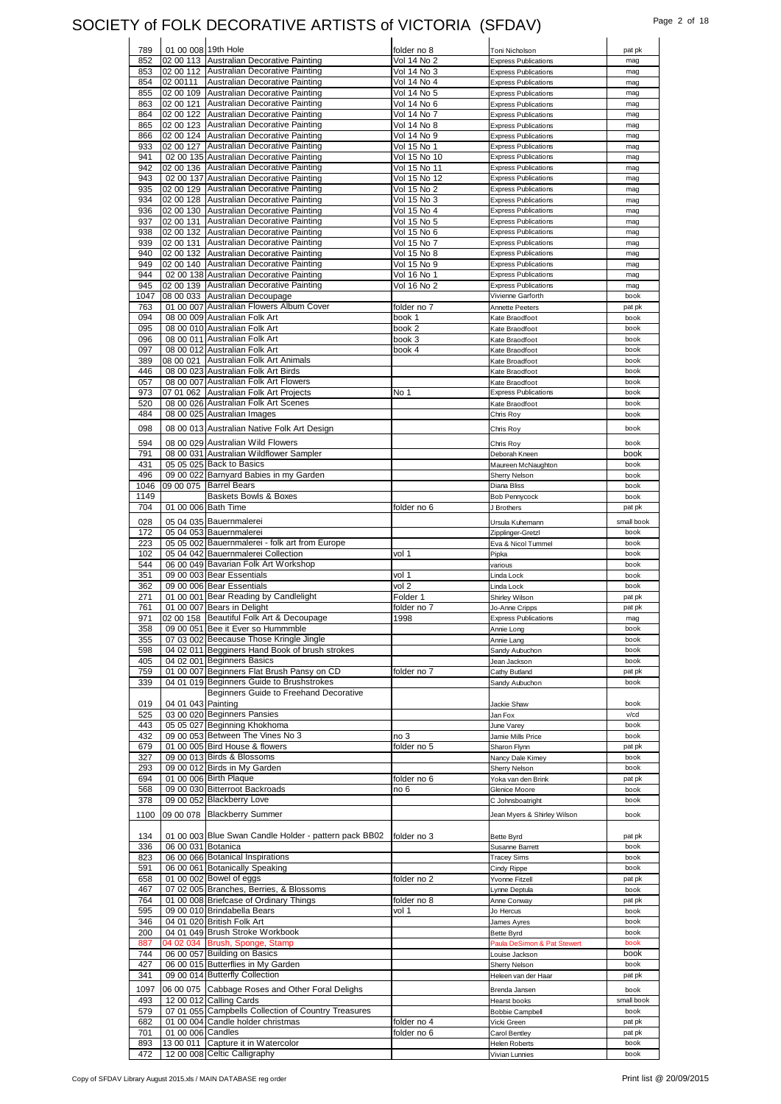## SOCIETY of FOLK DECORATIVE ARTISTS of VICTORIA (SFDAV) Page 2 of 18<br>  $\begin{array}{ccc} \n\end{array}$

| 789        | 01 00 008 19th Hole |                                                                            | folder no 8                  | Toni Nicholson                                             | pat pk             |
|------------|---------------------|----------------------------------------------------------------------------|------------------------------|------------------------------------------------------------|--------------------|
| 852        |                     | 02 00 113 Australian Decorative Painting                                   | Vol 14 No 2                  | <b>Express Publications</b>                                | mag                |
| 853        |                     | 02 00 112 Australian Decorative Painting                                   | Vol 14 No 3                  | <b>Express Publications</b>                                | mag                |
| 854        | 02 00111            | Australian Decorative Painting                                             | Vol 14 No 4                  | <b>Express Publications</b>                                | mag                |
| 855        |                     | 02 00 109 Australian Decorative Painting                                   | Vol 14 No 5                  | <b>Express Publications</b>                                | mag                |
| 863        |                     | 02 00 121 Australian Decorative Painting                                   | Vol 14 No 6                  | <b>Express Publications</b>                                | mag                |
| 864        |                     | 02 00 122 Australian Decorative Painting                                   | Vol 14 No 7                  | <b>Express Publications</b>                                | mag                |
| 865        |                     | 02 00 123 Australian Decorative Painting                                   | Vol 14 No 8                  | <b>Express Publications</b>                                | mag                |
| 866        |                     | 02 00 124 Australian Decorative Painting<br>Australian Decorative Painting | Vol 14 No 9                  | <b>Express Publications</b>                                | mag                |
| 933        | 02 00 127           | 02 00 135 Australian Decorative Painting                                   | Vol 15 No 1                  | <b>Express Publications</b>                                | mag                |
| 941<br>942 | 02 00 136           | Australian Decorative Painting                                             | Vol 15 No 10                 | <b>Express Publications</b><br><b>Express Publications</b> | mag<br>mag         |
| 943        |                     | 02 00 137 Australian Decorative Painting                                   | Vol 15 No 11<br>Vol 15 No 12 | <b>Express Publications</b>                                |                    |
| 935        |                     | 02 00 129 Australian Decorative Painting                                   | Vol 15 No 2                  | <b>Express Publications</b>                                | mag<br>mag         |
| 934        |                     | 02 00 128 Australian Decorative Painting                                   | Vol 15 No 3                  | <b>Express Publications</b>                                | mag                |
| 936        |                     | 02 00 130 Australian Decorative Painting                                   | Vol 15 No 4                  | <b>Express Publications</b>                                | mag                |
| 937        |                     | 02 00 131 Australian Decorative Painting                                   | Vol 15 No 5                  | <b>Express Publications</b>                                | mag                |
| 938        |                     | 02 00 132 Australian Decorative Painting                                   | Vol 15 No 6                  | <b>Express Publications</b>                                | mag                |
| 939        | 02 00 131           | Australian Decorative Painting                                             | Vol 15 No 7                  | <b>Express Publications</b>                                | mag                |
| 940        |                     | 02 00 132 Australian Decorative Painting                                   | Vol 15 No 8                  | <b>Express Publications</b>                                | mag                |
| 949        |                     | 02 00 140 Australian Decorative Painting                                   | Vol 15 No 9                  | <b>Express Publications</b>                                | mag                |
| 944        |                     | 02 00 138 Australian Decorative Painting                                   | Vol 16 No 1                  | <b>Express Publications</b>                                | mag                |
| 945        |                     | 02 00 139 Australian Decorative Painting                                   | Vol 16 No 2                  | <b>Express Publications</b>                                | mag                |
| 1047       |                     | 08 00 033 Australian Decoupage                                             |                              | Vivienne Garforth                                          | book               |
| 763        |                     | 01 00 007 Australian Flowers Album Cover                                   | folder no 7                  | <b>Annette Peeters</b>                                     | pat pk             |
| 094        |                     | 08 00 009 Australian Folk Art                                              | book 1                       | Kate Braodfoot                                             | book               |
| 095        |                     | 08 00 010 Australian Folk Art                                              | book 2                       | Kate Braodfoot                                             | book               |
| 096        |                     | 08 00 011 Australian Folk Art                                              | book 3                       | Kate Braodfoot                                             | book               |
| 097        |                     | 08 00 012 Australian Folk Art                                              | book 4                       | Kate Braodfoot                                             | book               |
| 389        | 08 00 021           | Australian Folk Art Animals                                                |                              | Kate Broadfoot                                             | book               |
| 446        |                     | 08 00 023 Australian Folk Art Birds                                        |                              | Kate Braodfoot                                             | book               |
| 057        |                     | 08 00 007 Australian Folk Art Flowers                                      |                              | Kate Braodfoot                                             | book               |
| 973        |                     | 07 01 062 Australian Folk Art Projects                                     | No 1                         | <b>Express Publications</b>                                | book               |
| 520        |                     | 08 00 026 Australian Folk Art Scenes                                       |                              | Kate Braodfoot                                             | book               |
| 484        |                     | 08 00 025 Australian Images                                                |                              | Chris Roy                                                  | book               |
| 098        |                     | 08 00 013 Australian Native Folk Art Design                                |                              | Chris Roy                                                  | book               |
| 594        |                     | 08 00 029 Australian Wild Flowers                                          |                              | Chris Roy                                                  | book               |
| 791        |                     | 08 00 031 Australian Wildflower Sampler                                    |                              | Deborah Kneen                                              | book               |
| 431        |                     | 05 05 025 Back to Basics                                                   |                              | Maureen McNaughton                                         | book               |
| 496        |                     | 09 00 022 Barnyard Babies in my Garden                                     |                              | Sherry Nelson                                              | book               |
| 1046       |                     | 09 00 075 Barrel Bears                                                     |                              | Diana Bliss                                                | book               |
| 1149       |                     | Baskets Bowls & Boxes                                                      |                              | Bob Pennycock                                              | book               |
| 704        |                     | 01 00 006 Bath Time                                                        | folder no 6                  | J Brothers                                                 | pat pk             |
| 028        |                     |                                                                            |                              |                                                            |                    |
| 172        |                     | 05 04 035 Bauernmalerei<br>05 04 053 Bauernmalerei                         |                              | Ursula Kuhemann                                            | small book<br>book |
| 223        |                     | 05 05 002 Bauernmalerei - folk art from Europe                             |                              | Zipplinger-Gretzl<br>Eva & Nicol Tummel                    | book               |
|            |                     |                                                                            |                              |                                                            | book               |
|            |                     |                                                                            |                              |                                                            |                    |
| 102        |                     | 05 04 042 Bauernmalerei Collection                                         | vol 1                        | Pipka                                                      |                    |
| 544        |                     | 06 00 049 Bavarian Folk Art Workshop<br>09 00 003 Bear Essentials          |                              | various                                                    | book<br>book       |
| 351<br>362 |                     | 09 00 006 Bear Essentials                                                  | vol 1<br>vol 2               | Linda Lock                                                 | book               |
| 271        |                     | 01 00 001 Bear Reading by Candlelight                                      | Folder 1                     | Linda Lock                                                 | pat pk             |
| 761        |                     | 01 00 007 Bears in Delight                                                 | folder no 7                  | Shirley Wilson<br>Jo-Anne Cripps                           | pat pk             |
| 971        |                     | 02 00 158 Beautiful Folk Art & Decoupage                                   | 1998                         | <b>Express Publications</b>                                | mag                |
| 358        |                     | 09 00 051 Bee it Ever so Hummmble                                          |                              | Annie Long                                                 | book               |
| 355        |                     | 07 03 002 Beecause Those Kringle Jingle                                    |                              | Annie Lang                                                 | book               |
| 598        |                     | 04 02 011 Begginers Hand Book of brush strokes                             |                              | Sandy Aubuchon                                             | book               |
| 405        |                     | 04 02 001 Beginners Basics                                                 |                              | Jean Jackson                                               | book               |
| 759        |                     | 01 00 007 Beginners Flat Brush Pansy on CD                                 | folder no 7                  | Cathy Butland                                              | pat pk             |
| 339        |                     | 04 01 019 Beginners Guide to Brushstrokes                                  |                              | Sandy Aubuchon                                             | book               |
|            |                     | Beginners Guide to Freehand Decorative                                     |                              |                                                            |                    |
| 019        | 04 01 043 Painting  |                                                                            |                              | Jackie Shaw                                                | book               |
| 525        |                     | 03 00 020 Beginners Pansies                                                |                              | Jan Fox                                                    | v/cd               |
| 443        |                     | 05 05 027 Beginning Khokhoma                                               |                              | June Varey                                                 | book               |
| 432        |                     | 09 00 053 Between The Vines No 3                                           | no 3                         | Jamie Mills Price                                          | book               |
| 679        |                     | 01 00 005 Bird House & flowers                                             | folder no 5                  | Sharon Flynn                                               | pat pk             |
| 327        |                     | 09 00 013 Birds & Blossoms                                                 |                              | Nancy Dale Kimey                                           | book               |
| 293        |                     | 09 00 012 Birds in My Garden                                               |                              | Sherry Nelson                                              | book               |
| 694        |                     | 01 00 006 Birth Plaque                                                     | folder no 6                  | Yoka van den Brink                                         | pat pk             |
| 568        |                     | 09 00 030 Bitterroot Backroads                                             | no 6                         | Glenice Moore                                              | book               |
| 378        |                     | 09 00 052 Blackberry Love                                                  |                              | C Johnsboatright                                           | book               |
| 1100       |                     | 09 00 078 Blackberry Summer                                                |                              | Jean Myers & Shirley Wilson                                | book               |
|            |                     |                                                                            |                              |                                                            |                    |
| 134        |                     | 01 00 003 Blue Swan Candle Holder - pattern pack BB02                      | folder no 3                  | Bette Byrd                                                 | pat pk             |
| 336        | 06 00 031 Botanica  |                                                                            |                              | Susanne Barrett                                            | book               |
| 823        |                     | 06 00 066 Botanical Inspirations                                           |                              | <b>Tracey Sims</b>                                         | book               |
| 591        |                     | 06 00 061 Botanically Speaking                                             |                              | Cindy Rippe                                                | book               |
| 658        |                     | 01 00 002 Bowel of eggs                                                    | folder no 2                  | Yvonne Fitzell                                             | pat pk             |
| 467        |                     | 07 02 005 Branches, Berries, & Blossoms                                    |                              | Lynne Deptula                                              | book               |
| 764        |                     | 01 00 008 Briefcase of Ordinary Things                                     | folder no 8                  | Anne Conway                                                | pat pk             |
| 595        |                     | 09 00 010 Brindabella Bears                                                | vol 1                        | Jo Hercus                                                  | book               |
| 346        |                     | 04 01 020 British Folk Art                                                 |                              | James Ayres                                                | book               |
| 200        |                     | 04 01 049 Brush Stroke Workbook                                            |                              | <b>Bette Byrd</b>                                          | book               |
| 887        |                     | 04 02 034 Brush, Sponge, Stamp                                             |                              | Paula DeSimon & Pat Stewert                                | book<br>book       |
| 744        |                     | 06 00 057 Building on Basics                                               |                              | Louise Jackson                                             |                    |
| 427        |                     | 06 00 015 Butterflies in My Garden                                         |                              | Sherry Nelson                                              | book               |
| 341        |                     | 09 00 014 Butterfly Collection                                             |                              | Heleen van der Haar                                        | pat pk             |
| 1097       |                     | 06 00 075 Cabbage Roses and Other Foral Delighs                            |                              | Brenda Jansen                                              | book               |
| 493        |                     | 12 00 012 Calling Cards                                                    |                              | Hearst books                                               | small book         |
| 579        |                     | 07 01 055 Campbells Collection of Country Treasures                        |                              | <b>Bobbie Campbell</b>                                     | book               |
| 682        |                     | 01 00 004 Candle holder christmas                                          | folder no 4                  | Vicki Green                                                | pat pk             |
| 701        | 01 00 006 Candles   |                                                                            | folder no 6                  | Carol Bentley                                              | pat pk             |
| 893<br>472 |                     | 13 00 011 Capture it in Watercolor<br>12 00 008 Celtic Calligraphy         |                              | <b>Helen Roberts</b><br>Vivian Lunnies                     | book<br>book       |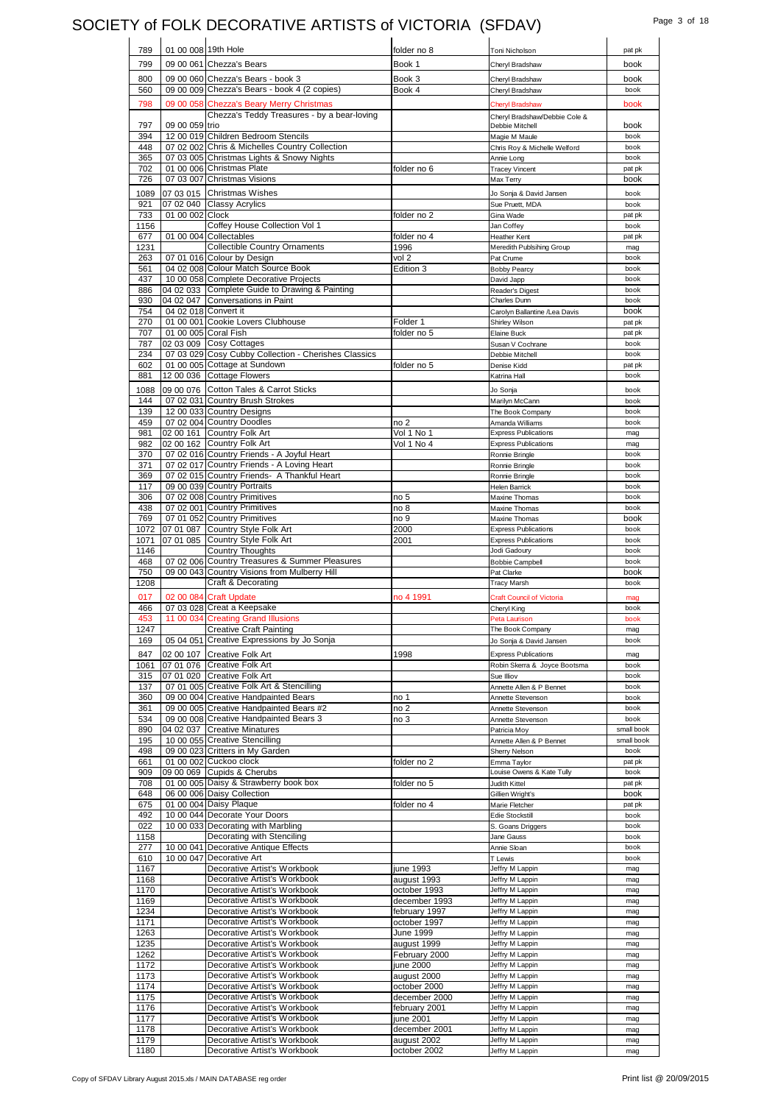### SOCIETY of FOLK DECORATIVE ARTISTS of VICTORIA (SFDAV) Page 3 of 18

| 789          | 01 00 008 19th Hole  |                                                                                         | folder no 8                | Toni Nicholson                                             | pat pk             |
|--------------|----------------------|-----------------------------------------------------------------------------------------|----------------------------|------------------------------------------------------------|--------------------|
| 799          |                      | 09 00 061 Chezza's Bears                                                                | Book 1                     | Cheryl Bradshaw                                            | book               |
| 800          |                      | 09 00 060 Chezza's Bears - book 3                                                       | Book 3                     |                                                            | book               |
| 560          |                      | 09 00 009 Chezza's Bears - book 4 (2 copies)                                            | Book 4                     | Cheryl Bradshaw<br>Cheryl Bradshaw                         | book               |
| 798          |                      |                                                                                         |                            |                                                            |                    |
|              |                      | 09 00 058 Chezza's Beary Merry Christmas<br>Chezza's Teddy Treasures - by a bear-loving |                            | <b>Cheryl Bradshaw</b>                                     | book               |
| 797          | 09 00 059 trio       |                                                                                         |                            | Cheryl Bradshaw/Debbie Cole &<br>Debbie Mitchell           | book               |
| 394          |                      | 12 00 019 Children Bedroom Stencils                                                     |                            | Magie M Maule                                              | book               |
| 448          |                      | 07 02 002 Chris & Michelles Country Collection                                          |                            | Chris Roy & Michelle Welford                               | book               |
| 365          |                      | 07 03 005 Christmas Lights & Snowy Nights                                               |                            | Annie Long                                                 | book               |
| 702          |                      | 01 00 006 Christmas Plate                                                               | folder no 6                | <b>Tracey Vincent</b>                                      | pat pk             |
| 726          |                      | 07 03 007 Christmas Visions                                                             |                            | Max Terry                                                  | book               |
| 1089         |                      | 07 03 015 Christmas Wishes                                                              |                            | Jo Sonja & David Jansen                                    | book               |
| 921          |                      | 07 02 040 Classy Acrylics                                                               |                            | Sue Pruett, MDA                                            | book               |
| 733<br>1156  | 01 00 002 Clock      | Coffey House Collection Vol 1                                                           | folder no 2                | Gina Wade<br>Jan Coffey                                    | pat pk<br>book     |
| 677          |                      | 01 00 004 Collectables                                                                  | folder no 4                | Heather Kent                                               | pat pk             |
| 1231         |                      | <b>Collectible Country Ornaments</b>                                                    | 1996                       | Meredith Publsihing Group                                  | mag                |
| 263          |                      | 07 01 016 Colour by Design                                                              | vol 2                      | Pat Crume                                                  | book               |
| 561          |                      | 04 02 008 Colour Match Source Book                                                      | Edition 3                  | <b>Bobby Pearcy</b>                                        | book               |
| 437          |                      | 10 00 058 Complete Decorative Projects                                                  |                            | David Japp                                                 | book               |
| 886          |                      | 04 02 033 Complete Guide to Drawing & Painting                                          |                            | Reader's Digest                                            | book               |
| 930<br>754   | 04 02 018 Convert it | 04 02 047 Conversations in Paint                                                        |                            | Charles Dunn                                               | book<br>book       |
| 270          |                      | 01 00 001 Cookie Lovers Clubhouse                                                       | Folder 1                   | Carolyn Ballantine /Lea Davis<br>Shirley Wilson            | pat pk             |
| 707          |                      | 01 00 005 Coral Fish                                                                    | folder no 5                | Elaine Buck                                                | pat pk             |
| 787          |                      | 02 03 009 Cosy Cottages                                                                 |                            | Susan V Cochrane                                           | book               |
| 234          |                      | 07 03 029 Cosy Cubby Collection - Cherishes Classics                                    |                            | Debbie Mitchell                                            | book               |
| 602          |                      | 01 00 005 Cottage at Sundown                                                            | folder no 5                | Denise Kidd                                                | pat pk             |
| 881          |                      | 12 00 036 Cottage Flowers                                                               |                            | Katrina Hall                                               | book               |
| 1088         |                      | 09 00 076 Cotton Tales & Carrot Sticks                                                  |                            | Jo Sonja                                                   | book               |
| 144          |                      | 07 02 031 Country Brush Strokes                                                         |                            | Marilyn McCann                                             | book               |
| 139          |                      | 12 00 033 Country Designs                                                               |                            | The Book Company                                           | book               |
| 459          |                      | 07 02 004 Country Doodles<br>02 00 161 Country Folk Art                                 | no 2<br>Vol 1 No 1         | Amanda Williams                                            | book               |
| 981<br>982   |                      | 02 00 162 Country Folk Art                                                              | Vol 1 No 4                 | <b>Express Publications</b><br><b>Express Publications</b> | mag<br>mag         |
| 370          |                      | 07 02 016 Country Friends - A Joyful Heart                                              |                            | Ronnie Bringle                                             | book               |
| 371          |                      | 07 02 017 Country Friends - A Loving Heart                                              |                            | Ronnie Bringle                                             | book               |
| 369          |                      | 07 02 015 Country Friends- A Thankful Heart                                             |                            | Ronnie Bringle                                             | book               |
| 117          |                      | 09 00 039 Country Portraits                                                             |                            | <b>Helen Barrick</b>                                       | book               |
| 306          |                      | 07 02 008 Country Primitives                                                            | no 5                       | Maxine Thomas                                              | book               |
| 438          |                      | 07 02 001 Country Primitives                                                            | no 8                       | Maxine Thomas                                              | book               |
| 769<br>1072  |                      | 07 01 052 Country Primitives<br>07 01 087 Country Style Folk Art                        | no 9<br>2000               | Maxine Thomas<br><b>Express Publications</b>               | book<br>book       |
| 1071         |                      | 07 01 085 Country Style Folk Art                                                        | 2001                       | <b>Express Publications</b>                                | book               |
|              |                      |                                                                                         |                            |                                                            |                    |
| 1146         |                      |                                                                                         |                            |                                                            | book               |
| 468          |                      | <b>Country Thoughts</b><br>07 02 006 Country Treasures & Summer Pleasures               |                            | Jodi Gadoury<br><b>Bobbie Campbell</b>                     | book               |
| 750          |                      | 09 00 043 Country Visions from Mulberry Hill                                            |                            | Pat Clarke                                                 | book               |
| 1208         |                      | Craft & Decorating                                                                      |                            | <b>Tracy Marsh</b>                                         | book               |
| 017          |                      | 02 00 084 Craft Update                                                                  | no 4 1991                  | <b>Craft Council of Victoria</b>                           | mag                |
| 466          |                      | 07 03 028 Creat a Keepsake                                                              |                            | Cheryl King                                                | book               |
| 453          |                      | 11 00 034 Creating Grand Illusions                                                      |                            | Peta Laurison                                              | book               |
| 1247         |                      | <b>Creative Craft Painting</b>                                                          |                            | The Book Company                                           | ma <sub>0</sub>    |
| 169          |                      | 05 04 051 Creative Expressions by Jo Sonja                                              |                            | Jo Sonja & David Jansen                                    | book               |
| 847          | 02 00 107            | Creative Folk Art                                                                       | 1998                       | <b>Express Publications</b>                                | mag                |
| 1061         |                      | 07 01 076 Creative Folk Art                                                             |                            | Robin Skerra & Joyce Bootsma                               | book               |
| 315<br>137   |                      | 07 01 020 Creative Folk Art<br>07 01 005 Creative Folk Art & Stencilling                |                            | Sue Illiov<br>Annette Allen & P Bennet                     | book<br>book       |
| 360          |                      | 09 00 004 Creative Handpainted Bears                                                    | no 1                       | Annette Stevenson                                          | book               |
| 361          |                      | 09 00 005 Creative Handpainted Bears #2                                                 | no 2                       | Annette Stevenson                                          | book               |
| 534          |                      | 09 00 008 Creative Handpainted Bears 3                                                  | no 3                       | Annette Stevenson                                          | book               |
| 890          |                      | 04 02 037 Creative Minatures                                                            |                            | Patricia Moy                                               | small book         |
| 195<br>498   |                      | 10 00 055 Creative Stencilling                                                          |                            | Annette Allen & P Bennet                                   | small book<br>book |
| 661          |                      | 09 00 023 Critters in My Garden<br>01 00 002 Cuckoo clock                               | folder no 2                | Sherry Nelson<br>Emma Taylor                               | pat pk             |
| 909          |                      | 09 00 069 Cupids & Cherubs                                                              |                            | Louise Owens & Kate Tully                                  | book               |
| 708          |                      | 01 00 005 Daisy & Strawberry book box                                                   | folder no 5                | Judith Kittel                                              | pat pk             |
| 648          |                      | 06 00 006 Daisy Collection                                                              |                            | Gillien Wright's                                           | book               |
| 675          |                      | 01 00 004 Daisy Plaque                                                                  | folder no 4                | Marie Fletcher                                             | pat pk             |
| 492          |                      | 10 00 044 Decorate Your Doors                                                           |                            | Edie Stockstill                                            | book               |
| 022          |                      | 10 00 033 Decorating with Marbling<br>Decorating with Stenciling                        |                            | S. Goans Driggers<br>Jane Gauss                            | book<br>book       |
| 1158<br>277  |                      | 10 00 041 Decorative Antique Effects                                                    |                            | Annie Sloan                                                | book               |
| 610          |                      | 10 00 047 Decorative Art                                                                |                            | T Lewis                                                    | book               |
| 1167         |                      | Decorative Artist's Workbook                                                            | june 1993                  | Jeffry M Lappin                                            | mag                |
| 1168         |                      | Decorative Artist's Workbook                                                            | august 1993                | Jeffry M Lappin                                            | mag                |
| 1170         |                      | Decorative Artist's Workbook                                                            | october 1993               | Jeffry M Lappin                                            | mag                |
| 1169         |                      | Decorative Artist's Workbook                                                            | december 1993              | Jeffry M Lappin                                            | mag                |
| 1234         |                      | Decorative Artist's Workbook<br>Decorative Artist's Workbook                            | february 1997              | Jeffry M Lappin<br>Jeffry M Lappin                         | mag                |
| 1171<br>1263 |                      | Decorative Artist's Workbook                                                            | october 1997<br>June 1999  | Jeffry M Lappin                                            | mag<br>mag         |
| 1235         |                      | Decorative Artist's Workbook                                                            | august 1999                | Jeffry M Lappin                                            | mag                |
| 1262         |                      | Decorative Artist's Workbook                                                            | February 2000              | Jeffry M Lappin                                            | mag                |
| 1172         |                      | Decorative Artist's Workbook                                                            | june 2000                  | Jeffry M Lappin                                            | mag                |
| 1173         |                      | Decorative Artist's Workbook                                                            | august 2000                | Jeffry M Lappin                                            | mag                |
| 1174         |                      | Decorative Artist's Workbook                                                            | october 2000               | Jeffry M Lappin                                            | mag                |
| 1175         |                      | Decorative Artist's Workbook                                                            | december 2000              | Jeffry M Lappin                                            | mag                |
| 1176         |                      | Decorative Artist's Workbook                                                            | february 2001              | Jeffry M Lappin                                            | mag                |
| 1177<br>1178 |                      | Decorative Artist's Workbook<br>Decorative Artist's Workbook                            | june 2001<br>december 2001 | Jeffry M Lappin<br>Jeffry M Lappin                         | mag<br>mag         |
| 1179         |                      | Decorative Artist's Workbook                                                            | august 2002                | Jeffry M Lappin                                            | mag                |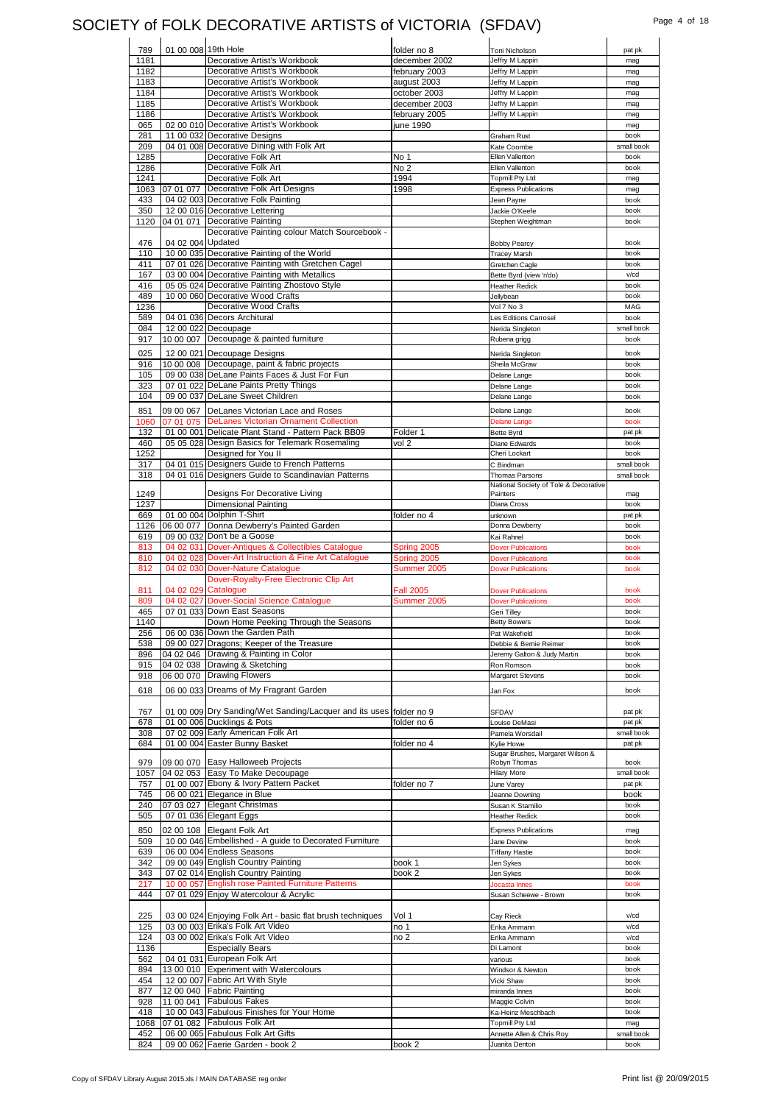## SOCIETY of FOLK DECORATIVE ARTISTS of VICTORIA (SFDAV) Page 4 of 18

| 789         | 01 00 008 19th Hole |                                                                          | folder no 8      | Toni Nicholson                              | pat pk             |
|-------------|---------------------|--------------------------------------------------------------------------|------------------|---------------------------------------------|--------------------|
| 1181        |                     | Decorative Artist's Workbook                                             | december 2002    | Jeffry M Lappin                             | mag                |
| 1182        |                     | Decorative Artist's Workbook                                             | february 2003    | Jeffry M Lappin                             | mag                |
| 1183        |                     | Decorative Artist's Workbook                                             | august 2003      | Jeffry M Lappin                             | mag                |
| 1184        |                     | Decorative Artist's Workbook                                             | october 2003     | Jeffry M Lappin                             | mag                |
| 1185        |                     | Decorative Artist's Workbook                                             | december 2003    | Jeffry M Lappin                             | mag                |
| 1186        |                     | Decorative Artist's Workbook                                             | february 2005    | Jeffry M Lappin                             | mag                |
| 065         |                     | 02 00 010 Decorative Artist's Workbook                                   | june 1990        |                                             | mag                |
| 281         |                     | 11 00 032 Decorative Designs                                             |                  | Graham Rust                                 | book               |
| 209         |                     | 04 01 008 Decorative Dining with Folk Art                                |                  | Kate Coombe                                 | small book         |
| 1285        |                     | Decorative Folk Art                                                      | No 1             | Ellen Vallenton                             | book               |
| 1286        |                     | Decorative Folk Art                                                      | No <sub>2</sub>  | Ellen Vallenton                             | book               |
| 1241        |                     | Decorative Folk Art                                                      | 1994             | <b>Topmill Pty Ltd</b>                      | mag                |
| 1063<br>433 | 07 01 077           | Decorative Folk Art Designs<br>04 02 003 Decorative Folk Painting        | 1998             | <b>Express Publications</b>                 | mag                |
| 350         |                     | 12 00 016 Decorative Lettering                                           |                  | Jean Payne                                  | book<br>book       |
| 1120        |                     | 04 01 071 Decorative Painting                                            |                  | Jackie O'Keefe<br>Stephen Weightman         | book               |
|             |                     | Decorative Painting colour Match Sourcebook -                            |                  |                                             |                    |
| 476         | 04 02 004 Updated   |                                                                          |                  | <b>Bobby Pearcy</b>                         | book               |
| 110         |                     | 10 00 035 Decorative Painting of the World                               |                  | <b>Tracey Marsh</b>                         | book               |
| 411         |                     | 07 01 026 Decorative Painting with Gretchen Cagel                        |                  | Gretchen Cagle                              | book               |
| 167         |                     | 03 00 004 Decorative Painting with Metallics                             |                  | Bette Byrd (view 'n'do)                     | v/cd               |
| 416         |                     | 05 05 024 Decorative Painting Zhostovo Style                             |                  | <b>Heather Redick</b>                       | book               |
| 489         |                     | 10 00 060 Decorative Wood Crafts                                         |                  | Jellvbean                                   | book               |
| 1236        |                     | Decorative Wood Crafts                                                   |                  | Vol 7 No 3                                  | MAG                |
| 589         |                     | 04 01 036 Decors Architural                                              |                  | Les Editions Carrosel                       | book               |
| 084         |                     | 12 00 022 Decoupage                                                      |                  | Nerida Singleton                            | small book         |
| 917         |                     | 10 00 007 Decoupage & painted furniture                                  |                  | Rubena grigg                                | book               |
| 025         |                     | 12 00 021 Decoupage Designs                                              |                  | Nerida Singleton                            | book               |
| 916         |                     | 10 00 008 Decoupage, paint & fabric projects                             |                  | Sheila McGraw                               | book               |
| 105         |                     | 09 00 038 DeLane Paints Faces & Just For Fun                             |                  | Delane Lange                                | book               |
| 323         |                     | 07 01 022 DeLane Paints Pretty Things                                    |                  | Delane Lange                                | book               |
| 104         |                     | 09 00 037 DeLane Sweet Children                                          |                  | Delane Lange                                | book               |
| 851         |                     | 09 00 067 DeLanes Victorian Lace and Roses                               |                  | Delane Lange                                | book               |
| 1060        |                     | 07 01 075 DeLanes Victorian Ornament Collection                          |                  | <b>Delane Lange</b>                         | book               |
| 132         |                     | 01 00 001 Delicate Plant Stand - Pattern Pack BB09                       | Folder 1         | <b>Bette Byrd</b>                           | pat pk             |
| 460         |                     | 05 05 028 Design Basics for Telemark Rosemaling                          | vol 2            | Diane Edwards                               | book               |
| 1252        |                     | Designed for You II                                                      |                  | Cheri Lockart                               | book               |
| 317         |                     | 04 01 015 Designers Guide to French Patterns                             |                  | C Bindman                                   | small book         |
| 318         |                     | 04 01 016 Designers Guide to Scandinavian Patterns                       |                  | Thomas Parsons                              | small book         |
|             |                     |                                                                          |                  | National Society of Tole & Decorative       |                    |
| 1249        |                     | Designs For Decorative Living                                            |                  | Painters                                    | mag                |
| 1237        |                     | <b>Dimensional Painting</b><br>01 00 004 Dolphin T-Shirt                 |                  | Diana Cross                                 | book               |
| 669         |                     |                                                                          | folder no 4      | unknown<br>Donna Dewberry                   | pat pk<br>book     |
| 1126<br>619 |                     | 06 00 077 Donna Dewberry's Painted Garden<br>09 00 032 Don't be a Goose  |                  |                                             | book               |
| 813         |                     | 04 02 031 Dover-Antiques & Collectibles Catalogue                        | Spring 2005      | Kai Rahnel<br><b>Dover Publications</b>     | book               |
|             |                     |                                                                          |                  |                                             |                    |
|             |                     |                                                                          |                  |                                             |                    |
| 810         |                     | 04 02 028 Dover-Art Instruction & Fine Art Catalogue                     | Spring 2005      | <b>Dover Publications</b>                   | book               |
| 812         |                     | 04 02 030 Dover-Nature Catalogue                                         | Summer 2005      | <b>Dover Publications</b>                   | book               |
|             |                     | Dover-Royalty-Free Electronic Clip Art                                   |                  |                                             | book               |
| 811<br>809  | 04 02 029 Catalogue | 04 02 027 Dover-Social Science Catalogue                                 | <b>Fall 2005</b> | <b>Dover Publications</b>                   | book               |
| 465         |                     | 07 01 033 Down East Seasons                                              | Summer 2005      | <b>Dover Publications</b><br>Geri Tilley    | book               |
| 1140        |                     | Down Home Peeking Through the Seasons                                    |                  | <b>Betty Bowers</b>                         | book               |
| 256         |                     | 06 00 036 Down the Garden Path                                           |                  | Pat Wakefield                               | book               |
| 538         |                     | 09 00 027 Dragons; Keeper of the Treasure                                |                  | Debbie & Bernie Reimer                      | book               |
| 896         |                     | 04 02 046 Drawing & Painting in Color                                    |                  | Jeremy Galton & Judy Martin                 | book               |
| 915         |                     | 04 02 038 Drawing & Sketching                                            |                  | Ron Romson                                  | book               |
| 918         |                     | 06 00 070 Drawing Flowers                                                |                  | <b>Margaret Stevens</b>                     | book               |
| 618         |                     | 06 00 033 Dreams of My Fragrant Garden                                   |                  | Jan Fox                                     | book               |
|             |                     |                                                                          |                  |                                             |                    |
| 767         |                     | 01 00 009 Dry Sanding/Wet Sanding/Lacquer and its uses folder no 9       |                  | SFDAV                                       | pat pk             |
| 678         |                     | 01 00 006 Ducklings & Pots                                               | folder no 6      | Louise DeMasi                               | pat pk             |
| 308         |                     | 07 02 009 Early American Folk Art                                        |                  | Pamela Worsdail                             | small book         |
| 684         |                     | 01 00 004 Easter Bunny Basket                                            | folder no 4      | Kylie Howe                                  | pat pk             |
|             |                     |                                                                          |                  | Sugar Brushes, Margaret Wilson &            |                    |
| 979         |                     | 09 00 070 Easy Halloweeb Projects                                        |                  | Robyn Thomas                                | book               |
| 1057        |                     | 04 02 053 Easy To Make Decoupage                                         |                  | <b>Hilary More</b>                          | small book         |
| 757<br>745  |                     | 01 00 007 Ebony & Ivory Pattern Packet                                   | folder no 7      | June Varey                                  | pat pk<br>book     |
| 240         |                     | 06 00 021 Elegance in Blue<br>07 03 027 Elegant Christmas                |                  | Jeanne Downing<br>Susan K Stamilio          | book               |
| 505         |                     | 07 01 036 Elegant Eggs                                                   |                  | <b>Heather Redick</b>                       | book               |
|             |                     |                                                                          |                  |                                             |                    |
| 850         |                     | 02 00 108 Elegant Folk Art                                               |                  | <b>Express Publications</b>                 | mag                |
| 509         |                     | 10 00 046 Embellished - A guide to Decorated Furniture                   |                  | Jane Devine                                 | book<br>book       |
| 639<br>342  |                     | 06 00 004 Endless Seasons                                                |                  | <b>Tiffany Hastie</b>                       | book               |
| 343         |                     | 09 00 049 English Country Painting<br>07 02 014 English Country Painting | book 1<br>book 2 | Jen Sykes<br>Jen Sykes                      | book               |
| 217         |                     | 10 00 057 English rose Painted Furniture Patterns                        |                  | Jocasta Innes                               | book               |
| 444         |                     | 07 01 029 Enjoy Watercolour & Acrylic                                    |                  | Susan Scheewe - Brown                       | book               |
|             |                     |                                                                          |                  |                                             |                    |
| 225         |                     | 03 00 024 Enjoying Folk Art - basic flat brush techniques                | Vol 1            | Cay Rieck                                   | v/cd               |
| 125         |                     | 03 00 003 Erika's Folk Art Video                                         | no 1             | Erika Ammann                                | $v$ / $cd$         |
| 124         |                     | 03 00 002 Erika's Folk Art Video                                         | no 2             | Erika Ammann                                | v/cd               |
| 1136        |                     | <b>Especially Bears</b>                                                  |                  | Di Lamont                                   | book               |
| 562         |                     | 04 01 031 European Folk Art                                              |                  | various                                     | book               |
| 894         |                     | 13 00 010 Experiment with Watercolours                                   |                  | Windsor & Newton                            | book               |
| 454         |                     | 12 00 007 Fabric Art With Style                                          |                  | Vicki Shaw                                  | book               |
| 877         |                     | 12 00 040 Fabric Painting                                                |                  | miranda Innes                               | book               |
| 928         | 11 00 041           | <b>Fabulous Fakes</b>                                                    |                  | Maggie Colvin                               | book               |
| 418         |                     | 10 00 043 Fabulous Finishes for Your Home                                |                  | Ka-Heinz Meschbach                          | book               |
| 1068        |                     | 07 01 082 Fabulous Folk Art                                              |                  | <b>Topmill Pty Ltd</b>                      | mag                |
| 452<br>824  |                     | 06 00 065 Fabulous Folk Art Gifts<br>09 00 062 Faerie Garden - book 2    | book 2           | Annette Allen & Chris Roy<br>Juanita Denton | small book<br>book |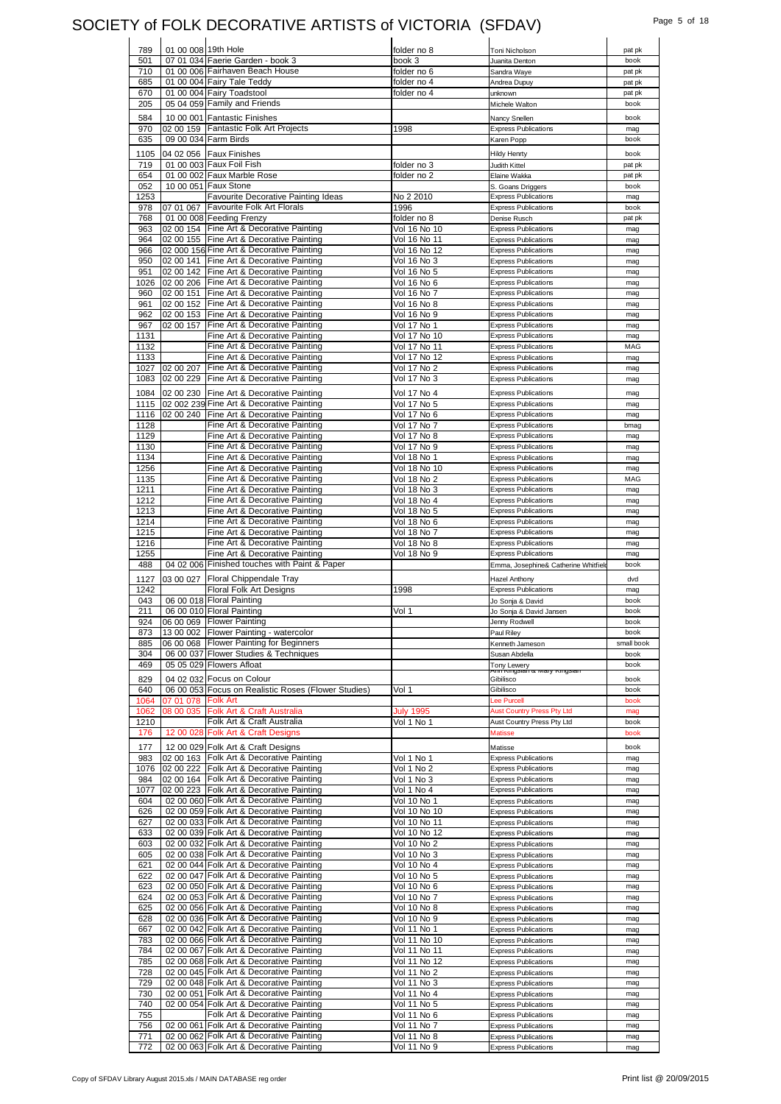#### SOCIETY of FOLK DECORATIVE ARTISTS of VICTORIA (SFDAV) Page 5 of 18

| 789  | 01 00 008 19th Hole |                                                     | folder no 8      | Toni Nicholson                           | pat pk     |
|------|---------------------|-----------------------------------------------------|------------------|------------------------------------------|------------|
| 501  |                     | 07 01 034 Faerie Garden - book 3                    | book 3           | Juanita Denton                           | book       |
| 710  |                     | 01 00 006 Fairhaven Beach House                     | folder no 6      | Sandra Waye                              | pat pk     |
| 685  |                     | 01 00 004 Fairy Tale Teddy                          | folder no 4      | Andrea Dupuy                             | pat pk     |
| 670  |                     | 01 00 004 Fairy Toadstool                           | folder no 4      | unknown                                  | pat pk     |
| 205  |                     | 05 04 059 Family and Friends                        |                  | Michele Walton                           | book       |
| 584  |                     | 10 00 001 Fantastic Finishes                        |                  | Nancy Snellen                            | book       |
| 970  |                     | 02 00 159 Fantastic Folk Art Projects               | 1998             | <b>Express Publications</b>              | mag        |
| 635  |                     | 09 00 034 Farm Birds                                |                  | Karen Popp                               | book       |
|      |                     |                                                     |                  |                                          |            |
| 1105 |                     | 04 02 056 Faux Finishes                             |                  | <b>Hildy Henrty</b>                      | book       |
| 719  |                     | 01 00 003 Faux Foil Fish                            | folder no 3      | Judith Kittel                            | pat pk     |
| 654  |                     | 01 00 002 Faux Marble Rose                          | folder no 2      | Elaine Wakka                             | pat pk     |
| 052  |                     | 10 00 051 Faux Stone                                |                  | S. Goans Driggers                        | book       |
| 1253 |                     | <b>Favourite Decorative Painting Ideas</b>          | No 2 2010        | <b>Express Publications</b>              | mag        |
| 978  | 07 01 067           | Favourite Folk Art Florals                          | 1996             | <b>Express Publications</b>              | book       |
| 768  |                     | 01 00 008 Feeding Frenzy                            | folder no 8      | Denise Rusch                             | pat pk     |
| 963  |                     | 02 00 154 Fine Art & Decorative Painting            | Vol 16 No 10     | <b>Express Publications</b>              | mag        |
| 964  | 02 00 155           | Fine Art & Decorative Painting                      | Vol 16 No 11     | <b>Express Publications</b>              | mag        |
| 966  |                     | 02 000 156 Fine Art & Decorative Painting           | Vol 16 No 12     | <b>Express Publications</b>              | mag        |
| 950  |                     | 02 00 141 Fine Art & Decorative Painting            | Vol 16 No 3      | <b>Express Publications</b>              | mag        |
| 951  |                     | 02 00 142 Fine Art & Decorative Painting            | Vol 16 No 5      | <b>Express Publications</b>              | mag        |
| 1026 |                     | 02 00 206 Fine Art & Decorative Painting            | Vol 16 No 6      | <b>Express Publications</b>              | mag        |
| 960  | 02 00 151           | Fine Art & Decorative Painting                      | Vol 16 No 7      | <b>Express Publications</b>              | mag        |
| 961  | 02 00 152           | Fine Art & Decorative Painting                      | Vol 16 No 8      | <b>Express Publications</b>              | mag        |
| 962  | 02 00 153           | Fine Art & Decorative Painting                      | Vol 16 No 9      | <b>Express Publications</b>              | mag        |
| 967  | 02 00 157           | Fine Art & Decorative Painting                      | Vol 17 No 1      | <b>Express Publications</b>              | mag        |
| 1131 |                     | Fine Art & Decorative Painting                      | Vol 17 No 10     | <b>Express Publications</b>              | mag        |
| 1132 |                     | Fine Art & Decorative Painting                      | Vol 17 No 11     | <b>Express Publications</b>              | MAG        |
| 1133 |                     | Fine Art & Decorative Painting                      | Vol 17 No 12     | <b>Express Publications</b>              | mag        |
| 1027 | 02 00 207           | Fine Art & Decorative Painting                      | Vol 17 No 2      | <b>Express Publications</b>              | mag        |
|      |                     | 1083 02 00 229 Fine Art & Decorative Painting       | Vol 17 No 3      | <b>Express Publications</b>              | mag        |
| 1084 | 02 00 230           | Fine Art & Decorative Painting                      | Vol 17 No 4      | <b>Express Publications</b>              | mag        |
| 1115 |                     | 02 002 239 Fine Art & Decorative Painting           | Vol 17 No 5      | <b>Express Publications</b>              | mag        |
| 1116 |                     | 02 00 240 Fine Art & Decorative Painting            | Vol 17 No 6      | <b>Express Publications</b>              | mag        |
| 1128 |                     | Fine Art & Decorative Painting                      | Vol 17 No 7      | <b>Express Publications</b>              | bmag       |
| 1129 |                     | Fine Art & Decorative Painting                      | Vol 17 No 8      | <b>Express Publications</b>              | mag        |
| 1130 |                     | Fine Art & Decorative Painting                      | Vol 17 No 9      | <b>Express Publications</b>              | mag        |
| 1134 |                     | Fine Art & Decorative Painting                      | Vol 18 No 1      | <b>Express Publications</b>              | mag        |
| 1256 |                     | Fine Art & Decorative Painting                      | Vol 18 No 10     | <b>Express Publications</b>              | mag        |
| 1135 |                     | Fine Art & Decorative Painting                      | Vol 18 No 2      | <b>Express Publications</b>              | MAG        |
| 1211 |                     | Fine Art & Decorative Painting                      | Vol 18 No 3      | <b>Express Publications</b>              | mag        |
| 1212 |                     | Fine Art & Decorative Painting                      | Vol 18 No 4      | <b>Express Publications</b>              | mag        |
| 1213 |                     | Fine Art & Decorative Painting                      | Vol 18 No 5      | <b>Express Publications</b>              | mag        |
| 1214 |                     | Fine Art & Decorative Painting                      | Vol 18 No 6      | <b>Express Publications</b>              | mag        |
| 1215 |                     | Fine Art & Decorative Painting                      | Vol 18 No 7      | <b>Express Publications</b>              | mag        |
| 1216 |                     | Fine Art & Decorative Painting                      | Vol 18 No 8      | <b>Express Publications</b>              | mag        |
|      |                     |                                                     |                  |                                          |            |
|      |                     |                                                     |                  |                                          |            |
| 1255 |                     | Fine Art & Decorative Painting                      | Vol 18 No 9      | <b>Express Publications</b>              | mag        |
| 488  |                     | 04 02 006 Finished touches with Paint & Paper       |                  | Emma, Josephine& Catherine Whitfield     | book       |
| 1127 |                     | 03 00 027 Floral Chippendale Tray                   |                  | <b>Hazel Anthony</b>                     | dvd        |
| 1242 |                     | Floral Folk Art Designs                             | 1998             | <b>Express Publications</b>              | mag        |
| 043  |                     | 06 00 018 Floral Painting                           |                  | Jo Sonja & David                         | book       |
| 211  |                     | 06 00 010 Floral Painting                           | Vol 1            | Jo Sonja & David Jansen                  | book       |
| 924  |                     | 06 00 069 Flower Painting                           |                  | Jenny Rodwell                            | book       |
| 873  |                     | 13 00 002 Flower Painting - watercolor              |                  | Paul Riley                               | book       |
| 885  |                     | 06 00 068 Flower Painting for Beginners             |                  | Kenneth Jameson                          | small book |
| 304  |                     | 06 00 037 Flower Studies & Techniques               |                  | Susan Abdella                            | book       |
| 469  |                     | 05 05 029 Flowers Afloat                            |                  | <b>Tony Lewery</b><br>ox ivicii y i\iiiy | book       |
| 829  |                     | 04 02 032 Focus on Colour                           |                  | Gibilisco                                | book       |
| 640  |                     | 06 00 053 Focus on Realistic Roses (Flower Studies) | Vol 1            | Gibilisco                                | book       |
| 1064 | 07 01 078           | <b>Folk Art</b>                                     |                  | Lee Purcell                              | book       |
| 1062 | 08 00 035           | Folk Art & Craft Australia                          | <b>July 1995</b> | <b>Aust Country Press Pty Ltd</b>        | mag        |
| 1210 |                     | Folk Art & Craft Australia                          | Vol 1 No 1       | Aust Country Press Pty Ltd               | book       |
| 176  | 12 00 028           | Folk Art & Craft Designs                            |                  | <b>Matisse</b>                           | book       |
| 177  |                     | 12 00 029 Folk Art & Craft Designs                  |                  | Matisse                                  | book       |
| 983  |                     | 02 00 163 Folk Art & Decorative Painting            | Vol 1 No 1       | <b>Express Publications</b>              | mag        |
| 1076 |                     | 02 00 222 Folk Art & Decorative Painting            | Vol 1 No 2       | <b>Express Publications</b>              | mag        |
| 984  | 02 00 164           | Folk Art & Decorative Painting                      | Vol 1 No 3       | <b>Express Publications</b>              | mag        |
| 1077 | 02 00 223           | Folk Art & Decorative Painting                      | Vol 1 No 4       | <b>Express Publications</b>              | mag        |
| 604  |                     | 02 00 060 Folk Art & Decorative Painting            | Vol 10 No 1      | <b>Express Publications</b>              | mag        |
| 626  |                     | 02 00 059 Folk Art & Decorative Painting            | Vol 10 No 10     | <b>Express Publications</b>              | mag        |
| 627  |                     | 02 00 033 Folk Art & Decorative Painting            | Vol 10 No 11     | <b>Express Publications</b>              | mag        |
| 633  |                     | 02 00 039 Folk Art & Decorative Painting            | Vol 10 No 12     | <b>Express Publications</b>              | mag        |
| 603  |                     | 02 00 032 Folk Art & Decorative Painting            | Vol 10 No 2      | <b>Express Publications</b>              | mag        |
| 605  |                     | 02 00 038 Folk Art & Decorative Painting            | Vol 10 No 3      | <b>Express Publications</b>              | mag        |
| 621  |                     | 02 00 044 Folk Art & Decorative Painting            | Vol 10 No 4      | <b>Express Publications</b>              | mag        |
| 622  |                     | 02 00 047 Folk Art & Decorative Painting            | Vol 10 No 5      | <b>Express Publications</b>              | mag        |
| 623  |                     | 02 00 050 Folk Art & Decorative Painting            | Vol 10 No 6      | <b>Express Publications</b>              | mag        |
| 624  |                     | 02 00 053 Folk Art & Decorative Painting            | Vol 10 No 7      | <b>Express Publications</b>              | mag        |
| 625  |                     | 02 00 056 Folk Art & Decorative Painting            | Vol 10 No 8      | <b>Express Publications</b>              | mag        |
| 628  |                     | 02 00 036 Folk Art & Decorative Painting            | Vol 10 No 9      | <b>Express Publications</b>              | mag        |
| 667  |                     | 02 00 042 Folk Art & Decorative Painting            | Vol 11 No 1      | <b>Express Publications</b>              | mag        |
| 783  |                     | 02 00 066 Folk Art & Decorative Painting            | Vol 11 No 10     | <b>Express Publications</b>              | mag        |
| 784  |                     | 02 00 067 Folk Art & Decorative Painting            | Vol 11 No 11     | <b>Express Publications</b>              | mag        |
| 785  |                     | 02 00 068 Folk Art & Decorative Painting            | Vol 11 No 12     | <b>Express Publications</b>              | mag        |
| 728  |                     | 02 00 045 Folk Art & Decorative Painting            | Vol 11 No 2      | <b>Express Publications</b>              | mag        |
| 729  |                     | 02 00 048 Folk Art & Decorative Painting            | Vol 11 No 3      | <b>Express Publications</b>              | mag        |
| 730  |                     | 02 00 051 Folk Art & Decorative Painting            | Vol 11 No 4      | <b>Express Publications</b>              | mag        |
| 740  |                     | 02 00 054 Folk Art & Decorative Painting            | Vol 11 No 5      | <b>Express Publications</b>              | mag        |
| 755  |                     | Folk Art & Decorative Painting                      | Vol 11 No 6      | <b>Express Publications</b>              | mag        |
| 756  |                     | 02 00 061 Folk Art & Decorative Painting            | Vol 11 No 7      | <b>Express Publications</b>              | mag        |
| 771  |                     | 02 00 062 Folk Art & Decorative Painting            | Vol 11 No 8      | <b>Express Publications</b>              | mag        |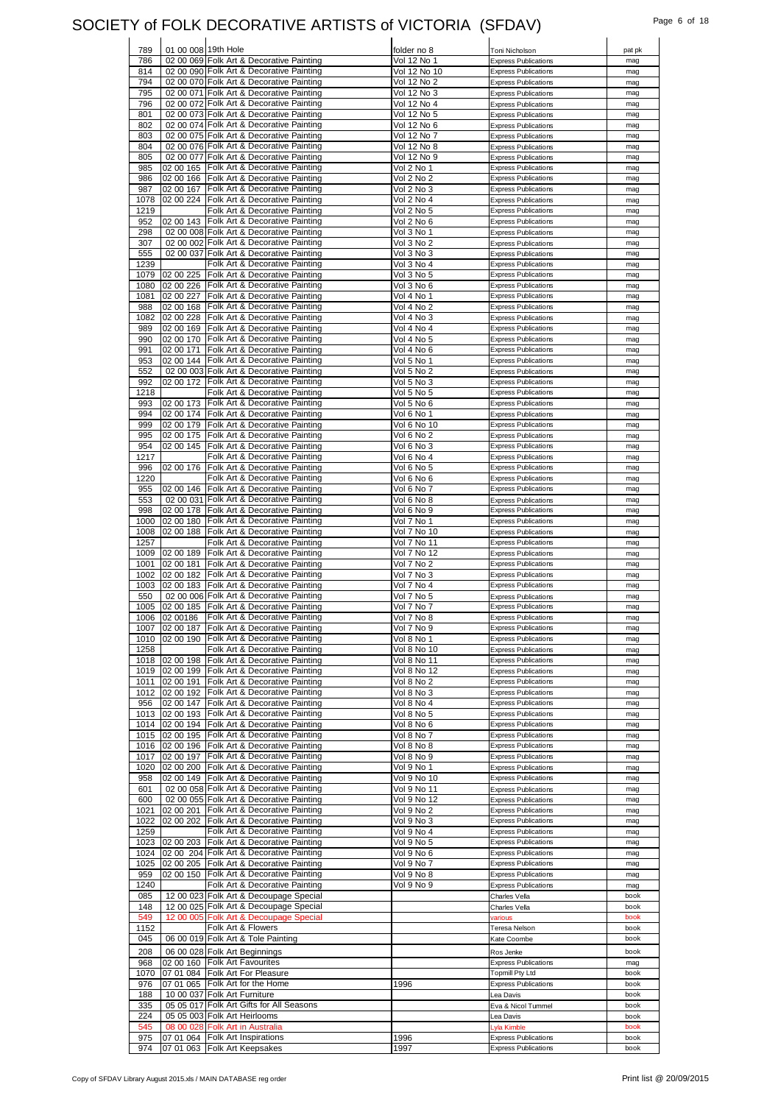#### SOCIETY of FOLK DECORATIVE ARTISTS of VICTORIA (SFDAV) Fage 6 of 18

| 789          |           | 01 00 008 19th Hole                                                              | folder no 8              | Toni Nicholson                                             | pat pk       |
|--------------|-----------|----------------------------------------------------------------------------------|--------------------------|------------------------------------------------------------|--------------|
| 786          |           | 02 00 069 Folk Art & Decorative Painting                                         | Vol 12 No 1              | <b>Express Publications</b>                                | mag          |
| 814          |           | 02 00 090 Folk Art & Decorative Painting                                         | Vol 12 No 10             | <b>Express Publications</b>                                | mag          |
| 794          |           | 02 00 070 Folk Art & Decorative Painting                                         | Vol 12 No 2              | <b>Express Publications</b>                                | mag          |
| 795          |           | 02 00 071 Folk Art & Decorative Painting                                         | Vol 12 No 3              | <b>Express Publications</b>                                | mag          |
| 796          |           | 02 00 072 Folk Art & Decorative Painting                                         | Vol 12 No 4              | <b>Express Publications</b>                                | mag          |
| 801          |           | 02 00 073 Folk Art & Decorative Painting                                         | Vol 12 No 5              | <b>Express Publications</b>                                | mag          |
| 802          |           | 02 00 074 Folk Art & Decorative Painting                                         | Vol 12 No 6              | <b>Express Publications</b>                                | mag          |
| 803          |           | 02 00 075 Folk Art & Decorative Painting                                         | Vol 12 No 7              | <b>Express Publications</b>                                | mag          |
| 804          |           | 02 00 076 Folk Art & Decorative Painting                                         | Vol 12 No 8              | <b>Express Publications</b>                                | mag          |
| 805          |           | 02 00 077 Folk Art & Decorative Painting                                         | Vol 12 No 9              | <b>Express Publications</b>                                | mag          |
| 985          | 02 00 165 | Folk Art & Decorative Painting                                                   | Vol 2 No 1               | <b>Express Publications</b>                                | mag          |
| 986          | 02 00 166 | Folk Art & Decorative Painting                                                   | Vol 2 No 2               | <b>Express Publications</b>                                | mag          |
| 987          | 02 00 167 | Folk Art & Decorative Painting                                                   | Vol 2 No 3               | <b>Express Publications</b>                                | mag          |
| 1078         | 02 00 224 | Folk Art & Decorative Painting                                                   | Vol 2 No 4               | <b>Express Publications</b>                                | mag          |
| 1219         |           | Folk Art & Decorative Painting                                                   | Vol 2 No 5               | <b>Express Publications</b>                                | mag          |
| 952          | 02 00 143 | Folk Art & Decorative Painting                                                   | Vol 2 No 6               | <b>Express Publications</b>                                | mag          |
| 298          |           | 02 00 008 Folk Art & Decorative Painting                                         | Vol 3 No 1               | <b>Express Publications</b>                                | mag          |
| 307          | 02 00 002 | Folk Art & Decorative Painting                                                   | Vol 3 No 2               | <b>Express Publications</b>                                | mag          |
| 555          | 02 00 037 | Folk Art & Decorative Painting                                                   | Vol 3 No 3               | <b>Express Publications</b>                                | mag          |
| 1239<br>1079 | 02 00 225 | Folk Art & Decorative Painting<br>Folk Art & Decorative Painting                 | Vol 3 No 4<br>Vol 3 No 5 | <b>Express Publications</b><br><b>Express Publications</b> | mag          |
| 1080         | 02 00 226 | Folk Art & Decorative Painting                                                   | Vol 3 No 6               | <b>Express Publications</b>                                | mag          |
| 1081         | 02 00 227 | Folk Art & Decorative Painting                                                   | Vol 4 No 1               | <b>Express Publications</b>                                | mag          |
| 988          | 02 00 168 | Folk Art & Decorative Painting                                                   | Vol 4 No 2               | <b>Express Publications</b>                                | mag<br>mag   |
| 1082         | 02 00 228 | Folk Art & Decorative Painting                                                   | Vol 4 No 3               | <b>Express Publications</b>                                | mag          |
| 989          | 02 00 169 | Folk Art & Decorative Painting                                                   | Vol 4 No 4               | <b>Express Publications</b>                                |              |
| 990          | 02 00 170 | Folk Art & Decorative Painting                                                   | Vol 4 No 5               | <b>Express Publications</b>                                | mag<br>mag   |
| 991          | 02 00 171 | Folk Art & Decorative Painting                                                   | Vol 4 No 6               | <b>Express Publications</b>                                | mag          |
| 953          | 02 00 144 | Folk Art & Decorative Painting                                                   | Vol 5 No 1               | <b>Express Publications</b>                                | mag          |
| 552          |           | 02 00 003 Folk Art & Decorative Painting                                         | Vol 5 No 2               | <b>Express Publications</b>                                | mag          |
| 992          | 02 00 172 | Folk Art & Decorative Painting                                                   | Vol 5 No 3               | <b>Express Publications</b>                                | mag          |
| 1218         |           | Folk Art & Decorative Painting                                                   | Vol 5 No 5               | <b>Express Publications</b>                                | mag          |
| 993          | 02 00 173 | Folk Art & Decorative Painting                                                   | Vol 5 No 6               | <b>Express Publications</b>                                | mag          |
| 994          |           | 02 00 174 Folk Art & Decorative Painting                                         | Vol 6 No 1               | <b>Express Publications</b>                                | mag          |
| 999          | 02 00 179 | Folk Art & Decorative Painting                                                   | Vol 6 No 10              | <b>Express Publications</b>                                | mag          |
| 995          | 02 00 175 | Folk Art & Decorative Painting                                                   | Vol 6 No 2               | <b>Express Publications</b>                                | mag          |
| 954          | 02 00 145 | Folk Art & Decorative Painting                                                   | Vol 6 No 3               | <b>Express Publications</b>                                | mag          |
| 1217         |           | Folk Art & Decorative Painting                                                   | Vol 6 No 4               | <b>Express Publications</b>                                | mag          |
| 996          | 02 00 176 | Folk Art & Decorative Painting                                                   | Vol 6 No 5               | <b>Express Publications</b>                                | mag          |
| 1220         |           | Folk Art & Decorative Painting                                                   | Vol 6 No 6               | <b>Express Publications</b>                                | mag          |
| 955          | 02 00 146 | Folk Art & Decorative Painting                                                   | Vol 6 No 7               | <b>Express Publications</b>                                | mag          |
| 553          |           | 02 00 031 Folk Art & Decorative Painting                                         | Vol 6 No 8               | <b>Express Publications</b>                                | mag          |
| 998          | 02 00 178 | Folk Art & Decorative Painting                                                   | Vol 6 No 9               | <b>Express Publications</b>                                | mag          |
| 1000         | 02 00 180 | Folk Art & Decorative Painting                                                   | Vol 7 No 1               | <b>Express Publications</b>                                | mag          |
| 1008         | 02 00 188 | Folk Art & Decorative Painting                                                   | Vol 7 No 10              | <b>Express Publications</b>                                | mag          |
| 1257         |           | Folk Art & Decorative Painting                                                   | Vol 7 No 11              | <b>Express Publications</b>                                | mag          |
| 1009         | 02 00 189 | Folk Art & Decorative Painting                                                   | Vol 7 No 12              | <b>Express Publications</b>                                | mag          |
|              | 02 00 181 | Folk Art & Decorative Painting                                                   | Vol 7 No 2               | <b>Express Publications</b>                                | mag          |
| 1001         |           |                                                                                  |                          |                                                            |              |
| 1002         | 02 00 182 | Folk Art & Decorative Painting                                                   | Vol 7 No 3               | <b>Express Publications</b>                                | mag          |
| 1003         | 02 00 183 | Folk Art & Decorative Painting                                                   | Vol 7 No 4               | <b>Express Publications</b>                                | mag          |
| 550          | 02 00 006 | Folk Art & Decorative Painting                                                   | Vol 7 No 5               | <b>Express Publications</b>                                | mag          |
| 1005         | 02 00 185 | Folk Art & Decorative Painting                                                   | Vol 7 No 7               | <b>Express Publications</b>                                | mag          |
| 1006         | 02 00186  | Folk Art & Decorative Painting                                                   | Vol 7 No 8               | <b>Express Publications</b>                                | mag          |
| 1007         |           | 02 00 187 Folk Art & Decorative Painting                                         | Vol 7 No 9               | <b>Express Publications</b>                                | mag          |
| 1010         |           | 02 00 190 Folk Art & Decorative Painting                                         | Vol 8 No 1               | <b>Express Publications</b>                                | mag          |
| 1258         |           | Folk Art & Decorative Painting                                                   | Vol 8 No 10              | <b>Express Publications</b>                                | mag          |
| 1018         | 02 00 198 | Folk Art & Decorative Painting                                                   | Vol 8 No 11              | <b>Express Publications</b>                                | mag          |
| 1019         | 02 00 199 | Folk Art & Decorative Painting                                                   | Vol 8 No 12              | <b>Express Publications</b>                                | mag          |
| 1011         | 02 00 191 | Folk Art & Decorative Painting                                                   | Vol 8 No 2               | <b>Express Publications</b>                                | mag          |
|              |           | 1012 02 00 192 Folk Art & Decorative Painting                                    | Vol 8 No 3               | <b>Express Publications</b>                                | mag          |
| 956          | 02 00 147 | Folk Art & Decorative Painting                                                   | Vol 8 No 4               | <b>Express Publications</b>                                | mag          |
| 1013         | 02 00 193 | Folk Art & Decorative Painting                                                   | Vol 8 No 5               | <b>Express Publications</b>                                | mag          |
| 1014         | 02 00 194 | Folk Art & Decorative Painting                                                   | Vol 8 No 6               | <b>Express Publications</b>                                | mag          |
| 1015         |           | 02 00 195 Folk Art & Decorative Painting                                         | Vol 8 No 7               | <b>Express Publications</b>                                | mag          |
| 1016         | 02 00 196 | Folk Art & Decorative Painting                                                   | Vol 8 No 8               | <b>Express Publications</b>                                | mag          |
| 1017         | 02 00 197 | Folk Art & Decorative Painting                                                   | Vol 8 No 9               | <b>Express Publications</b>                                | mag          |
| 1020         | 02 00 200 | Folk Art & Decorative Painting                                                   | Vol 9 No 1               | <b>Express Publications</b>                                | mag          |
| 958          | 02 00 149 | Folk Art & Decorative Painting                                                   | Vol 9 No 10              | <b>Express Publications</b>                                | mag          |
| 601          |           | 02 00 058 Folk Art & Decorative Painting                                         | Vol 9 No 11              | <b>Express Publications</b>                                | mag          |
| 600          |           | 02 00 055 Folk Art & Decorative Painting                                         | Vol 9 No 12              | <b>Express Publications</b>                                | mag          |
| 1021         | 02 00 201 | Folk Art & Decorative Painting                                                   | Vol 9 No 2               | <b>Express Publications</b>                                | mag          |
| 1022         | 02 00 202 | Folk Art & Decorative Painting                                                   | Vol 9 No 3               | <b>Express Publications</b>                                | mag          |
| 1259         |           | Folk Art & Decorative Painting                                                   | Vol 9 No 4               | <b>Express Publications</b>                                | mag          |
| 1023         | 02 00 203 | Folk Art & Decorative Painting                                                   | Vol 9 No 5               | <b>Express Publications</b>                                | mag          |
| 1024         |           | 02 00 204 Folk Art & Decorative Painting                                         | Vol 9 No 6               | <b>Express Publications</b>                                | mag          |
| 1025         | 02 00 205 | Folk Art & Decorative Painting                                                   | Vol 9 No 7               | <b>Express Publications</b>                                | mag          |
| 959<br>1240  | 02 00 150 | Folk Art & Decorative Painting                                                   | Vol 9 No 8               | <b>Express Publications</b><br><b>Express Publications</b> | mag          |
| 085          | 12 00 023 | Folk Art & Decorative Painting<br>Folk Art & Decoupage Special                   | Vol 9 No 9               | Charles Vella                                              | mag<br>book  |
| 148          |           |                                                                                  |                          |                                                            | book         |
| 549          |           | 12 00 025 Folk Art & Decoupage Special<br>12 00 005 Folk Art & Decoupage Special |                          | Charles Vella<br>various                                   | book         |
| 1152         |           | Folk Art & Flowers                                                               |                          | Teresa Nelson                                              | book         |
| 045          |           | 06 00 019 Folk Art & Tole Painting                                               |                          | Kate Coombe                                                | book         |
|              |           |                                                                                  |                          |                                                            |              |
| 208          |           | 06 00 028 Folk Art Beginnings                                                    |                          | Ros Jenke                                                  | book         |
| 968          | 02 00 160 | <b>Folk Art Favourites</b>                                                       |                          | <b>Express Publications</b><br><b>Topmill Pty Ltd</b>      | mag<br>book  |
| 1070         |           | 07 01 084 Folk Art For Pleasure                                                  |                          |                                                            |              |
| 976          | 07 01 065 | Folk Art for the Home                                                            | 1996                     | <b>Express Publications</b>                                | book<br>book |
| 188          |           | 10 00 037 Folk Art Furniture                                                     |                          | Lea Davis                                                  |              |
| 335<br>224   |           | 05 05 017 Folk Art Gifts for All Seasons                                         |                          | Eva & Nicol Tummel                                         | book<br>book |
|              |           | 05 05 003 Folk Art Heirlooms                                                     |                          | Lea Davis                                                  | book         |
| 545          | 08 00 028 | <b>Folk Art in Australia</b>                                                     |                          | Lyla Kimble                                                |              |
| 975<br>974   | 07 01 064 | <b>Folk Art Inspirations</b><br>07 01 063 Folk Art Keepsakes                     | 1996<br>1997             | <b>Express Publications</b><br><b>Express Publications</b> | book<br>book |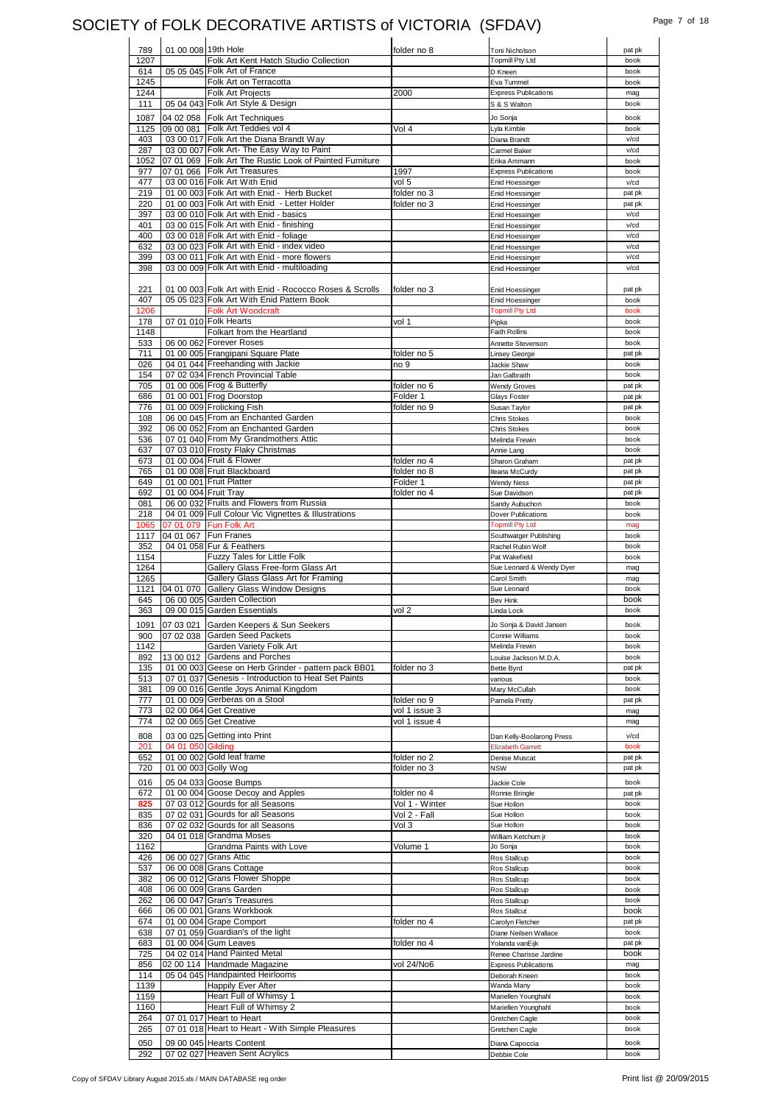## SOCIETY of FOLK DECORATIVE ARTISTS of VICTORIA (SFDAV) Page 7 of 18

| 789  | 01 00 008 19th Hole  |                                                         | folder no 8    | Toni Nicholson              | pat pk                                   |
|------|----------------------|---------------------------------------------------------|----------------|-----------------------------|------------------------------------------|
| 1207 |                      | Folk Art Kent Hatch Studio Collection                   |                | <b>Topmill Pty Ltd</b>      | book                                     |
| 614  |                      | 05 05 045 Folk Art of France                            |                | D Kneen                     | book                                     |
| 1245 |                      | Folk Art on Terracotta                                  |                | Eva Tummel                  | book                                     |
| 1244 |                      | <b>Folk Art Projects</b>                                | 2000           | <b>Express Publications</b> | mag                                      |
|      |                      | 05 04 043 Folk Art Style & Design                       |                |                             | book                                     |
| 111  |                      |                                                         |                | S & S Walton                |                                          |
| 1087 |                      | 04 02 058 Folk Art Techniques                           |                | Jo Sonja                    | book                                     |
| 1125 |                      | 09 00 081 Folk Art Teddies vol 4                        | Vol 4          | Lyla Kimble                 | book                                     |
| 403  |                      | 03 00 017 Folk Art the Diana Brandt Way                 |                | Diana Brandt                | v/cd                                     |
| 287  |                      | 03 00 007 Folk Art- The Easy Way to Paint               |                | Carmel Baker                | v/cd                                     |
| 1052 |                      | 07 01 069 Folk Art The Rustic Look of Painted Furniture |                | Erika Ammann                | book                                     |
| 977  |                      | 07 01 066 Folk Art Treasures                            | 1997           | <b>Express Publications</b> | book                                     |
| 477  |                      | 03 00 016 Folk Art With Enid                            | vol 5          |                             | v/cd                                     |
|      |                      |                                                         |                | Enid Hoessinger             |                                          |
| 219  |                      | 01 00 003 Folk Art with Enid - Herb Bucket              | folder no 3    | Enid Hoessinger             | pat pk                                   |
| 220  |                      | 01 00 003 Folk Art with Enid - Letter Holder            | folder no 3    | Enid Hoessinger             | pat pk                                   |
| 397  |                      | 03 00 010 Folk Art with Enid - basics                   |                | Enid Hoessinger             | v/cd                                     |
| 401  |                      | 03 00 015 Folk Art with Enid - finishing                |                | Enid Hoessinger             | v/cd                                     |
| 400  |                      | 03 00 018 Folk Art with Enid - foliage                  |                | Enid Hoessinger             | v/cd                                     |
| 632  |                      | 03 00 023 Folk Art with Enid - index video              |                | Enid Hoessinger             | $v$ / $cd$                               |
| 399  |                      | 03 00 011 Folk Art with Enid - more flowers             |                | Enid Hoessinger             | v/cd                                     |
| 398  |                      | 03 00 009 Folk Art with Enid - multiloading             |                | Enid Hoessinger             | $v$ / $cd$                               |
|      |                      |                                                         |                |                             |                                          |
|      |                      | 01 00 003 Folk Art with Enid - Rococco Roses & Scrolls  |                |                             |                                          |
| 221  |                      |                                                         | folder no 3    | <b>Enid Hoessinger</b>      | pat pk                                   |
| 407  |                      | 05 05 023 Folk Art With Enid Pattern Book               |                | Enid Hoessinger             | book                                     |
| 1206 |                      | <b>Folk Art Woodcraft</b>                               |                | <b>Topmill Pty Ltd</b>      | book                                     |
| 178  |                      | 07 01 010 Folk Hearts                                   | vol 1          | Pipka                       | book                                     |
| 1148 |                      | Folkart from the Heartland                              |                | <b>Faith Rollins</b>        | book                                     |
| 533  |                      | 06 00 062 Forever Roses                                 |                | Annette Stevenson           | book                                     |
| 711  |                      | 01 00 005 Frangipani Square Plate                       | folder no 5    | Linsey George               | pat pk                                   |
| 026  |                      | 04 01 044 Freehanding with Jackie                       | no 9           | Jackie Shaw                 | book                                     |
| 154  |                      | 07 02 034 French Provincial Table                       |                | Jan Galbraith               | book                                     |
|      |                      |                                                         |                |                             |                                          |
| 705  |                      | 01 00 006 Frog & Butterfly                              | folder no 6    | <b>Wendy Groves</b>         | pat pk                                   |
| 686  |                      | 01 00 001 Frog Doorstop                                 | Folder 1       | <b>Glays Foster</b>         | pat pk                                   |
| 776  |                      | 01 00 009 Frolicking Fish                               | folder no 9    | Susan Taylor                | pat pk                                   |
| 108  |                      | 06 00 045 From an Enchanted Garden                      |                | <b>Chris Stokes</b>         | book                                     |
| 392  |                      | 06 00 052 From an Enchanted Garden                      |                | <b>Chris Stokes</b>         | book                                     |
| 536  |                      | 07 01 040 From My Grandmothers Attic                    |                | Melinda Frewin              | book                                     |
| 637  |                      | 07 03 010 Frosty Flaky Christmas                        |                | Annie Lang                  | book                                     |
| 673  |                      | 01 00 004 Fruit & Flower                                | folder no 4    | Sharon Graham               | pat pk                                   |
|      |                      | 01 00 008 Fruit Blackboard                              |                |                             |                                          |
| 765  |                      |                                                         | folder no 8    | Ileana McCurdy              | pat pk                                   |
| 649  |                      | 01 00 001 Fruit Platter                                 | Folder 1       | <b>Wendy Ness</b>           | pat pk                                   |
| 692  | 01 00 004 Fruit Tray |                                                         | folder no 4    | Sue Davidson                | pat pk                                   |
| 081  |                      | 06 00 032 Fruits and Flowers from Russia                |                | Sandy Aubuchon              | book                                     |
| 218  |                      | 04 01 009 Full Colour Vic Vignettes & Illustrations     |                | Dover Publications          | book                                     |
| 1065 |                      | 07 01 079 Fun Folk Art                                  |                | <b>Topmill Pty Ltd</b>      | mag                                      |
| 1117 | 04 01 067            | <b>Fun Franes</b>                                       |                | Southwatger Publishing      | book                                     |
| 352  |                      | 04 01 058 Fur & Feathers                                |                | Rachel Rubin Wolf           | book                                     |
| 1154 |                      | Fuzzy Tales for Little Folk                             |                | Pat Wakefield               | book                                     |
|      |                      | Gallery Glass Free-form Glass Art                       |                |                             |                                          |
| 1264 |                      |                                                         |                | Sue Leonard & Wendy Dyer    | mag                                      |
| 1265 |                      | Gallery Glass Glass Art for Framing                     |                | Carol Smith                 | mag                                      |
| 1121 |                      | 04 01 070 Gallery Glass Window Designs                  |                | Sue Leonard                 | book                                     |
| 645  |                      | 06 00 005 Garden Collection                             |                | <b>Bev Hink</b>             | book                                     |
| 363  |                      | 09 00 015 Garden Essentials                             | vol 2          | Linda Lock                  | book                                     |
|      |                      | 1091 07 03 021 Garden Keepers & Sun Seekers             |                | Jo Sonja & David Jansen     | book                                     |
| 900  |                      | 07 02 038 Garden Seed Packets                           |                | Connie Williams             | book                                     |
| 1142 |                      | Garden Variety Folk Art                                 |                | Melinda Frewin              | book                                     |
|      |                      |                                                         |                |                             |                                          |
| 892  |                      | 13 00 012 Gardens and Porches                           |                | Louise Jackson M.D.A.       | book                                     |
| 135  |                      | 01 00 003 Geese on Herb Grinder - pattern pack BB01     | folder no 3    | Bette Byrd                  | pat pk                                   |
| 513  |                      | 07 01 037 Genesis - Introduction to Heat Set Paints     |                | various                     | book                                     |
| 381  |                      | 09 00 016 Gentle Joys Animal Kingdom                    |                | Mary McCullah               | book                                     |
| 777  |                      | 01 00 009 Gerberas on a Stool                           | folder no 9    | Pamela Pretty               | pat pk                                   |
| 773  |                      | 02 00 064 Get Creative                                  | vol 1 issue 3  |                             | mag                                      |
| 774  |                      | 02 00 065 Get Creative                                  | vol 1 issue 4  |                             | mag                                      |
|      |                      |                                                         |                |                             |                                          |
| 808  |                      | 03 00 025 Getting into Print                            |                | Dan Kelly-Boolarong Press   | v/cd                                     |
| 201  | 04 01 050 Gilding    |                                                         |                | <b>Elizabeth Garrett</b>    | book                                     |
| 652  |                      | 01 00 002 Gold leaf frame                               | folder no 2    | Denise Muscat               | pat pk                                   |
| 720  |                      | 01 00 003 Golly Wog                                     | folder no 3    | <b>NSW</b>                  | pat pk                                   |
| 016  |                      | 05 04 033 Goose Bumps                                   |                | Jackie Cole                 | book                                     |
| 672  |                      | 01 00 004 Goose Decoy and Apples                        | folder no 4    | Ronnie Bringle              | pat pk                                   |
|      |                      |                                                         |                |                             | book                                     |
| 825  |                      | 07 03 012 Gourds for all Seasons                        | Vol 1 - Winter | Sue Hollon                  |                                          |
| 835  |                      | 07 02 031 Gourds for all Seasons                        | Vol 2 - Fall   | Sue Hollon                  | book                                     |
| 836  |                      | 07 02 032 Gourds for all Seasons                        | Vol 3          | Sue Hollon                  | book                                     |
| 320  |                      | 04 01 018 Grandma Moses                                 |                | William Ketchum jr          | book                                     |
| 1162 |                      | Grandma Paints with Love                                | Volume 1       | Jo Sonja                    | book                                     |
| 426  |                      |                                                         |                | Ros Stallcup                | book                                     |
|      |                      | 06 00 027 Grans Attic                                   |                |                             |                                          |
| 537  |                      | 06 00 008 Grans Cottage                                 |                | Ros Stallcup                | book                                     |
| 382  |                      | 06 00 012 Grans Flower Shoppe                           |                | Ros Stallcup                | book                                     |
| 408  |                      |                                                         |                |                             | book                                     |
|      |                      | 06 00 009 Grans Garden                                  |                | Ros Stallcup                |                                          |
| 262  |                      | 06 00 047 Gran's Treasures                              |                | Ros Stallcup                | book                                     |
| 666  |                      | 06 00 001 Grans Workbook                                |                | Ros Stallcut                |                                          |
| 674  |                      | 01 00 004 Grape Comport                                 | folder no 4    | Carolyn Fletcher            |                                          |
| 638  |                      | 07 01 059 Guardian's of the light                       |                | Diane Neilsen Wallace       | book                                     |
| 683  |                      | 01 00 004 Gum Leaves                                    | folder no 4    | Yolanda vanEijk             |                                          |
| 725  |                      | 04 02 014 Hand Painted Metal                            |                | Renee Charisse Jardine      |                                          |
| 856  |                      | 02 00 114 Handmade Magazine                             | vol 24/No6     | <b>Express Publications</b> | mag                                      |
|      |                      |                                                         |                |                             | book                                     |
| 114  |                      | 05 04 045 Handpainted Heirlooms                         |                | Deborah Kneen               |                                          |
| 1139 |                      | Happily Ever After                                      |                | Wanda Many                  | book                                     |
| 1159 |                      | Heart Full of Whimsy 1                                  |                | Mariellen Younghahl         | book                                     |
| 1160 |                      | Heart Full of Whimsy 2                                  |                | Mariellen Younghahl         | book                                     |
| 264  |                      | 07 01 017 Heart to Heart                                |                | Gretchen Cagle              | book                                     |
| 265  |                      | 07 01 018 Heart to Heart - With Simple Pleasures        |                | Gretchen Cagle              | book                                     |
| 050  |                      | 09 00 045 Hearts Content                                |                | Diana Capoccia              | book<br>pat pk<br>pat pk<br>book<br>book |
| 292  |                      | 07 02 027 Heaven Sent Acrylics                          |                | Debbie Cole                 | book                                     |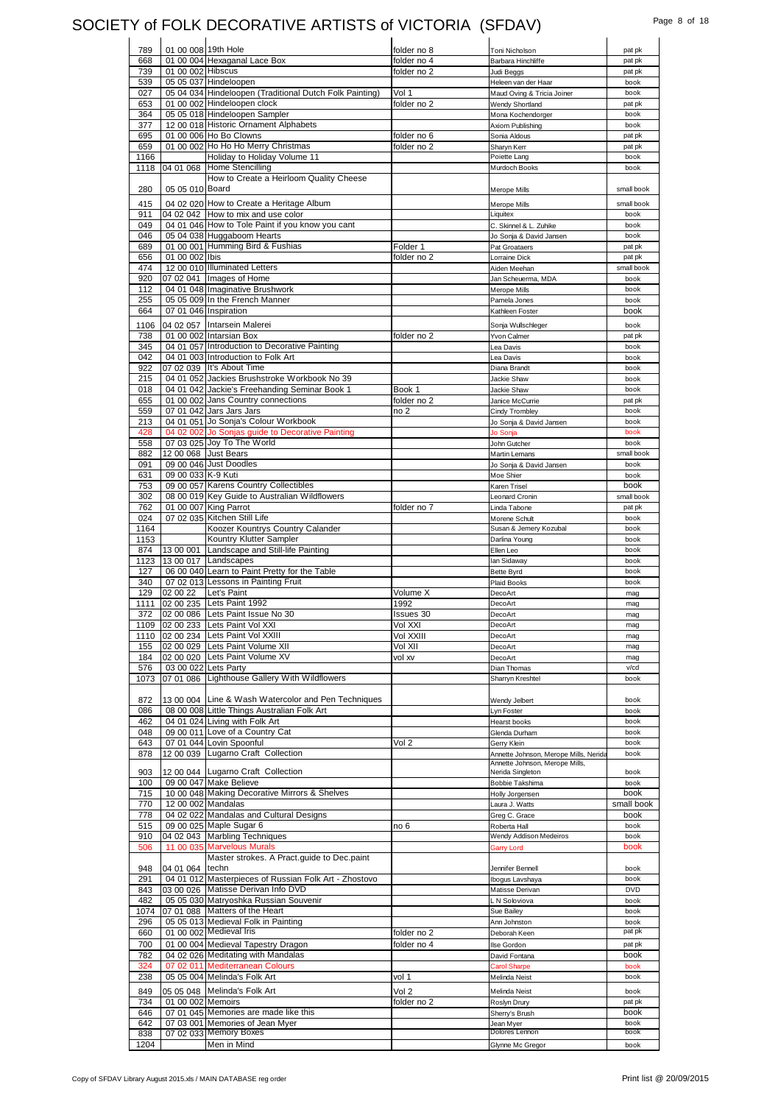### SOCIETY of FOLK DECORATIVE ARTISTS of VICTORIA (SFDAV) Page 8 of 18

| 789         | 01 00 008 19th Hole |                                                                | folder no 8 | Toni Nicholson                        | pat pk         |
|-------------|---------------------|----------------------------------------------------------------|-------------|---------------------------------------|----------------|
| 668         |                     | 01 00 004 Hexaganal Lace Box                                   | folder no 4 | Barbara Hinchliffe                    | pat pk         |
| 739         | 01 00 002 Hibscus   |                                                                | folder no 2 | Judi Beggs                            | pat pk         |
| 539         |                     | 05 05 037 Hindeloopen                                          |             | Heleen van der Haar                   | book           |
| 027         |                     | 05 04 034 Hindeloopen (Traditional Dutch Folk Painting)        | Vol 1       | Maud Oving & Tricia Joiner            | book           |
| 653         |                     | 01 00 002 Hindeloopen clock                                    | folder no 2 | Wendy Shortland                       | pat pk         |
| 364         |                     | 05 05 018 Hindeloopen Sampler                                  |             | Mona Kochendorger                     | book           |
| 377         |                     | 12 00 018 Historic Ornament Alphabets                          |             | Axiom Publishing                      | book           |
| 695         |                     | 01 00 006 Ho Bo Clowns                                         | folder no 6 | Sonia Aldous                          | pat pk         |
| 659         |                     | 01 00 002 Ho Ho Ho Merry Christmas                             | folder no 2 | Sharyn Kerr                           | pat pk         |
| 1166        |                     | Holiday to Holiday Volume 11                                   |             | Poiette Lang                          | book           |
| 1118        | 04 01 068           | Home Stencilling                                               |             | Murdoch Books                         | book           |
|             |                     | How to Create a Heirloom Quality Cheese                        |             |                                       |                |
| 280         | 05 05 010 Board     |                                                                |             | Merope Mills                          | small book     |
|             |                     |                                                                |             |                                       |                |
| 415         |                     | 04 02 020 How to Create a Heritage Album                       |             | <b>Merope Mills</b>                   | small book     |
| 911         |                     | 04 02 042 How to mix and use color                             |             | Liquitex                              | book           |
| 049         |                     | 04 01 046 How to Tole Paint if you know you cant               |             | C. Skinnel & L. Zuhike                | book           |
| 046         |                     | 05 04 038 Huggaboom Hearts                                     |             | Jo Sonja & David Jansen               | book           |
| 689         |                     | 01 00 001 Humming Bird & Fushias                               | Folder 1    | Pat Groataers                         | pat pk         |
| 656         | 01 00 002 Ibis      |                                                                | folder no 2 | Lorraine Dick                         | pat pk         |
| 474         |                     | 12 00 010 Illuminated Letters                                  |             | Aiden Meehan                          | small book     |
| 920         |                     | 07 02 041 Images of Home                                       |             | Jan Scheuerma, MDA                    | book           |
| 112         |                     | 04 01 048 Imaginative Brushwork                                |             | Merope Mills                          | book           |
| 255         |                     | 05 05 009 In the French Manner                                 |             | Pamela Jones                          | book           |
| 664         |                     | 07 01 046 Inspiration                                          |             | Kathleen Foster                       | book           |
| 1106        |                     | 04 02 057 Intarsein Malerei                                    |             | Sonja Wullschleger                    | book           |
|             |                     |                                                                |             |                                       |                |
| 738         |                     | 01 00 002 Intarsian Box                                        | folder no 2 | Yvon Calmer                           | pat pk         |
| 345         |                     | 04 01 057 Introduction to Decorative Painting                  |             | Lea Davis                             | book           |
| 042         |                     | 04 01 003 Introduction to Folk Art                             |             | Lea Davis                             | book           |
| 922         |                     | 07 02 039 It's About Time                                      |             | Diana Brandt                          | book           |
| 215         |                     | 04 01 052 Jackies Brushstroke Workbook No 39                   |             | Jackie Shaw                           | book           |
| 018         |                     | 04 01 042 Jackie's Freehanding Seminar Book 1                  | Book 1      | Jackie Shaw                           | book           |
| 655         |                     | 01 00 002 Jans Country connections                             | folder no 2 | Janice McCurrie                       | pat pk         |
| 559         |                     | 07 01 042 Jars Jars Jars                                       | no 2        | Cindy Trombley                        | book           |
| 213         |                     | 04 01 051 Jo Sonja's Colour Workbook                           |             | Jo Sonja & David Jansen               | book           |
| 428         |                     | 04 02 002 Jo Sonjas guide to Decorative Painting               |             | Jo Sonja                              | book           |
| 558         |                     | 07 03 025 Joy To The World                                     |             | John Gutcher                          | book           |
| 882         |                     | 12 00 068 Just Bears                                           |             | Martin Lemans                         | small book     |
| 091         |                     | 09 00 046 Just Doodles                                         |             | Jo Sonja & David Jansen               | book           |
| 631         | 09 00 033 K-9 Kuti  |                                                                |             | Moe Shier                             | book           |
| 753         |                     | 09 00 057 Karens Country Collectibles                          |             | Karen Trisel                          | book           |
| 302         |                     | 08 00 019 Key Guide to Australian Wildflowers                  |             | Leonard Cronin                        | small book     |
| 762         |                     | 01 00 007 King Parrot                                          | folder no 7 | Linda Tabone                          | pat pk         |
| 024         |                     | 07 02 035 Kitchen Still Life                                   |             | Morene Schult                         | book           |
| 1164        |                     | Koozer Kountrys Country Calander                               |             | Susan & Jemery Kozubal                | book           |
| 1153        |                     | Kountry Klutter Sampler                                        |             | Darlina Young                         | book           |
| 874         | 13 00 001           | Landscape and Still-life Painting                              |             | Ellen Leo                             | book           |
| 1123        | 13 00 017           | Landscapes                                                     |             | lan Sidaway                           | book           |
| 127         |                     | 06 00 040 Learn to Paint Pretty for the Table                  |             |                                       | book           |
| 340         |                     | 07 02 013 Lessons in Painting Fruit                            |             | Bette Byrd                            | book           |
|             |                     | Let's Paint                                                    |             | Plaid Books                           |                |
| 129         | 02 00 22            | Lets Paint 1992                                                | Volume X    | DecoArt                               | mag            |
| 1111        | 02 00 235           |                                                                | 1992        | DecoArt                               | mag            |
| 372         |                     | 02 00 086 Lets Paint Issue No 30                               | Issues 30   | DecoArt                               | mag            |
|             |                     | 1109 02 00 233 Lets Paint Vol XXI                              | Vol XXI     | DecoArt                               | mag            |
| 1110        |                     | 02 00 234 Lets Paint Vol XXIII                                 | Vol XXIII   | DecoArt                               | mag            |
| 155         | 02 00 029           | Lets Paint Volume XII                                          | Vol XII     | DecoArt                               | mag            |
| 184         | 02 00 020           | Lets Paint Volume XV                                           | vol xv      | DecoArt                               | mag            |
| 576         |                     | 03 00 022 Lets Party                                           |             | Dian Thomas                           | v/cd           |
| 1073        | 07 01 086           | Lighthouse Gallery With Wildflowers                            |             | Sharryn Kreshtel                      | book           |
|             |                     |                                                                |             |                                       |                |
| 872         |                     | 13 00 004 Line & Wash Watercolor and Pen Techniques            |             | Wendy Jelbert                         | book           |
| 086         |                     | 08 00 008 Little Things Australian Folk Art                    |             | Lyn Foster                            | book           |
| 462         |                     | 04 01 024 Living with Folk Art                                 |             | Hearst books                          | book           |
| 048         |                     | 09 00 011 Love of a Country Cat                                |             | Glenda Durham                         | book           |
| 643         |                     | 07 01 044 Lovin Spoonful                                       | Vol 2       | Gerry Klein                           | book           |
| 878         | 12 00 039           | Lugarno Craft Collection                                       |             | Annette Johnson, Merope Mills, Nerida | book           |
|             |                     |                                                                |             | Annette Johnson, Merope Mills,        |                |
| 903         |                     | 12 00 044 Lugarno Craft Collection                             |             | Nerida Singleton                      | book           |
| 100         |                     | 09 00 047 Make Believe                                         |             | Bobbie Takshima                       | book           |
| 715         |                     | 10 00 048 Making Decorative Mirrors & Shelves                  |             | Holly Jorgensen                       | book           |
| 770         |                     | 12 00 002 Mandalas                                             |             | Laura J. Watts                        | small book     |
| 778         |                     | 04 02 022 Mandalas and Cultural Designs                        |             | Greg C. Grace                         | book           |
| 515         |                     | 09 00 025 Maple Sugar 6                                        | no 6        | Roberta Hall                          | book           |
| 910         |                     | 04 02 043 Marbling Techniques                                  |             | Wendy Addison Medeiros                | book           |
| 506         | 11 00 035           | <b>Marvelous Murals</b>                                        |             | <b>Garry Lord</b>                     | book           |
|             |                     | Master strokes. A Pract guide to Dec.paint                     |             |                                       |                |
| 948         | 04 01 064           | techn                                                          |             | Jennifer Bennell                      | book           |
| 291         |                     | 04 01 012 Masterpieces of Russian Folk Art - Zhostovo          |             | Ibogus Lavshaya                       | book           |
| 843         |                     | 03 00 026 Matisse Derivan Info DVD                             |             | Matisse Derivan                       | <b>DVD</b>     |
| 482         |                     | 05 05 030 Matryoshka Russian Souvenir                          |             | L N Soloviova                         | book           |
| 1074        |                     | 07 01 088 Matters of the Heart                                 |             | Sue Bailey                            | book           |
|             |                     |                                                                |             |                                       |                |
| 296<br>660  |                     | 05 05 013 Medieval Folk in Painting<br>01 00 002 Medieval Iris |             | Ann Johnston<br>Deborah Keen          | book<br>pat pk |
|             |                     |                                                                | folder no 2 |                                       |                |
| 700         |                     |                                                                | folder no 4 | Ilse Gordon                           | pat pk         |
|             |                     | 01 00 004 Medieval Tapestry Dragon                             |             |                                       |                |
| 782         |                     | 04 02 026 Meditating with Mandalas                             |             | David Fontana                         | book           |
| 324         |                     | 07 02 011 Mediterranean Colours                                |             | <b>Carol Sharpe</b>                   | book           |
| 238         |                     | 05 05 004 Melinda's Folk Art                                   | vol 1       | Melinda Neist                         | book           |
|             |                     |                                                                |             |                                       |                |
| 849         |                     | 05 05 048 Melinda's Folk Art                                   | Vol 2       | Melinda Neist                         | book           |
| 734         | 01 00 002 Memoirs   |                                                                | folder no 2 | Roslyn Drury                          | pat pk         |
| 646         |                     | 07 01 045 Memories are made like this                          |             | Sherry's Brush                        | book           |
| 642         |                     | 07 03 001 Memories of Jean Myer                                |             | Jean Myer                             | book           |
| 838<br>1204 |                     | 07 02 033 Memory Boxes<br>Men in Mind                          |             | Dolores Lennon<br>Glynne Mc Gregor    | book<br>book   |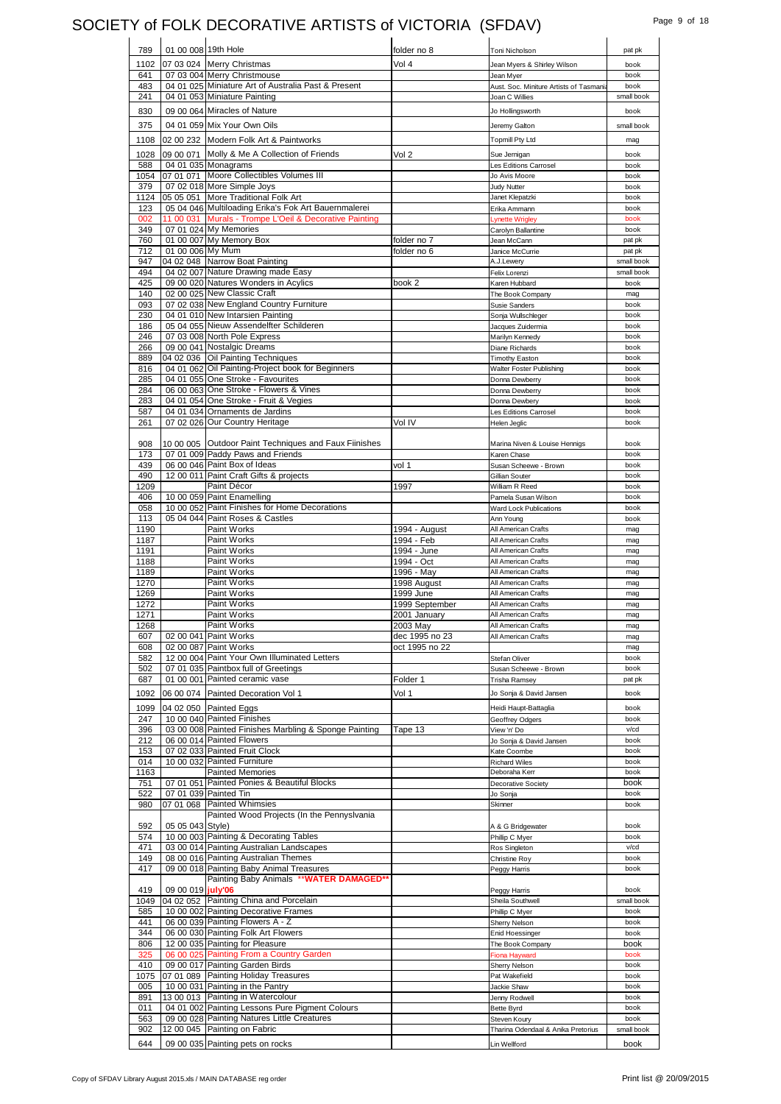# SOCIETY of FOLK DECORATIVE ARTISTS of VICTORIA (SFDAV) Page 9 of 18

| 789         | 01 00 008 19th Hole |                                                        | folder no 8                 | Toni Nicholson                          | pat pk             |
|-------------|---------------------|--------------------------------------------------------|-----------------------------|-----------------------------------------|--------------------|
| 1102        |                     | 07 03 024 Merry Christmas                              | Vol 4                       | Jean Myers & Shirley Wilson             | book               |
| 641         |                     | 07 03 004 Merry Christmouse                            |                             | Jean Myer                               | book               |
| 483         |                     | 04 01 025 Miniature Art of Australia Past & Present    |                             | Aust. Soc. Miniture Artists of Tasmania | book               |
| 241         |                     | 04 01 053 Miniature Painting                           |                             | Joan C Willies                          | small book         |
| 830         |                     | 09 00 064 Miracles of Nature                           |                             | Jo Hollingsworth                        | book               |
|             |                     |                                                        |                             |                                         |                    |
| 375         |                     | 04 01 059 Mix Your Own Oils                            |                             | Jeremy Galton                           | small book         |
| 1108        |                     | 02 00 232 Modern Folk Art & Paintworks                 |                             | <b>Topmill Pty Ltd</b>                  | mag                |
| 1028        |                     | 09 00 071 Molly & Me A Collection of Friends           | Vol 2                       | Sue Jernigan                            | book               |
| 588         |                     | 04 01 035 Monagrams                                    |                             | Les Editions Carrosel                   | book               |
| 1054        |                     | 07 01 071 Moore Collectibles Volumes III               |                             | Jo Avis Moore                           | book               |
| 379         |                     | 07 02 018 More Simple Joys                             |                             | Judy Nutter                             | book               |
| 1124        |                     | 05 05 051 More Traditional Folk Art                    |                             | Janet Klepatzki                         | book               |
| 123         |                     | 05 04 046 Multiloading Erika's Fok Art Bauernmalerei   |                             | Erika Ammann                            | book               |
| 002         |                     | 11 00 031 Murals - Trompe L'Oeil & Decorative Painting |                             | Lynette Wrigley                         | book               |
| 349         |                     | 07 01 024 My Memories                                  |                             | Carolyn Ballantine                      | book               |
| 760         |                     | 01 00 007 My Memory Box                                | folder no 7                 | Jean McCann                             | pat pk             |
| 712         | 01 00 006 My Mum    |                                                        | folder no 6                 | Janice McCurrie                         | pat pk             |
| 947         |                     | 04 02 048 Narrow Boat Painting                         |                             | A.J.Lewery                              | small book         |
| 494         |                     | 04 02 007 Nature Drawing made Easy                     |                             | Felix Lorenzi                           | small book         |
| 425         |                     | 09 00 020 Natures Wonders in Acylics                   | book 2                      | Karen Hubbard                           | book               |
| 140         |                     | 02 00 025 New Classic Craft                            |                             | The Book Company                        | mag                |
| 093         |                     | 07 02 038 New England Country Furniture                |                             | <b>Susie Sanders</b>                    | book               |
| 230         |                     | 04 01 010 New Intarsien Painting                       |                             | Sonja Wullschleger                      | book               |
| 186         |                     | 05 04 055 Nieuw Assendelfter Schilderen                |                             | Jacques Zuidermia                       | book               |
| 246         |                     | 07 03 008 North Pole Express                           |                             | Marilyn Kennedy                         | book               |
| 266         |                     | 09 00 041 Nostalgic Dreams                             |                             | Diane Richards                          | book               |
| 889         |                     | 04 02 036 Oil Painting Techniques                      |                             | <b>Timothy Easton</b>                   | book               |
| 816         |                     | 04 01 062 Oil Painting-Project book for Beginners      |                             | Walter Foster Publishing                | book               |
| 285         |                     | 04 01 055 One Stroke - Favourites                      |                             | Donna Dewberry                          | book               |
| 284         |                     | 06 00 063 One Stroke - Flowers & Vines                 |                             | Donna Dewberry                          | book               |
| 283         |                     | 04 01 054 One Stroke - Fruit & Vegies                  |                             | Donna Dewbery                           | book               |
| 587         |                     | 04 01 034 Ornaments de Jardins                         |                             | Les Editions Carrosel                   | book               |
| 261         |                     | 07 02 026 Our Country Heritage                         | Vol IV                      | Helen Jeglic                            | book               |
|             |                     |                                                        |                             |                                         |                    |
| 908         |                     | 10 00 005 Outdoor Paint Techniques and Faux Fiinishes  |                             | Marina Niven & Louise Hennigs           | book               |
| 173         |                     | 07 01 009 Paddy Paws and Friends                       |                             | Karen Chase                             | book               |
| 439         |                     | 06 00 046 Paint Box of Ideas                           | vol 1                       | Susan Scheewe - Brown                   | book               |
| 490         |                     | 12 00 011 Paint Craft Gifts & projects                 |                             | Gillian Souter<br>William R Reed        | book               |
| 1209<br>406 |                     | Paint Décor<br>10 00 059 Paint Enamelling              | 1997                        |                                         | book               |
| 058         |                     | 10 00 052 Paint Finishes for Home Decorations          |                             | Pamela Susan Wilson                     | book<br>book       |
| 113         |                     | 05 04 044 Paint Roses & Castles                        |                             | Ward Lock Publications                  | book               |
| 1190        |                     | Paint Works                                            |                             | Ann Young<br>All American Crafts        |                    |
|             |                     | Paint Works                                            | 1994 - August<br>1994 - Feb | All American Crafts                     | mag                |
| 1187        |                     |                                                        |                             |                                         | mag                |
|             |                     |                                                        |                             |                                         |                    |
| 1191        |                     | Paint Works                                            | 1994 - June                 | All American Crafts                     | mag                |
| 1188        |                     | Paint Works                                            | 1994 - Oct                  | All American Crafts                     | mag                |
| 1189        |                     | Paint Works                                            | 1996 - May                  | All American Crafts                     | mag                |
| 1270        |                     | Paint Works                                            | 1998 August                 | All American Crafts                     | mag                |
| 1269        |                     | Paint Works                                            | 1999 June                   | All American Crafts                     | mag                |
| 1272        |                     | Paint Works                                            | 1999 September              | All American Crafts                     | mag                |
| 1271        |                     | Paint Works                                            | 2001 Januarv                | All American Crafts                     | mag                |
| 1268        |                     | Paint Works                                            | 2003 May                    | All American Crafts                     | mag                |
| 607         |                     | 02 00 041 Paint Works                                  | dec 1995 no 23              | All American Crafts                     | mag                |
| 608         |                     | 02 00 087 Paint Works                                  | oct 1995 no 22              |                                         | mag                |
| 582         |                     | 12 00 004 Paint Your Own Illuminated Letters           |                             | Stefan Oliver                           | book               |
| 502         |                     | 07 01 035 Paintbox full of Greetings                   |                             | Susan Scheewe - Brown                   | book               |
| 687         |                     | 01 00 001 Painted ceramic vase                         | Folder 1                    | <b>Trisha Ramsey</b>                    | pat pk             |
| 1092        |                     | 06 00 074 Painted Decoration Vol 1                     | Vol 1                       | Jo Sonja & David Jansen                 | book               |
| 1099        |                     | 04 02 050 Painted Eggs                                 |                             | Heidi Haupt-Battaglia                   | book               |
| 247         |                     | 10 00 040 Painted Finishes                             |                             | Geoffrey Odgers                         | book               |
| 396         |                     | 03 00 008 Painted Finishes Marbling & Sponge Painting  | Tape 13                     | View 'n' Do                             | v/cd               |
| 212         |                     | 06 00 014 Painted Flowers                              |                             | Jo Sonja & David Jansen                 | book               |
| 153         |                     | 07 02 033 Painted Fruit Clock                          |                             | Kate Coombe                             | book               |
| 014         |                     | 10 00 032 Painted Furniture                            |                             | <b>Richard Wiles</b>                    | book               |
| 1163        |                     | <b>Painted Memories</b>                                |                             | Deboraha Kerr                           | book               |
| 751         |                     | 07 01 051 Painted Ponies & Beautiful Blocks            |                             | Decorative Society                      | book               |
| 522         |                     | 07 01 039 Painted Tin                                  |                             | Jo Sonja                                | book               |
| 980         |                     | 07 01 068 Painted Whimsies                             |                             | Skinner                                 | book               |
|             |                     | Painted Wood Projects (In the Pennyslvania             |                             |                                         |                    |
| 592         | 05 05 043 Style)    |                                                        |                             | A & G Bridgewater                       | book               |
| 574         |                     | 10 00 003 Painting & Decorating Tables                 |                             | Phillip C Myer                          | book               |
| 471         |                     | 03 00 014 Painting Australian Landscapes               |                             | Ros Singleton                           | v/cd               |
| 149         |                     | 08 00 016 Painting Australian Themes                   |                             | Christine Roy                           | book               |
| 417         |                     | 09 00 018 Painting Baby Animal Treasures               |                             | Peggy Harris                            | book               |
|             |                     | Painting Baby Animals ** WATER DAMAGED*                |                             |                                         |                    |
| 419         | 09 00 019 july'06   |                                                        |                             | Peggy Harris                            | book               |
| 1049        |                     | 04 02 052 Painting China and Porcelain                 |                             | Sheila Southwell                        |                    |
| 585         |                     | 10 00 002 Painting Decorative Frames                   |                             | Phillip C Myer                          | book               |
| 441         |                     | 06 00 039 Painting Flowers A - Z                       |                             | Sherry Nelson                           | book               |
| 344         |                     | 06 00 030 Painting Folk Art Flowers                    |                             | Enid Hoessinger                         | book               |
| 806         |                     | 12 00 035 Painting for Pleasure                        |                             | The Book Company                        | book               |
| 325         |                     | 06 00 025 Painting From a Country Garden               |                             | <b>Fiona Hayward</b>                    | book               |
| 410         |                     | 09 00 017 Painting Garden Birds                        |                             | Sherry Nelson                           | book               |
| 1075        |                     | 07 01 089 Painting Holiday Treasures                   |                             | Pat Wakefield                           | book               |
| 005         |                     | 10 00 031 Painting in the Pantry                       |                             | Jackie Shaw                             | book               |
| 891         |                     | 13 00 013 Painting in Watercolour                      |                             | Jenny Rodwell                           | book               |
| 011         |                     | 04 01 002 Painting Lessons Pure Pigment Colours        |                             | Bette Byrd                              | book               |
| 563         |                     | 09 00 028 Painting Natures Little Creatures            |                             | Steven Koury                            | small book<br>book |
| 902         |                     | 12 00 045 Painting on Fabric                           |                             | Tharina Odendaal & Anika Pretorius      | small book         |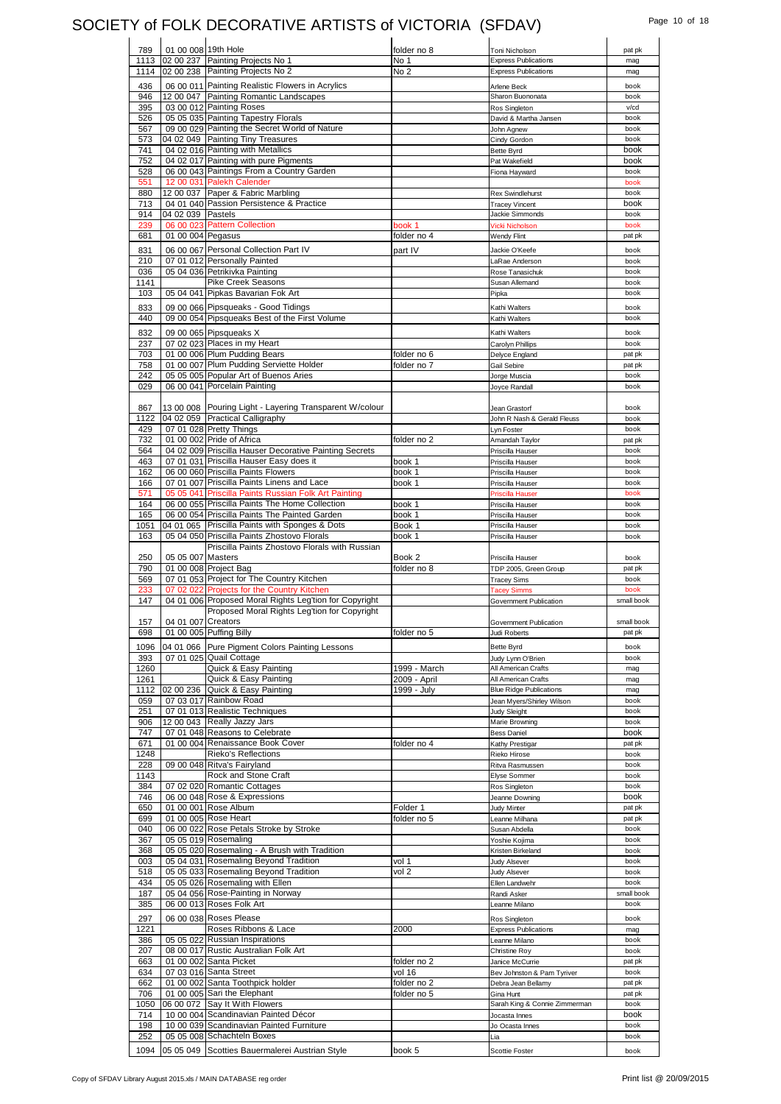## SOCIETY of FOLK DECORATIVE ARTISTS of VICTORIA (SFDAV) Page 10 of 18

| 789<br>01 00 008 19th Hole<br>folder no 8                                                         | Toni Nicholson                 | pat pk                                                                       |
|---------------------------------------------------------------------------------------------------|--------------------------------|------------------------------------------------------------------------------|
| 02 00 237 Painting Projects No 1<br>1113<br>No 1                                                  | <b>Express Publications</b>    | mag                                                                          |
| 02 00 238 Painting Projects No 2<br>No <sub>2</sub><br>1114                                       | <b>Express Publications</b>    | mag                                                                          |
| 06 00 011 Painting Realistic Flowers in Acrylics<br>436                                           | Arlene Beck                    | book                                                                         |
|                                                                                                   |                                |                                                                              |
| 946<br>12 00 047 Painting Romantic Landscapes                                                     | Sharon Buononata               | book                                                                         |
| 03 00 012 Painting Roses<br>395                                                                   | Ros Singleton                  | v/cd                                                                         |
| 05 05 035 Painting Tapestry Florals<br>526                                                        | David & Martha Jansen          | book                                                                         |
| 09 00 029 Painting the Secret World of Nature<br>567                                              | John Agnew                     | book                                                                         |
| 04 02 049 Painting Tiny Treasures<br>573                                                          | Cindy Gordon                   | book                                                                         |
| 741<br>04 02 016 Painting with Metallics                                                          | Bette Byrd                     | book                                                                         |
| 04 02 017 Painting with pure Pigments<br>752                                                      | Pat Wakefield                  | book                                                                         |
| 06 00 043 Paintings From a Country Garden<br>528                                                  | Fiona Hayward                  | book                                                                         |
| 12 00 031 Palekh Calender<br>551                                                                  |                                | book                                                                         |
| 12 00 037 Paper & Fabric Marbling<br>880                                                          | <b>Rex Swindlehurst</b>        | book                                                                         |
| 04 01 040 Passion Persistence & Practice<br>713                                                   | <b>Tracey Vincent</b>          | book                                                                         |
| 914<br>04 02 039 Pastels                                                                          | Jackie Simmonds                | book                                                                         |
| 239<br>06 00 023 Pattern Collection<br>book 1                                                     | Vicki Nicholson                | book                                                                         |
| 01 00 004 Pegasus<br>folder no 4<br>681                                                           | Wendy Flint                    | pat pk                                                                       |
|                                                                                                   |                                |                                                                              |
| 06 00 067 Personal Collection Part IV<br>831<br>part IV                                           | Jackie O'Keefe                 | book                                                                         |
| 210<br>07 01 012 Personally Painted                                                               | LaRae Anderson                 | book                                                                         |
| 036<br>05 04 036 Petrikivka Painting                                                              | Rose Tanasichuk                | book                                                                         |
| Pike Creek Seasons<br>1141                                                                        | Susan Allemand                 | book                                                                         |
| 103<br>05 04 041 Pipkas Bavarian Fok Art                                                          | Pipka                          | book                                                                         |
| 09 00 066 Pipsqueaks - Good Tidings<br>833                                                        | Kathi Walters                  | book                                                                         |
| 440                                                                                               |                                | book                                                                         |
| 09 00 054 Pipsqueaks Best of the First Volume                                                     | Kathi Walters                  |                                                                              |
| 832<br>09 00 065 Pipsqueaks X                                                                     | Kathi Walters                  | book                                                                         |
| 237<br>07 02 023 Places in my Heart                                                               | Carolyn Phillips               | book                                                                         |
| 01 00 006 Plum Pudding Bears<br>703<br>folder no 6                                                | Delyce England                 | pat pk                                                                       |
| 01 00 007 Plum Pudding Serviette Holder<br>758<br>folder no 7                                     | Gail Sebire                    | pat pk                                                                       |
| 05 05 005 Popular Art of Buenos Aries<br>242                                                      | Jorge Muscia                   | book                                                                         |
| 029<br>06 00 041 Porcelain Painting                                                               | Joyce Randall                  | book                                                                         |
|                                                                                                   |                                |                                                                              |
|                                                                                                   |                                |                                                                              |
| 13 00 008 Pouring Light - Layering Transparent W/colour<br>867<br>04 02 059 Practical Calligraphy | Jean Grastorf                  | book                                                                         |
| 1122                                                                                              | John R Nash & Gerald Fleuss    | book                                                                         |
| 429<br>07 01 028 Pretty Things                                                                    | Lyn Foster                     | book                                                                         |
| 01 00 002 Pride of Africa<br>732<br>folder no 2                                                   | Amandah Taylor                 | pat pk                                                                       |
| 04 02 009 Priscilla Hauser Decorative Painting Secrets<br>564                                     | Priscilla Hauser               | book                                                                         |
| 463<br>07 01 031 Priscilla Hauser Easy does it<br>book 1                                          | Priscilla Hauser               | book                                                                         |
| 06 00 060 Priscilla Paints Flowers<br>162<br>book 1                                               | Priscilla Hauser               | book                                                                         |
| 07 01 007 Priscilla Paints Linens and Lace<br>book 1<br>166                                       | Priscilla Hauser               | book                                                                         |
| 05 05 041 Priscilla Paints Russian Folk Art Painting<br>571                                       | Priscilla Hauser               | book                                                                         |
| 06 00 055 Priscilla Paints The Home Collection<br>164<br>book 1                                   | Priscilla Hauser               | book                                                                         |
| 06 00 054 Priscilla Paints The Painted Garden<br>165<br>book 1                                    | Priscilla Hauser               | book                                                                         |
| 04 01 065 Priscilla Paints with Sponges & Dots<br>1051<br>Book 1                                  | Priscilla Hauser               | book                                                                         |
| 05 04 050 Priscilla Paints Zhostovo Florals<br>163<br>book 1                                      |                                | book                                                                         |
|                                                                                                   | Priscilla Hauser               |                                                                              |
|                                                                                                   |                                |                                                                              |
| Priscilla Paints Zhostovo Florals with Russian                                                    |                                |                                                                              |
| 250<br>05 05 007 Masters<br>Book 2                                                                | Priscilla Hauser               | book                                                                         |
| 790<br>01 00 008 Project Bag<br>folder no 8                                                       | TDP 2005, Green Group          |                                                                              |
| 07 01 053 Project for The Country Kitchen<br>569                                                  | <b>Tracey Sims</b>             | book                                                                         |
| 07 02 022 Projects for the Country Kitchen<br>233                                                 | <b>Tacey Simms</b>             | book                                                                         |
| 147<br>04 01 006 Proposed Moral Rights Leg'tion for Copyright                                     | Government Publication         | pat pk                                                                       |
| Proposed Moral Rights Leg'tion for Copyright                                                      |                                |                                                                              |
| 04 01 007 Creators<br>157                                                                         | Government Publication         |                                                                              |
| 698<br>01 00 005 Puffing Billy<br>folder no 5                                                     | Judi Roberts                   |                                                                              |
|                                                                                                   |                                |                                                                              |
| 1096<br>04 01 066 Pure Pigment Colors Painting Lessons                                            | Bette Byrd                     | book                                                                         |
| 07 01 025 Quail Cottage<br>393                                                                    | Judy Lynn O'Brien              | book                                                                         |
| 1260<br>Quick & Easy Painting<br>1999 - March                                                     | All American Crafts            | mag                                                                          |
| 1261<br>Quick & Easy Painting<br>2009 - April                                                     | All American Crafts            | mag                                                                          |
| 02 00 236 Quick & Easy Painting<br>1112<br>1999 - July                                            | <b>Blue Ridge Publications</b> | mag                                                                          |
| 07 03 017 Rainbow Road<br>059                                                                     | Jean Myers/Shirley Wilson      | book                                                                         |
| 251<br>07 01 013 Realistic Techniques                                                             | Judy Sleight                   | book                                                                         |
| 12 00 043 Really Jazzy Jars<br>906                                                                | Marie Browning                 | book                                                                         |
| 747<br>07 01 048 Reasons to Celebrate                                                             | <b>Bess Daniel</b>             |                                                                              |
| 671<br>01 00 004 Renaissance Book Cover<br>folder no 4                                            | Kathy Prestigar                |                                                                              |
| 1248<br>Rieko's Reflections                                                                       | Rieko Hirose                   | book                                                                         |
| 228<br>09 00 048 Ritva's Fairyland                                                                | Ritva Rasmussen                | book                                                                         |
| 1143<br>Rock and Stone Craft                                                                      | Elyse Sommer                   | book                                                                         |
| 384<br>07 02 020 Romantic Cottages                                                                | Ros Singleton                  | book                                                                         |
| 746                                                                                               |                                |                                                                              |
| 06 00 048 Rose & Expressions                                                                      | Jeanne Downing                 |                                                                              |
| 650<br>01 00 001 Rose Album<br>Folder 1                                                           | Judy Minter                    |                                                                              |
| 01 00 005 Rose Heart<br>699<br>folder no 5                                                        | Leanne Milhana                 |                                                                              |
| 06 00 022 Rose Petals Stroke by Stroke<br>040                                                     | Susan Abdella                  | book                                                                         |
| 367<br>05 05 019 Rosemaling                                                                       | Yoshie Kojima                  |                                                                              |
| 05 05 020 Rosemaling - A Brush with Tradition<br>368                                              | Kristen Birkeland              | book                                                                         |
| 05 04 031 Rosemaling Beyond Tradition<br>003<br>vol 1                                             | <b>Judy Alsever</b>            | book<br>book                                                                 |
| 05 05 033 Rosemaling Beyond Tradition<br>518<br>vol 2                                             | <b>Judy Alsever</b>            | book                                                                         |
| 434<br>05 05 026 Rosemaling with Ellen                                                            | Ellen Landwehr                 | book                                                                         |
| 05 04 056 Rose-Painting in Norway<br>187                                                          | Randi Asker                    |                                                                              |
| 385<br>06 00 013 Roses Folk Art                                                                   | Leanne Milano                  | book                                                                         |
|                                                                                                   |                                |                                                                              |
| 297<br>06 00 038 Roses Please                                                                     | Ros Singleton                  | book                                                                         |
| 1221<br>Roses Ribbons & Lace<br>2000                                                              | <b>Express Publications</b>    | mag                                                                          |
| 05 05 022 Russian Inspirations<br>386                                                             | Leanne Milano                  | book                                                                         |
| 08 00 017 Rustic Australian Folk Art<br>207                                                       | Christine Roy                  |                                                                              |
| 01 00 002 Santa Picket<br>663<br>folder no 2                                                      | Janice McCurrie                | book                                                                         |
| 07 03 016 Santa Street<br>634<br>vol 16                                                           | Bev Johnston & Pam Tyriver     | book                                                                         |
| 01 00 002 Santa Toothpick holder<br>662<br>folder no 2                                            | Debra Jean Bellamy             |                                                                              |
|                                                                                                   |                                |                                                                              |
| 01 00 005 Sari the Elephant<br>706<br>folder no 5                                                 | Gina Hunt                      |                                                                              |
| 06 00 072 Say It With Flowers<br>1050                                                             | Sarah King & Connie Zimmerman  | pat pk<br>book<br>pat pk<br>book<br>pat pk<br>pat pk<br>book                 |
| 714<br>10 00 004 Scandinavian Painted Décor                                                       | Jocasta Innes                  | small book<br>small book<br>pat pk<br>small book<br>pat pk<br>pat pk<br>book |
| 10 00 039 Scandinavian Painted Furniture<br>198                                                   | Jo Ocasta Innes                | book                                                                         |
| 252<br>05 05 008 Schachteln Boxes                                                                 | Lia                            | book                                                                         |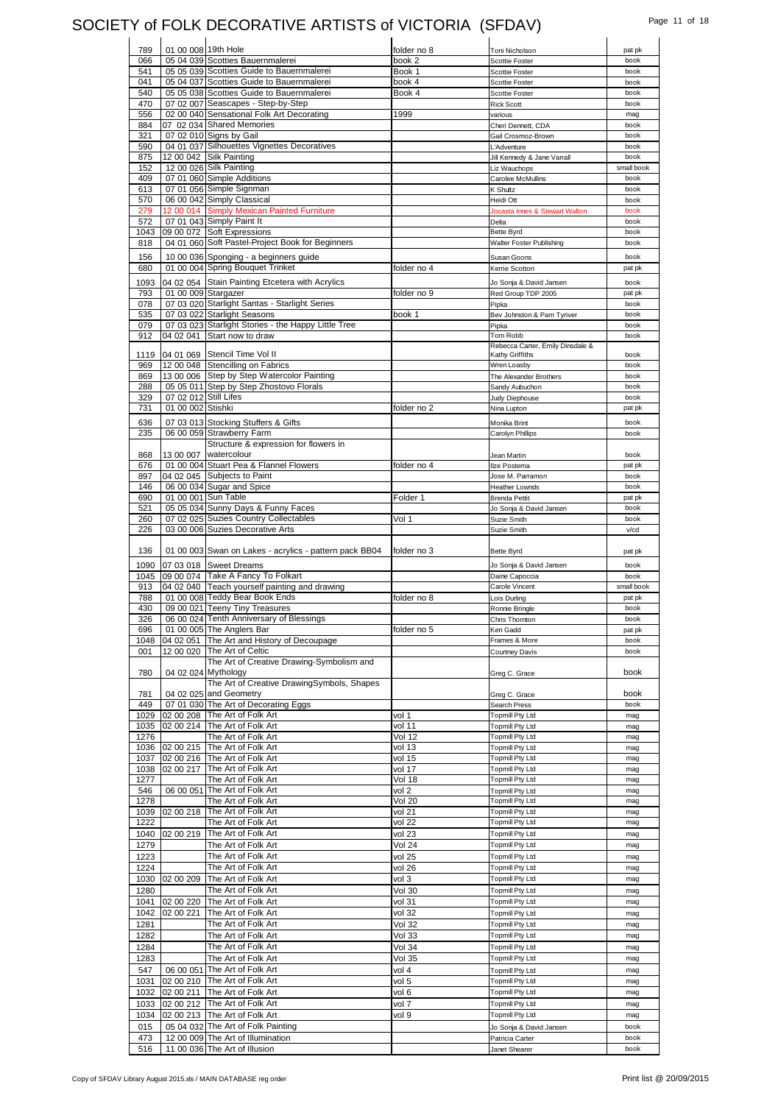# SOCIETY of FOLK DECORATIVE ARTISTS of VICTORIA (SFDAV) Page 11 of 18

| 789        | 01 00 008 19th Hole   |                                                                    | folder no 8   | Toni Nicholson                   | pat pk       |
|------------|-----------------------|--------------------------------------------------------------------|---------------|----------------------------------|--------------|
| 066        |                       | 05 04 039 Scotties Bauernmalerei                                   | book 2        | Scottie Foster                   | book         |
| 541        |                       | 05 05 039 Scotties Guide to Bauernmalerei                          | Book 1        | <b>Scottie Foster</b>            | book         |
| 041        |                       | 05 04 037 Scotties Guide to Bauernmalerei                          | book 4        | <b>Scottie Foster</b>            | book         |
| 540        |                       | 05 05 038 Scotties Guide to Bauernmalerei                          | Book 4        | Scottie Foster                   | book         |
| 470        |                       | 07 02 007 Seascapes - Step-by-Step                                 |               |                                  |              |
|            |                       |                                                                    |               | <b>Rick Scott</b>                | book         |
| 556        |                       | 02 00 040 Sensational Folk Art Decorating                          | 1999          | various                          | mag          |
| 884        |                       | 07 02 034 Shared Memories                                          |               | Cheri Dennett, CDA               | book         |
| 321        |                       | 07 02 010 Signs by Gail                                            |               | Gail Crosmoz-Brown               | book         |
| 590        |                       | 04 01 037 Silhouettes Vignettes Decoratives                        |               | L'Adventure                      | book         |
| 875        |                       | 12 00 042 Silk Painting                                            |               |                                  | book         |
|            |                       |                                                                    |               | Jill Kennedy & Jane Varrall      |              |
| 152        |                       | 12 00 026 Silk Painting                                            |               | Liz Wauchops                     | small book   |
| 409        |                       | 07 01 060 Simple Additions                                         |               | Carolee McMullins                | book         |
| 613        |                       | 07 01 056 Simple Signman                                           |               | K Shultz                         | book         |
| 570        |                       | 06 00 042 Simply Classical                                         |               | Heidi Ott                        | book         |
| 279        |                       | 12 00 014 Simply Mexican Painted Furniture                         |               |                                  | book         |
|            |                       |                                                                    |               | Jocasta Innes & Stewart Walton   |              |
| 572        |                       | 07 01 043 Simply Paint It                                          |               | Delta                            | book         |
| 1043       |                       | 09 00 072 Soft Expressions                                         |               | Bette Byrd                       | book         |
| 818        |                       | 04 01 060 Soft Pastel-Project Book for Beginners                   |               | Walter Foster Publishing         | book         |
|            |                       |                                                                    |               |                                  |              |
| 156        |                       | 10 00 036 Sponging - a beginners guide                             |               | Susan Goons                      | book         |
| 680        |                       | 01 00 004 Spring Bouquet Trinket                                   | folder no 4   | Kerrie Scotton                   | pat pk       |
| 1093       |                       | 04 02 054 Stain Painting Etcetera with Acrylics                    |               | Jo Sonja & David Jansen          | book         |
|            |                       |                                                                    |               |                                  |              |
| 793        | 01 00 009 Stargazer   |                                                                    | folder no 9   | Red Group TDP 2005               | pat pk       |
| 078        |                       | 07 03 020 Starlight Santas - Starlight Series                      |               | Pipka                            | book         |
| 535        |                       | 07 03 022 Starlight Seasons                                        | book 1        | Bev Johnston & Pam Tyriver       | book         |
| 079        |                       | 07 03 023 Starlight Stories - the Happy Little Tree                |               | Pipka                            | book         |
| 912        |                       | 04 02 041 Start now to draw                                        |               | Tom Robb                         | book         |
|            |                       |                                                                    |               | Rebecca Carter, Emily Dinsdale & |              |
|            |                       |                                                                    |               |                                  |              |
| 1119       |                       | 04 01 069 Stencil Time Vol II                                      |               | Kathy Griffiths                  | book         |
| 969        |                       | 12 00 048 Stencilling on Fabrics                                   |               | Wren Loasby                      | book         |
| 869        |                       | 13 00 006 Step by Step Watercolor Painting                         |               | The Alexander Brothers           | book         |
| 288        |                       | 05 05 011 Step by Step Zhostovo Florals                            |               | Sandy Aubuchon                   | book         |
| 329        | 07 02 012 Still Lifes |                                                                    |               | Judy Diephouse                   | book         |
|            |                       |                                                                    |               |                                  |              |
| 731        | 01 00 002 Stishki     |                                                                    | folder no 2   | Nina Lupton                      | pat pk       |
| 636        |                       | 07 03 013 Stocking Stuffers & Gifts                                |               | Monika Brint                     | book         |
| 235        |                       | 06 00 059 Strawberry Farm                                          |               | Carolyn Phillips                 | book         |
|            |                       |                                                                    |               |                                  |              |
|            |                       | Structure & expression for flowers in                              |               |                                  |              |
| 868        |                       | 13 00 007 watercolour                                              |               | Jean Martin                      | book         |
| 676        |                       | 01 00 004 Stuart Pea & Flannel Flowers                             | folder no 4   | Ilze Postema                     | pat pk       |
| 897        |                       | 04 02 045 Subjects to Paint                                        |               | Jose M. Parramon                 | book         |
| 146        |                       | 06 00 034 Sugar and Spice                                          |               | <b>Heather Lownds</b>            | book         |
|            |                       |                                                                    |               |                                  |              |
| 690        |                       | 01 00 001 Sun Table                                                | Folder 1      | <b>Brenda Pettit</b>             | pat pk       |
| 521        |                       | 05 05 034 Sunny Days & Funny Faces                                 |               | Jo Sonja & David Jansen          | book         |
| 260        |                       | 07 02 025 Suzies Country Collectables                              | Vol 1         | Suzie Smith                      | book         |
| 226        |                       | 03 00 006 Suzies Decorative Arts                                   |               | Suzie Smith                      | v/cd         |
|            |                       |                                                                    |               |                                  |              |
|            |                       |                                                                    |               |                                  |              |
| 136        |                       | 01 00 003 Swan on Lakes - acrylics - pattern pack BB04             | folder no 3   | Bette Byrd                       | pat pk       |
| 1090       |                       | 07 03 018 Sweet Dreams                                             |               | Jo Sonja & David Jansen          | book         |
| 1045       |                       | 09 00 074 Take A Fancy To Folkart                                  |               | Daine Capoccia                   | book         |
|            |                       |                                                                    |               |                                  |              |
| 913        |                       | 04 02 040 Teach yourself painting and drawing                      |               | Carole Vincent                   | small book   |
| 788        |                       | 01 00 008 Teddy Bear Book Ends                                     | folder no 8   | Lois Durling                     | pat pk       |
| 430        |                       | 09 00 021 Teeny Tiny Treasures                                     |               | Ronnie Bringle                   | book         |
| 326        |                       | 06 00 024 Tenth Anniversary of Blessings                           |               | Chris Thornton                   | book         |
|            |                       | 01 00 005 The Anglers Bar                                          |               |                                  |              |
| 696        |                       |                                                                    | tolder no 5   | Ken Gadd                         | pat pk       |
| 1048       |                       | 04 02 051 The Art and History of Decoupage                         |               | Frames & More                    | book         |
| 001        |                       | 12 00 020 The Art of Celtic                                        |               | <b>Courtney Davis</b>            | book         |
|            |                       | The Art of Creative Drawing-Symbolism and                          |               |                                  |              |
| 780        |                       | 04 02 024 Mythology                                                |               | Greg C. Grace                    | book         |
|            |                       | The Art of Creative DrawingSymbols, Shapes                         |               |                                  |              |
|            |                       |                                                                    |               |                                  |              |
| 781        |                       | 04 02 025 and Geometry                                             |               | Greg C. Grace                    | book         |
| 449        |                       | 07 01 030 The Art of Decorating Eggs                               |               | Search Press                     | book         |
| 1029       |                       | 02 00 208 The Art of Folk Art                                      | vol 1         | <b>Topmill Pty Ltd</b>           | mag          |
| 1035       | 02 00 214             | The Art of Folk Art                                                | vol 11        | <b>Topmill Pty Ltd</b>           | mag          |
| 1276       |                       | The Art of Folk Art                                                | Vol 12        | <b>Topmill Pty Ltd</b>           | mag          |
|            |                       |                                                                    |               | <b>Topmill Pty Ltd</b>           |              |
|            | 1036 02 00 215        | The Art of Folk Art                                                | vol 13        |                                  | mag          |
| 1037       | 02 00 216             | The Art of Folk Art                                                | vol 15        | <b>Topmill Pty Ltd</b>           | mag          |
| 1038       | 02 00 217             | The Art of Folk Art                                                | vol 17        | Topmill Pty Ltd                  | mag          |
| 1277       |                       | The Art of Folk Art                                                | Vol 18        | <b>Topmill Pty Ltd</b>           | mag          |
| 546        |                       |                                                                    |               |                                  |              |
|            |                       |                                                                    |               |                                  |              |
|            | 06 00 051             | The Art of Folk Art                                                | vol 2         | <b>Topmill Pty Ltd</b>           | mag          |
| 1278       |                       | The Art of Folk Art                                                | Vol 20        | Topmill Pty Ltd                  | mag          |
| 1039       | 02 00 218             | The Art of Folk Art                                                | vol 21        | <b>Topmill Pty Ltd</b>           | mag          |
| 1222       |                       | The Art of Folk Art                                                | vol 22        | <b>Topmill Pty Ltd</b>           | mag          |
|            |                       |                                                                    |               |                                  |              |
| 1040       | 02 00 219             | The Art of Folk Art                                                | vol 23        | <b>Topmill Pty Ltd</b>           | mag          |
| 1279       |                       | The Art of Folk Art                                                | <b>Vol 24</b> | <b>Topmill Pty Ltd</b>           | mag          |
| 1223       |                       | The Art of Folk Art                                                | vol 25        | Topmill Pty Ltd                  | mag          |
| 1224       |                       |                                                                    | vol 26        | Topmill Pty Ltd                  | mag          |
|            |                       | The Art of Folk Art                                                |               |                                  |              |
| 1030       | 02 00 209             | The Art of Folk Art                                                | vol 3         | <b>Topmill Pty Ltd</b>           | mag          |
| 1280       |                       | The Art of Folk Art                                                | Vol 30        | <b>Topmill Pty Ltd</b>           | mag          |
| 1041       | 02 00 220             | The Art of Folk Art                                                | vol 31        | <b>Topmill Pty Ltd</b>           | mag          |
|            |                       |                                                                    |               |                                  |              |
| 1042       | 02 00 221             | The Art of Folk Art                                                | vol 32        | <b>Topmill Pty Ltd</b>           | mag          |
| 1281       |                       | The Art of Folk Art                                                | Vol 32        | <b>Topmill Pty Ltd</b>           | mag          |
| 1282       |                       | The Art of Folk Art                                                | Vol 33        | <b>Topmill Pty Ltd</b>           | mag          |
| 1284       |                       | The Art of Folk Art                                                | Vol 34        | <b>Topmill Pty Ltd</b>           | mag          |
|            |                       |                                                                    |               |                                  |              |
| 1283       |                       | The Art of Folk Art                                                | Vol 35        | Topmill Pty Ltd                  | mag          |
| 547        |                       | 06 00 051 The Art of Folk Art                                      | vol 4         | <b>Topmill Pty Ltd</b>           | mag          |
|            |                       |                                                                    |               | <b>Topmill Pty Ltd</b>           | mag          |
| 1031       |                       | 02 00 210 The Art of Folk Art                                      | vol 5         |                                  |              |
| 1032       |                       | 02 00 211 The Art of Folk Art                                      | vol 6         | <b>Topmill Pty Ltd</b>           | mag          |
| 1033       |                       | 02 00 212 The Art of Folk Art                                      | vol 7         | Topmill Pty Ltd                  | mag          |
| 1034       |                       | 02 00 213 The Art of Folk Art                                      | vol 9         | <b>Topmill Pty Ltd</b>           | mag          |
|            |                       |                                                                    |               |                                  | book         |
| 015        |                       | 05 04 032 The Art of Folk Painting                                 |               | Jo Sonja & David Jansen          |              |
| 473<br>516 |                       | 12 00 009 The Art of Illumination<br>11 00 036 The Art of Illusion |               | Patricia Carter<br>Janet Shearer | book<br>book |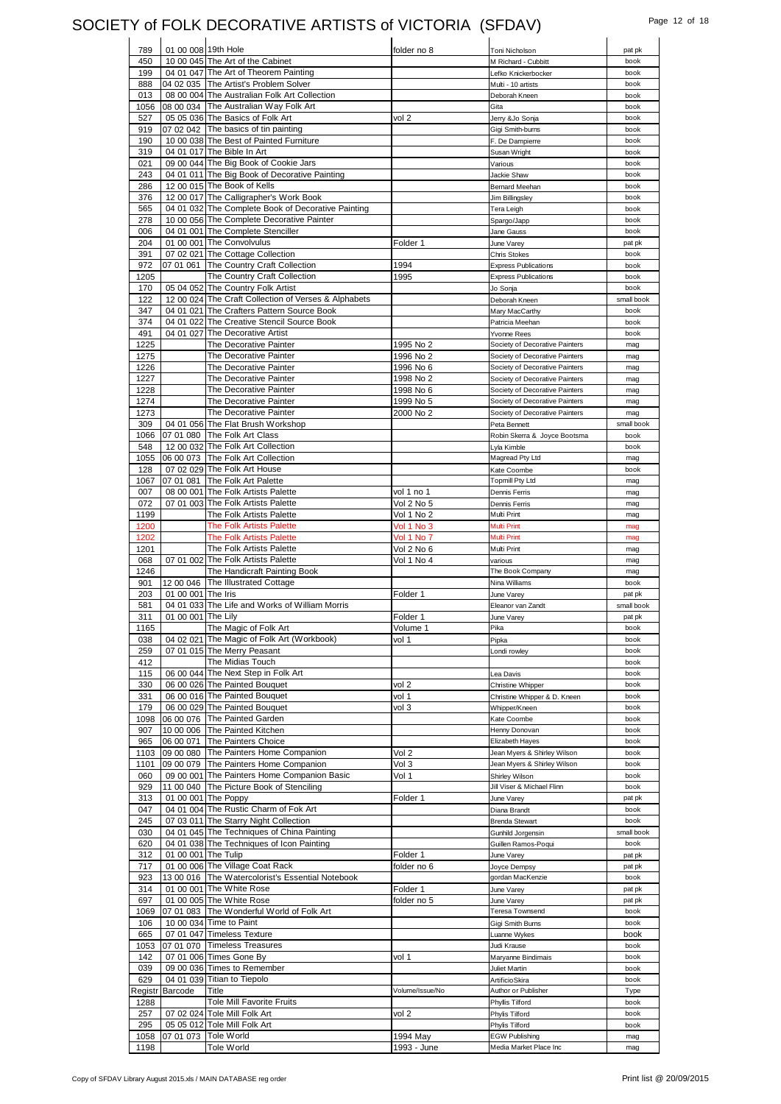# SOCIETY of FOLK DECORATIVE ARTISTS of VICTORIA (SFDAV) Page 12 of 18

| 789         | 01 00 008 19th Hole |                                                            | folder no 8     | Toni Nicholson                    | pat pk       |
|-------------|---------------------|------------------------------------------------------------|-----------------|-----------------------------------|--------------|
| 450         |                     | 10 00 045 The Art of the Cabinet                           |                 | M Richard - Cubbitt               | book         |
| 199         |                     | 04 01 047 The Art of Theorem Painting                      |                 | Lefko Knickerbocker               | book         |
| 888         |                     | 04 02 035 The Artist's Problem Solver                      |                 | Multi - 10 artists                | book         |
| 013         |                     | 08 00 004 The Australian Folk Art Collection               |                 | Deborah Kneen                     | book         |
| 1056        |                     | 08 00 034 The Australian Way Folk Art                      |                 | Gita                              | book         |
| 527         |                     | 05 05 036 The Basics of Folk Art                           | vol 2           | Jerry &Jo Sonja                   | book         |
| 919         |                     | 07 02 042 The basics of tin painting                       |                 | Gigi Smith-burns                  | book         |
| 190         |                     | 10 00 038 The Best of Painted Furniture                    |                 | F. De Dampierre                   | book         |
| 319         |                     | 04 01 017 The Bible In Art                                 |                 | Susan Wright                      | book         |
| 021         |                     | 09 00 044 The Big Book of Cookie Jars                      |                 | Various                           | book         |
| 243         |                     | 04 01 011 The Big Book of Decorative Painting              |                 | Jackie Shaw                       | book         |
| 286         |                     | 12 00 015 The Book of Kells                                |                 | <b>Bernard Meehan</b>             | book         |
| 376         |                     | 12 00 017 The Calligrapher's Work Book                     |                 | <b>Jim Billingsley</b>            | book         |
| 565         |                     | 04 01 032 The Complete Book of Decorative Painting         |                 | <b>Tera Leigh</b>                 | book         |
| 278         |                     | 10 00 056 The Complete Decorative Painter                  |                 | Spargo/Japp                       | book         |
| 006         |                     | 04 01 001 The Complete Stenciller                          |                 | Jane Gauss                        | book         |
| 204         |                     | 01 00 001 The Convolvulus                                  | Folder 1        | June Varey                        | pat pk       |
| 391         |                     | 07 02 021 The Cottage Collection                           |                 | <b>Chris Stokes</b>               | book         |
| 972         | 07 01 061           | The Country Craft Collection                               | 1994            | <b>Express Publications</b>       | book         |
| 1205        |                     | The Country Craft Collection                               | 1995            | <b>Express Publications</b>       | book         |
| 170         |                     | 05 04 052 The Country Folk Artist                          |                 | Jo Sonja                          | book         |
| 122         |                     | 12 00 024 The Craft Collection of Verses & Alphabets       |                 | Deborah Kneen                     | small book   |
| 347         |                     | 04 01 021 The Crafters Pattern Source Book                 |                 | Mary MacCarthy                    | book         |
| 374         |                     | 04 01 022 The Creative Stencil Source Book                 |                 | Patricia Meehan                   | book         |
| 491         |                     | 04 01 027 The Decorative Artist                            |                 | Yvonne Rees                       | book         |
| 1225        |                     | The Decorative Painter                                     | 1995 No 2       | Society of Decorative Painters    | mag          |
| 1275        |                     | The Decorative Painter                                     | 1996 No 2       | Society of Decorative Painters    | mag          |
| 1226        |                     | The Decorative Painter                                     | 1996 No 6       | Society of Decorative Painters    | mag          |
| 1227        |                     | The Decorative Painter                                     | 1998 No 2       | Society of Decorative Painters    | mag          |
| 1228        |                     | The Decorative Painter                                     | 1998 No 6       | Society of Decorative Painters    | mag          |
| 1274        |                     | The Decorative Painter                                     | 1999 No 5       | Society of Decorative Painters    | mag          |
| 1273        |                     | The Decorative Painter                                     | 2000 No 2       | Society of Decorative Painters    | mag          |
| 309         |                     | 04 01 056 The Flat Brush Workshop                          |                 | Peta Bennett                      | small book   |
| 1066        |                     | 07 01 080 The Folk Art Class                               |                 | Robin Skerra & Joyce Bootsma      | book         |
| 548         |                     | 12 00 032 The Folk Art Collection                          |                 | Lyla Kimble                       | book         |
| 1055        | 06 00 073           | The Folk Art Collection                                    |                 | Magread Pty Ltd                   | mag          |
| 128         |                     | 07 02 029 The Folk Art House                               |                 | Kate Coombe                       | book         |
| 1067<br>007 | 07 01 081           | The Folk Art Palette<br>08 00 001 The Folk Artists Palette | vol 1 no 1      | <b>Topmill Pty Ltd</b>            | mag          |
| 072         |                     | 07 01 003 The Folk Artists Palette                         | Vol 2 No 5      | Dennis Ferris<br>Dennis Ferris    | mag          |
| 1199        |                     | The Folk Artists Palette                                   | Vol 1 No 2      | Multi Print                       | mag<br>mag   |
| 1200        |                     | <b>The Folk Artists Palette</b>                            | Vol 1 No 3      | Multi Print                       | mag          |
| 1202        |                     | <b>The Folk Artists Palette</b>                            | Vol 1 No 7      | Multi Print                       | mag          |
|             |                     |                                                            |                 |                                   |              |
|             |                     |                                                            |                 |                                   |              |
| 1201        |                     | The Folk Artists Palette                                   | Vol 2 No 6      | Multi Print                       | mag          |
| 068         |                     | 07 01 002 The Folk Artists Palette                         | Vol 1 No 4      | various                           | mag          |
| 1246        |                     | The Handicraft Painting Book<br>The Illustrated Cottage    |                 | The Book Company<br>Nina Williams | mag<br>book  |
| 901<br>203  | 12 00 046           |                                                            | Folder 1        |                                   | pat pk       |
| 581         | 01 00 001 The Iris  | 04 01 033 The Life and Works of William Morris             |                 | June Varey<br>Eleanor van Zandt   | small book   |
| 311         | 01 00 001 The Lily  |                                                            | Folder 1        | June Varey                        | pat pk       |
| 1165        |                     | The Magic of Folk Art                                      | Volume 1        | Pika                              | book         |
| 038         |                     | 04 02 021 The Magic of Folk Art (Workbook)                 | vol 1           | Pipka                             | book         |
| 259         |                     | 07 01 015 The Merry Peasant                                |                 | Londi rowley                      | book         |
| 412         |                     | The Midias Touch                                           |                 |                                   | book         |
| 115         |                     | 06 00 044 The Next Step in Folk Art                        |                 | Lea Davis                         | book         |
| 330         |                     | 06 00 026 The Painted Bouquet                              | vol 2           | Christine Whipper                 | book         |
| 331         |                     | 06 00 016 The Painted Bouquet                              | vol 1           | Christine Whipper & D. Kneen      | book         |
| 179         |                     | 06 00 029 The Painted Bouquet                              | vol 3           | Whipper/Kneen                     | book         |
| 1098        |                     | 06 00 076 The Painted Garden                               |                 | Kate Coombe                       | book         |
| 907         |                     | 10 00 006 The Painted Kitchen                              |                 | Henny Donovan                     | book         |
| 965         | 06 00 071           | The Painters Choice                                        |                 | Elizabeth Hayes                   | book         |
| 1103        |                     | 09 00 080 The Painters Home Companion                      | Vol 2           | Jean Myers & Shirley Wilson       | book         |
| 1101        | 09 00 079           | The Painters Home Companion                                | Vol 3           | Jean Myers & Shirley Wilson       | book         |
| 060         |                     | 09 00 001 The Painters Home Companion Basic                | Vol 1           | Shirley Wilson                    | book         |
| 929         |                     | 11 00 040 The Picture Book of Stenciling                   |                 | Jill Viser & Michael Flinn        | book         |
| 313         |                     | 01 00 001 The Poppy                                        | Folder 1        | June Varey                        | pat pk       |
| 047         |                     | 04 01 004 The Rustic Charm of Fok Art                      |                 | Diana Brandt                      | book         |
| 245         |                     | 07 03 011 The Starry Night Collection                      |                 | <b>Brenda Stewart</b>             | book         |
| 030         |                     | 04 01 045 The Techniques of China Painting                 |                 | Gunhild Jorgensin                 | small book   |
| 620         |                     | 04 01 038 The Techniques of Icon Painting                  |                 | Guillen Ramos-Poqui               | book         |
| 312         | 01 00 001 The Tulip |                                                            | Folder 1        | June Varey                        | pat pk       |
| 717         |                     | 01 00 006 The Village Coat Rack                            | folder no 6     | Joyce Dempsy                      | pat pk       |
| 923         |                     | 13 00 016 The Watercolorist's Essential Notebook           |                 | gordan MacKenzie                  | book         |
| 314         |                     | 01 00 001 The White Rose                                   | Folder 1        | June Varey                        | pat pk       |
| 697         |                     | 01 00 005 The White Rose                                   | folder no 5     | June Varey                        | pat pk       |
| 1069        |                     | 07 01 083 The Wonderful World of Folk Art                  |                 | Teresa Townsend                   | book<br>book |
| 106         |                     | 10 00 034 Time to Paint                                    |                 | Gigi Smith Burns                  |              |
| 665<br>1053 |                     | 07 01 047 Timeless Texture                                 |                 | Luanne Wykes<br>Judi Krause       | book<br>book |
| 142         |                     | 07 01 070 Timeless Treasures<br>07 01 006 Times Gone By    | vol 1           | Maryanne Bindimais                | book         |
| 039         |                     | 09 00 036 Times to Remember                                |                 | Juliet Martin                     | book         |
| 629         |                     | 04 01 039 Titian to Tiepolo                                |                 | ArtificioSkira                    | book         |
|             | Registr Barcode     | Title                                                      | Volume/Issue/No | Author or Publisher               | Type         |
| 1288        |                     | <b>Tole Mill Favorite Fruits</b>                           |                 | Phyllis Tilford                   | book         |
| 257         |                     | 07 02 024 Tole Mill Folk Art                               | vol 2           | Phylis Tilford                    | book         |
| 295         |                     | 05 05 012 Tole Mill Folk Art                               |                 | Phylis Tilford                    | book         |
| 1058        |                     | 07 01 073 Tole World<br>Tole World                         | 1994 May        | <b>EGW Publishing</b>             | mag          |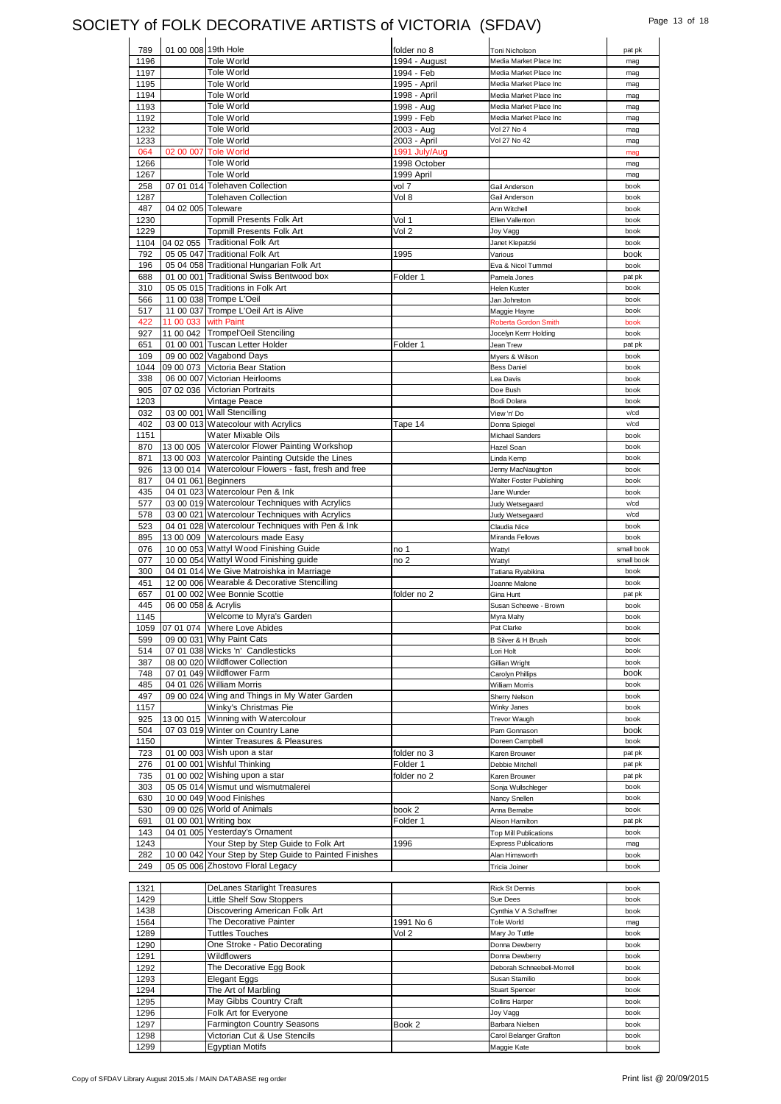### SOCIETY of FOLK DECORATIVE ARTISTS of VICTORIA (SFDAV) Page 13 of 18

| 789          | 01 00 008 19th Hole  |                                                                 | folder no 8     | Toni Nicholson                      | pat pk         |
|--------------|----------------------|-----------------------------------------------------------------|-----------------|-------------------------------------|----------------|
| 1196         |                      | Tole World                                                      | 1994 - August   | Media Market Place Inc              | mag            |
| 1197         |                      | Tole World                                                      | 1994 - Feb      | Media Market Place Inc              | mag            |
| 1195         |                      | Tole World                                                      | 1995 - April    | Media Market Place Inc              | mag            |
| 1194         |                      | Tole World                                                      | 1998 - April    | Media Market Place Inc              | mag            |
| 1193         |                      | Tole World                                                      | 1998 - Aug      | Media Market Place Inc              | mag            |
| 1192         |                      | Tole World                                                      | 1999 - Feb      | Media Market Place Inc              | mag            |
| 1232         |                      | Tole World                                                      | 2003 - Aug      | Vol 27 No 4                         | mag            |
| 1233         |                      | Tole World                                                      | 2003 - April    | Vol 27 No 42                        | mag            |
| 064          |                      | 02 00 007 Tole World                                            | 1991 July/Aug   |                                     | mag            |
| 1266         |                      | Tole World                                                      | 1998 October    |                                     | mag            |
| 1267         |                      | Tole World                                                      | 1999 April      |                                     | mag            |
| 258          |                      | 07 01 014 Tolehaven Collection                                  | vol 7           | Gail Anderson                       | book           |
| 1287         |                      | <b>Tolehaven Collection</b>                                     | Vol 8           | Gail Anderson                       | book           |
| 487          | 04 02 005 Toleware   |                                                                 |                 | Ann Witchell                        | book           |
| 1230         |                      | Topmill Presents Folk Art                                       | Vol 1           | Ellen Vallenton                     | book           |
| 1229         |                      | <b>Topmill Presents Folk Art</b>                                | Vol 2           | Joy Vagg                            | book           |
| 1104         |                      | 04 02 055 Traditional Folk Art                                  |                 | Janet Klepatzki                     | book           |
| 792          |                      | 05 05 047 Traditional Folk Art                                  | 1995            | Various                             | book           |
| 196          |                      | 05 04 058 Traditional Hungarian Folk Art                        |                 | Eva & Nicol Tummel                  | book           |
| 688          |                      | 01 00 001 Traditional Swiss Bentwood box                        | Folder 1        | Pamela Jones                        | pat pk         |
| 310          |                      | 05 05 015 Traditions in Folk Art                                |                 | Helen Kuster                        | book           |
| 566          |                      | 11 00 038 Trompe L'Oeil                                         |                 | Jan Johnston                        | book           |
| 517          |                      | 11 00 037 Trompe L'Oeil Art is Alive                            |                 | Maggie Hayne                        | book           |
| 422          | 11 00 033 with Paint |                                                                 |                 | Roberta Gordon Smith                | book           |
| 927          |                      | 11 00 042 Trompel'Oeil Stenciling                               |                 | Jocelyn Kerrr Holding               | book           |
| 651          |                      | 01 00 001 Tuscan Letter Holder                                  | Folder 1        | Jean Trew                           | pat pk         |
| 109          |                      | 09 00 002 Vagabond Days                                         |                 | Myers & Wilson                      | book           |
| 1044         |                      | 09 00 073 Victoria Bear Station                                 |                 | <b>Bess Daniel</b>                  | book           |
| 338          |                      | 06 00 007 Victorian Heirlooms                                   |                 | Lea Davis                           | book           |
| 905          |                      | 07 02 036 Victorian Portraits                                   |                 | Doe Bush                            | book           |
| 1203         |                      | Vintage Peace                                                   |                 | Bodi Dolara                         | book           |
| 032          |                      | 03 00 001 Wall Stencilling                                      |                 | View 'n' Do                         | v/cd           |
| 402          |                      | 03 00 013 Watecolour with Acrylics                              | Tape 14         | Donna Spiegel                       | v/cd           |
| 1151         |                      | Water Mixable Oils                                              |                 | <b>Michael Sanders</b>              | book           |
| 870          |                      | 13 00 005 Watercolor Flower Painting Workshop                   |                 | Hazel Soan                          | book           |
| 871          |                      | 13 00 003 Watercolor Painting Outside the Lines                 |                 | Linda Kemp                          | book           |
| 926          |                      | 13 00 014 Watercolour Flowers - fast, fresh and free            |                 | Jenny MacNaughton                   | book           |
| 817          | 04 01 061 Beginners  |                                                                 |                 | Walter Foster Publishing            | book           |
| 435          |                      | 04 01 023 Watercolour Pen & Ink                                 |                 | Jane Wunder                         | book           |
| 577          |                      | 03 00 019 Watercolour Techniques with Acrylics                  |                 | Judy Wetsegaard                     | v/cd           |
| 578          |                      | 03 00 021 Watercolour Techniques with Acrylics                  |                 | Judy Wetsegaard                     | v/cd           |
| 523          |                      | 04 01 028 Watercolour Techniques with Pen & Ink                 |                 | Claudia Nice                        | book           |
| 895          |                      | 13 00 009 Watercolours made Easy                                |                 | Miranda Fellows                     | book           |
| 076          |                      | 10 00 053 Wattyl Wood Finishing Guide                           | no 1            | Wattyl                              | small book     |
|              |                      |                                                                 |                 |                                     |                |
| 077          |                      | 10 00 054 Wattyl Wood Finishing guide                           | no <sub>2</sub> | Wattyl                              | small book     |
| 300          |                      | 04 01 014 We Give Matroishka in Marriage                        |                 | Tatiana Ryabikina                   | book           |
| 451          |                      | 12 00 006 Wearable & Decorative Stencilling                     |                 | Joanne Malone                       | book           |
| 657          |                      | 01 00 002 Wee Bonnie Scottie                                    | folder no 2     | Gina Hunt                           | pat pk         |
| 445          | 06 00 058 & Acrylis  |                                                                 |                 | Susan Scheewe - Brown               | book           |
| 1145         |                      | Welcome to Myra's Garden                                        |                 | Myra Mahy                           | book           |
|              |                      | 1059 07 01 074 Where Love Abides                                |                 | Pat Clarke                          | book           |
| 599          |                      | 09 00 031 Why Paint Cats                                        |                 | <b>B Silver &amp; H Brush</b>       | book           |
| 514          |                      | 07 01 038 Wicks 'n' Candlesticks                                |                 | Lori Holt                           | book           |
| 387          |                      | 08 00 020 Wildflower Collection                                 |                 | Gillian Wright                      | book           |
| 748          |                      | 07 01 049 Wildflower Farm                                       |                 | Carolyn Phillips                    | book           |
| 485          |                      | 04 01 026 William Morris                                        |                 | William Morris                      | book           |
| 497          |                      | 09 00 024 Wing and Things in My Water Garden                    |                 | Sherry Nelson                       | book           |
| 1157         |                      | Winky's Christmas Pie                                           |                 | Winky Janes                         | book           |
| 925          |                      | 13 00 015 Winning with Watercolour                              |                 | <b>Trevor Waugh</b>                 | book           |
| 504          |                      | 07 03 019 Winter on Country Lane                                |                 | Pam Gonnason                        | book           |
| 1150         |                      | Winter Treasures & Pleasures                                    |                 | Doreen Campbell                     | book           |
| 723          |                      | 01 00 003 Wish upon a star                                      | folder no 3     | Karen Brouwer                       | pat pk         |
| 276          |                      | 01 00 001 Wishful Thinking                                      | Folder 1        | Debbie Mitchell                     | pat pk         |
| 735          |                      | 01 00 002 Wishing upon a star                                   | folder no 2     | Karen Brouwer                       | pat pk<br>book |
| 303          |                      | 05 05 014 Wismut und wismutmalerei                              |                 | Sonja Wullschleger                  | book           |
| 630          |                      | 10 00 049 Wood Finishes                                         |                 | Nancy Snellen                       |                |
| 530          |                      | 09 00 026 World of Animals                                      | book 2          | Anna Bernabe                        | book           |
| 691          |                      | 01 00 001 Writing box                                           | Folder 1        | Alison Hamilton                     | pat pk         |
| 143          |                      | 04 01 005 Yesterday's Ornament                                  |                 | <b>Top Mill Publications</b>        | book           |
| 1243         |                      | Your Step by Step Guide to Folk Art                             | 1996            | <b>Express Publications</b>         | mag<br>book    |
| 282          |                      | 10 00 042 Your Step by Step Guide to Painted Finishes           |                 | Alan Himsworth                      |                |
| 249          |                      | 05 05 006 Zhostovo Floral Legacy                                |                 | Tricia Joiner                       | book           |
|              |                      |                                                                 |                 | <b>Rick St Dennis</b>               | book           |
| 1321         |                      | DeLanes Starlight Treasures<br><b>Little Shelf Sow Stoppers</b> |                 | Sue Dees                            | book           |
| 1429<br>1438 |                      | Discovering American Folk Art                                   |                 |                                     | book           |
|              |                      | The Decorative Painter                                          | 1991 No 6       | Cynthia V A Schaffner<br>Tole World | mag            |
| 1564<br>1289 |                      | <b>Tuttles Touches</b>                                          | Vol 2           | Mary Jo Tuttle                      | book           |
|              |                      | One Stroke - Patio Decorating                                   |                 | Donna Dewberry                      | book           |
| 1290<br>1291 |                      | Wildflowers                                                     |                 | Donna Dewberry                      | book           |
| 1292         |                      |                                                                 |                 | Deborah Schneebeli-Morrell          | book           |
|              |                      | The Decorative Egg Book                                         |                 | Susan Stamilio                      | book           |
| 1293<br>1294 |                      | Elegant Eggs<br>The Art of Marbling                             |                 | <b>Stuart Spencer</b>               | book           |
| 1295         |                      | May Gibbs Country Craft                                         |                 | <b>Collins Harper</b>               | book           |
| 1296         |                      | Folk Art for Everyone                                           |                 | Joy Vagg                            | book           |
| 1297         |                      | <b>Farmington Country Seasons</b>                               | Book 2          | Barbara Nielsen                     | book           |
| 1298         |                      | Victorian Cut & Use Stencils                                    |                 | Carol Belanger Grafton              | book           |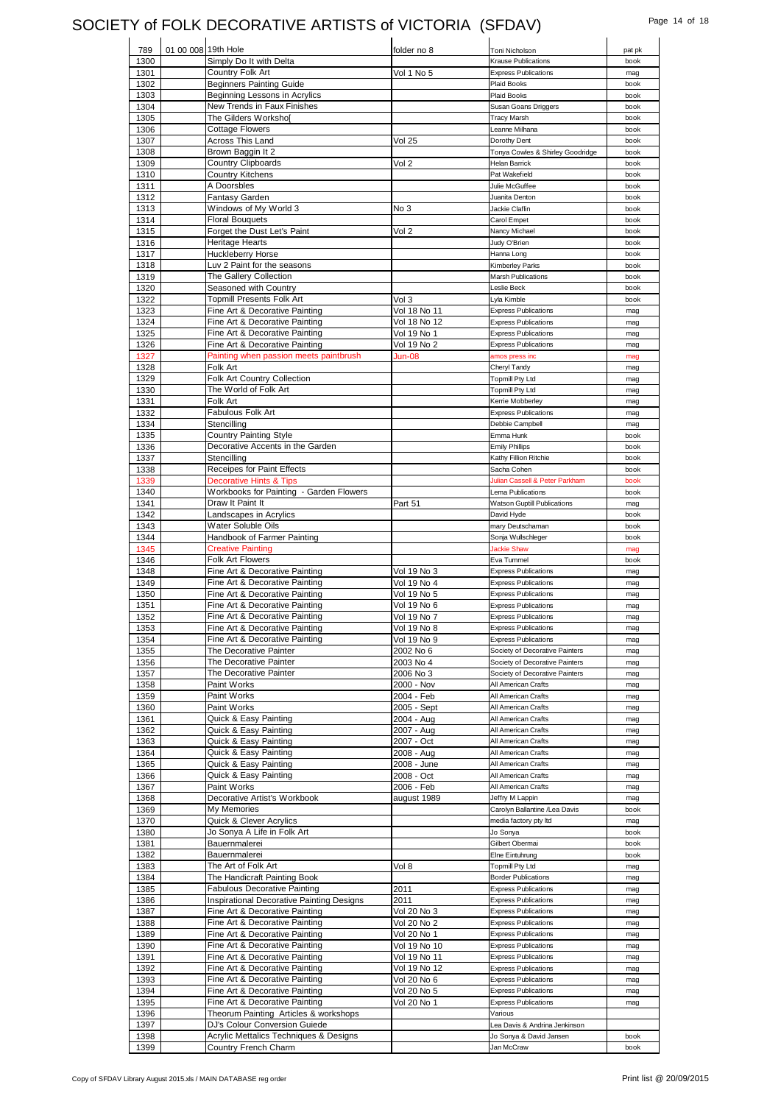# SOCIETY of FOLK DECORATIVE ARTISTS of VICTORIA (SFDAV) Page 14 of 18

| 789  |                     |                                           |                    |                                  |        |
|------|---------------------|-------------------------------------------|--------------------|----------------------------------|--------|
|      | 01 00 008 19th Hole |                                           | folder no 8        | Toni Nicholson                   | pat pk |
| 1300 |                     | Simply Do It with Delta                   |                    | <b>Krause Publications</b>       | book   |
| 1301 |                     | Country Folk Art                          | Vol 1 No 5         | <b>Express Publications</b>      | mag    |
| 1302 |                     | <b>Beginners Painting Guide</b>           |                    | Plaid Books                      | book   |
| 1303 |                     | Beginning Lessons in Acrylics             |                    | Plaid Books                      | book   |
| 1304 |                     | New Trends in Faux Finishes               |                    | Susan Goans Driggers             | book   |
|      |                     |                                           |                    | <b>Tracy Marsh</b>               | book   |
| 1305 |                     | The Gilders Worksho[                      |                    |                                  |        |
| 1306 |                     | <b>Cottage Flowers</b>                    |                    | Leanne Milhana                   | book   |
| 1307 |                     | Across This Land                          | <b>Vol 25</b>      | Dorothy Dent                     | book   |
| 1308 |                     | Brown Baggin It 2                         |                    | Tonya Cowles & Shirley Goodridge | book   |
| 1309 |                     | <b>Country Clipboards</b>                 | Vol 2              | Helan Barrick                    | book   |
|      |                     | <b>Country Kitchens</b>                   |                    | Pat Wakefield                    | book   |
| 1310 |                     |                                           |                    |                                  |        |
| 1311 |                     | A Doorsbles                               |                    | Julie McGuffee                   | book   |
| 1312 |                     | Fantasy Garden                            |                    | Juanita Denton                   | book   |
| 1313 |                     | Windows of My World 3                     | No 3               | Jackie Claflin                   | book   |
| 1314 |                     | <b>Floral Bouquets</b>                    |                    | Carol Empet                      | book   |
|      |                     | Forget the Dust Let's Paint               |                    |                                  |        |
| 1315 |                     |                                           | Vol 2              | Nancy Michael                    | book   |
| 1316 |                     | <b>Heritage Hearts</b>                    |                    | Judy O'Brien                     | book   |
| 1317 |                     | Huckleberry Horse                         |                    | Hanna Long                       | book   |
| 1318 |                     | Luv 2 Paint for the seasons               |                    | Kimberley Parks                  | book   |
| 1319 |                     | The Gallery Collection                    |                    | <b>Marsh Publications</b>        | book   |
|      |                     |                                           |                    |                                  |        |
| 1320 |                     | Seasoned with Country                     |                    | Leslie Beck                      | book   |
| 1322 |                     | <b>Topmill Presents Folk Art</b>          | Vol 3              | Lyla Kimble                      | book   |
| 1323 |                     | Fine Art & Decorative Painting            | Vol 18 No 11       | <b>Express Publications</b>      | mag    |
| 1324 |                     | Fine Art & Decorative Painting            | Vol 18 No 12       | <b>Express Publications</b>      | mag    |
|      |                     |                                           |                    |                                  |        |
| 1325 |                     | Fine Art & Decorative Painting            | Vol 19 No 1        | <b>Express Publications</b>      | mag    |
| 1326 |                     | Fine Art & Decorative Painting            | Vol 19 No 2        | <b>Express Publications</b>      | mag    |
| 1327 |                     | Painting when passion meets paintbrush    | Jun-08             | amos press inc                   | mag    |
| 1328 |                     | Folk Art                                  |                    | Cheryl Tandy                     | mag    |
|      |                     |                                           |                    |                                  |        |
| 1329 |                     | <b>Folk Art Country Collection</b>        |                    | <b>Topmill Pty Ltd</b>           | mag    |
| 1330 |                     | The World of Folk Art                     |                    | <b>Topmill Pty Ltd</b>           | mag    |
| 1331 |                     | Folk Art                                  |                    | Kerrie Mobberley                 | mag    |
| 1332 |                     | Fabulous Folk Art                         |                    | <b>Express Publications</b>      | mag    |
| 1334 |                     | Stencilling                               |                    | Debbie Campbell                  | mag    |
|      |                     |                                           |                    |                                  |        |
| 1335 |                     | <b>Country Painting Style</b>             |                    | Emma Hunk                        | book   |
| 1336 |                     | Decorative Accents in the Garden          |                    | <b>Emily Phillips</b>            | book   |
| 1337 |                     | Stencilling                               |                    | Kathy Fillion Ritchie            | book   |
| 1338 |                     | Receipes for Paint Effects                |                    | Sacha Cohen                      | book   |
|      |                     |                                           |                    |                                  |        |
| 1339 |                     | <b>Decorative Hints &amp; Tips</b>        |                    | Julian Cassell & Peter Parkham   | book   |
| 1340 |                     | Workbooks for Painting - Garden Flowers   |                    | Lema Publications                | book   |
| 1341 |                     | Draw It Paint It                          | Part 51            | Watson Guptill Publications      | mag    |
| 1342 |                     | Landscapes in Acrylics                    |                    | David Hyde                       | book   |
| 1343 |                     | Water Soluble Oils                        |                    | mary Deutschaman                 | book   |
|      |                     |                                           |                    |                                  |        |
| 1344 |                     | Handbook of Farmer Painting               |                    | Sonja Wullschleger               | book   |
| 1345 |                     | <b>Creative Painting</b>                  |                    | <b>Jackie Shaw</b>               | mag    |
| 1346 |                     | Folk Art Flowers                          |                    | Eva Tummel                       | book   |
| 1348 |                     | Fine Art & Decorative Painting            | Vol 19 No 3        | <b>Express Publications</b>      | mag    |
| 1349 |                     | Fine Art & Decorative Painting            |                    | <b>Express Publications</b>      |        |
|      |                     |                                           | Vol 19 No 4        |                                  | mag    |
| 1350 |                     | Fine Art & Decorative Painting            | Vol 19 No 5        | <b>Express Publications</b>      | mag    |
| 1351 |                     | Fine Art & Decorative Painting            | Vol 19 No 6        | <b>Express Publications</b>      | mag    |
| 1352 |                     | Fine Art & Decorative Painting            | Vol 19 No 7        | <b>Express Publications</b>      | mag    |
| 1353 |                     | Fine Art & Decorative Painting            | <b>Vol 19 No 8</b> | <b>Express Publications</b>      | mag    |
|      |                     | Fine Art & Decorative Painting            | Vol 19 No 9        | <b>Express Publications</b>      |        |
| 1354 |                     |                                           |                    |                                  | mag    |
| 1355 |                     | The Decorative Painter                    | 2002 No 6          | Society of Decorative Painters   | mag    |
| 1356 |                     | The Decorative Painter                    | 2003 No 4          | Society of Decorative Painters   |        |
| 1357 |                     |                                           |                    |                                  | mag    |
|      |                     | The Decorative Painter                    | 2006 No 3          | Society of Decorative Painters   | mag    |
|      |                     |                                           |                    |                                  |        |
| 1358 |                     | Paint Works                               | 2000 - Nov         | All American Crafts              | mag    |
| 1359 |                     | Paint Works                               | 2004 - Feb         | All American Crafts              | mag    |
| 1360 |                     | Paint Works                               | 2005 - Sept        | All American Crafts              | mag    |
| 1361 |                     | Quick & Easy Painting                     | 2004 - Aug         | All American Crafts              | mag    |
| 1362 |                     | Quick & Easy Painting                     | 2007 - Aug         | All American Crafts              | mag    |
|      |                     |                                           |                    |                                  |        |
| 1363 |                     | Quick & Easy Painting                     | 2007 - Oct         | All American Crafts              | mag    |
| 1364 |                     | Quick & Easy Painting                     | 2008 - Aug         | All American Crafts              | mag    |
| 1365 |                     | Quick & Easy Painting                     | 2008 - June        | All American Crafts              | mag    |
| 1366 |                     | Quick & Easy Painting                     | 2008 - Oct         | All American Crafts              | mag    |
| 1367 |                     | Paint Works                               | 2006 - Feb         | All American Crafts              | mag    |
|      |                     |                                           |                    |                                  |        |
| 1368 |                     | Decorative Artist's Workbook              | august 1989        | Jeffry M Lappin                  | mag    |
| 1369 |                     | My Memories                               |                    | Carolyn Ballantine /Lea Davis    | book   |
| 1370 |                     | Quick & Clever Acrylics                   |                    | media factory pty Itd            | mag    |
| 1380 |                     | Jo Sonya A Life in Folk Art               |                    | Jo Sonya                         | book   |
| 1381 |                     | Bauernmalerei                             |                    | Gilbert Obermai                  | book   |
|      |                     |                                           |                    |                                  |        |
| 1382 |                     | Bauernmalerei                             |                    | Elne Eintuhrung                  | book   |
| 1383 |                     | The Art of Folk Art                       | Vol 8              | <b>Topmill Pty Ltd</b>           | mag    |
| 1384 |                     | The Handicraft Painting Book              |                    | <b>Border Publications</b>       | mag    |
| 1385 |                     | <b>Fabulous Decorative Painting</b>       | 2011               | <b>Express Publications</b>      | mag    |
|      |                     |                                           | 2011               | <b>Express Publications</b>      | mag    |
| 1386 |                     | Inspirational Decorative Painting Designs |                    |                                  |        |
| 1387 |                     | Fine Art & Decorative Painting            | Vol 20 No 3        | <b>Express Publications</b>      | mag    |
| 1388 |                     | Fine Art & Decorative Painting            | Vol 20 No 2        | <b>Express Publications</b>      | mag    |
| 1389 |                     | Fine Art & Decorative Painting            | Vol 20 No 1        | <b>Express Publications</b>      | mag    |
|      |                     |                                           |                    | <b>Express Publications</b>      | mag    |
| 1390 |                     | Fine Art & Decorative Painting            | Vol 19 No 10       |                                  |        |
| 1391 |                     | Fine Art & Decorative Painting            | Vol 19 No 11       | <b>Express Publications</b>      | mag    |
| 1392 |                     | Fine Art & Decorative Painting            | Vol 19 No 12       | <b>Express Publications</b>      | mag    |
| 1393 |                     | Fine Art & Decorative Painting            | Vol 20 No 6        | <b>Express Publications</b>      | mag    |
|      |                     |                                           |                    |                                  |        |
| 1394 |                     | Fine Art & Decorative Painting            | Vol 20 No 5        | <b>Express Publications</b>      | mag    |
| 1395 |                     | Fine Art & Decorative Painting            | Vol 20 No 1        | <b>Express Publications</b>      | mag    |
| 1396 |                     | Theorum Painting Articles & workshops     |                    | Various                          |        |
| 1397 |                     | DJ's Colour Conversion Guiede             |                    | Lea Davis & Andrina Jenkinson    |        |
| 1398 |                     | Acrylic Mettalics Techniques & Designs    |                    | Jo Sonya & David Jansen          | book   |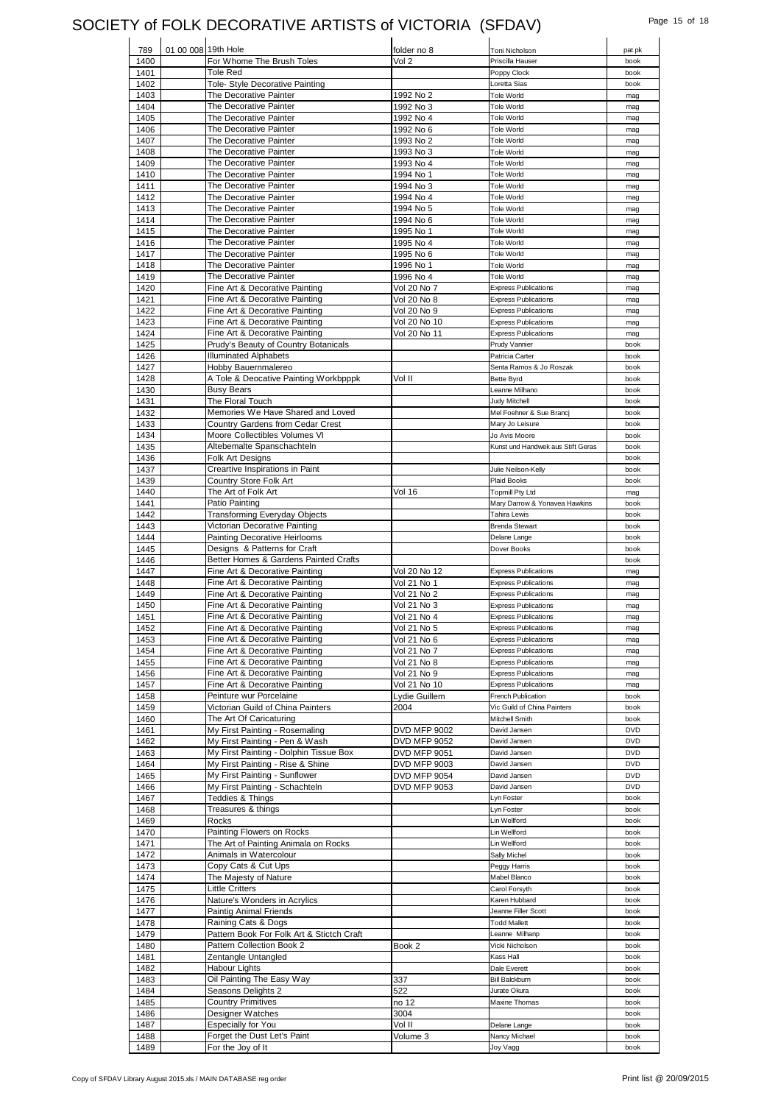### SOCIETY of FOLK DECORATIVE ARTISTS of VICTORIA (SFDAV) Page 15 of 18

| 789                  | 01 00 008 19th Hole |                                                  | folder no 8            | Toni Nicholson                         | pat pk     |
|----------------------|---------------------|--------------------------------------------------|------------------------|----------------------------------------|------------|
| 1400                 |                     | For Whome The Brush Toles                        | Vol 2                  | Priscilla Hauser                       | book       |
| 1401                 |                     | Tole Red                                         |                        | Poppy Clock                            | book       |
| 1402                 |                     | Tole- Style Decorative Painting                  |                        | Loretta Sias                           | book       |
| 1403                 |                     | The Decorative Painter                           | 1992 No 2              | <b>Tole World</b>                      | mag        |
| 1404                 |                     | The Decorative Painter                           | 1992 No 3              | <b>Tole World</b>                      | mag        |
| 1405                 |                     | The Decorative Painter                           | 1992 No 4              | <b>Tole World</b>                      | mag        |
| 1406                 |                     | The Decorative Painter                           | 1992 No 6              | <b>Tole World</b>                      | mag        |
| 1407                 |                     | The Decorative Painter                           | 1993 No 2              | <b>Tole World</b><br><b>Tole World</b> | mag        |
| 1408                 |                     | The Decorative Painter<br>The Decorative Painter | 1993 No 3              | <b>Tole World</b>                      | mag        |
| 1409                 |                     | The Decorative Painter                           | 1993 No 4              | <b>Tole World</b>                      | mag        |
| 1410                 |                     | The Decorative Painter                           | 1994 No 1              | <b>Tole World</b>                      | mag        |
| 1411                 |                     | The Decorative Painter                           | 1994 No 3<br>1994 No 4 |                                        | mag        |
| 1412                 |                     |                                                  |                        | <b>Tole World</b>                      | mag        |
| 1413                 |                     | The Decorative Painter<br>The Decorative Painter | 1994 No 5              | <b>Tole World</b>                      | mag        |
| 1414<br>1415         |                     | The Decorative Painter                           | 1994 No 6              | <b>Tole World</b><br><b>Tole World</b> | mag        |
| 1416                 |                     | The Decorative Painter                           | 1995 No 1<br>1995 No 4 | <b>Tole World</b>                      | mag<br>mag |
| 1417                 |                     | The Decorative Painter                           | 1995 No 6              | <b>Tole World</b>                      | mag        |
| 1418                 |                     | The Decorative Painter                           | 1996 No 1              | <b>Tole World</b>                      | mag        |
| 1419                 |                     | The Decorative Painter                           | 1996 No 4              | <b>Tole World</b>                      | mag        |
| 1420                 |                     | Fine Art & Decorative Painting                   | Vol 20 No 7            | <b>Express Publications</b>            | mag        |
| 1421                 |                     | Fine Art & Decorative Painting                   | Vol 20 No 8            | <b>Express Publications</b>            | mag        |
| 1422                 |                     | Fine Art & Decorative Painting                   | Vol 20 No 9            | <b>Express Publications</b>            | mag        |
| 1423                 |                     | Fine Art & Decorative Painting                   | Vol 20 No 10           | <b>Express Publications</b>            | mag        |
| 1424                 |                     | Fine Art & Decorative Painting                   | Vol 20 No 11           | <b>Express Publications</b>            | mag        |
| 1425                 |                     | Prudy's Beauty of Country Botanicals             |                        | Prudy Vannier                          | book       |
| 1426                 |                     | <b>Illuminated Alphabets</b>                     |                        | Patricia Carter                        | book       |
| 1427                 |                     | Hobby Bauernmalereo                              |                        | Senta Ramos & Jo Roszak                | book       |
| 1428                 |                     | A Tole & Deocative Painting Workbpppk            | Vol II                 | <b>Bette Byrd</b>                      | book       |
| 1430                 |                     | <b>Busy Bears</b>                                |                        | Leanne Milhano                         | book       |
| 1431                 |                     | The Floral Touch                                 |                        | Judy Mitchell                          | book       |
| 1432                 |                     | Memories We Have Shared and Loved                |                        | Mel Foehner & Sue Brancj               | book       |
| 1433                 |                     | Country Gardens from Cedar Crest                 |                        | Mary Jo Leisure                        | book       |
| 1434                 |                     | Moore Collectibles Volumes VI                    |                        | Jo Avis Moore                          | book       |
| 1435                 |                     | Altebemalte Spanschachteln                       |                        | Kunst und Handwek aus Stift Geras      | book       |
| 1436                 |                     | Folk Art Designs                                 |                        |                                        | book       |
| 1437                 |                     | Creartive Inspirations in Paint                  |                        | Julie Neilson-Kelly                    | book       |
| 1439                 |                     | Country Store Folk Art                           |                        | <b>Plaid Books</b>                     | book       |
| 1440                 |                     | The Art of Folk Art                              | Vol 16                 | <b>Topmill Pty Ltd</b>                 | mag        |
| 1441                 |                     | Patio Painting                                   |                        | Mary Darrow & Yonavea Hawkins          | book       |
| 1442                 |                     | Transforming Everyday Objects                    |                        | <b>Tahira Lewis</b>                    | book       |
| 1443                 |                     | Victorian Decorative Painting                    |                        | <b>Brenda Stewart</b>                  | book       |
| 1444                 |                     | <b>Painting Decorative Heirlooms</b>             |                        | Delane Lange                           | book       |
| 1445                 |                     | Designs & Patterns for Craft                     |                        | Dover Books                            | book       |
| 1446                 |                     | Better Homes & Gardens Painted Crafts            |                        |                                        | book       |
| 1447                 |                     | Fine Art & Decorative Painting                   | Vol 20 No 12           | <b>Express Publications</b>            | mag        |
| 1448                 |                     | Fine Art & Decorative Painting                   | Vol 21 No 1            | <b>Express Publications</b>            | mag        |
| 1449                 |                     | Fine Art & Decorative Painting                   | Vol 21 No 2            | <b>Express Publications</b>            | mag        |
| 1450                 |                     | Fine Art & Decorative Painting                   | Vol 21 No 3            | <b>Express Publications</b>            | mag        |
| 1451                 |                     | Fine Art & Decorative Painting                   | Vol 21 No 4            | <b>Express Publications</b>            | mag        |
| 1452                 |                     | Fine Art & Decorative Painting                   | Vol 21 No 5            | <b>Express Publications</b>            | mag        |
| 1453                 |                     | Fine Art & Decorative Painting                   | Vol 21 No 6            | <b>Express Publications</b>            | mag        |
| 1454                 |                     | Fine Art & Decorative Painting                   | Vol 21 No 7            | <b>Express Publications</b>            | mag        |
| 1455                 |                     | Fine Art & Decorative Painting                   | Vol 21 No 8            | <b>Express Publications</b>            | mag        |
| 1456                 |                     | Fine Art & Decorative Painting                   | Vol 21 No 9            | <b>Express Publications</b>            | mag        |
| 1457                 |                     | Fine Art & Decorative Painting                   | Vol 21 No 10           | <b>Express Publications</b>            | mag        |
| 1458                 |                     | Peinture wur Porcelaine                          | Lydie Guillem          | French Publication                     | book       |
| 1459                 |                     | Victorian Guild of China Painters                | 2004                   | Vic Guild of China Painters            | book       |
| 1460                 |                     | The Art Of Caricaturing                          |                        | Mitchell Smith                         | book       |
| 1461                 |                     | My First Painting - Rosemaling                   | <b>DVD MFP 9002</b>    | David Jansen                           | <b>DVD</b> |
| 1462                 |                     | My First Painting - Pen & Wash                   | <b>DVD MFP 9052</b>    | David Jansen                           | <b>DVD</b> |
| 1463                 |                     | My First Painting - Dolphin Tissue Box           | <b>DVD MFP 9051</b>    | David Jansen                           | <b>DVD</b> |
| 1464                 |                     | My First Painting - Rise & Shine                 | <b>DVD MFP 9003</b>    | David Jansen                           | <b>DVD</b> |
| 1465                 |                     | My First Painting - Sunflower                    | <b>DVD MFP 9054</b>    | David Jansen                           | <b>DVD</b> |
| 1466                 |                     | My First Painting - Schachteln                   | <b>DVD MFP 9053</b>    | David Jansen                           | <b>DVD</b> |
| 1467                 |                     | Teddies & Things                                 |                        | Lyn Foster                             | book       |
| 1468                 |                     | Treasures & things                               |                        | Lyn Foster                             | book       |
| 1469                 |                     | Rocks                                            |                        | Lin Wellford                           | book       |
| 1470                 |                     | Painting Flowers on Rocks                        |                        | Lin Wellford                           | book       |
| 1471                 |                     | The Art of Painting Animala on Rocks             |                        | Lin Wellford                           | book       |
| 1472                 |                     | Animals in Watercolour                           |                        | Sally Michel                           | book       |
| 1473                 |                     | Copy Cats & Cut Ups                              |                        | Peggy Harris                           | book       |
| 1474                 |                     | The Majesty of Nature                            |                        | Mabel Blanco                           | book       |
| 1475                 |                     | Little Critters                                  |                        | Carol Forsyth                          | book       |
| 1476                 |                     | Nature's Wonders in Acrylics                     |                        | Karen Hubbard                          | book       |
| 1477                 |                     | Paintig Animal Friends                           |                        | Jeanne Filler Scott                    | book       |
| 1478                 |                     | Raining Cats & Dogs                              |                        | <b>Todd Mallett</b>                    | book       |
| 1479                 |                     | Pattern Book For Folk Art & Stictch Craft        |                        | Leanne Milhanp                         | book       |
| 1480                 |                     | Pattern Collection Book 2                        | Book 2                 | Vicki Nicholson                        | book       |
| 1481                 |                     | Zentangle Untangled                              |                        | Kass Hall                              | book       |
| 1482                 |                     |                                                  |                        | Dale Everett                           | book       |
|                      |                     | Habour Lights                                    |                        |                                        |            |
|                      |                     | Oil Painting The Easy Way                        | 337                    | <b>Bill Balckburn</b>                  | book       |
|                      |                     | Seasons Delights 2                               | 522                    | Jurate Okura                           | book       |
|                      |                     | <b>Country Primitives</b>                        | no 12                  | Maxine Thomas                          | book       |
| 1483<br>1484<br>1485 |                     | Designer Watches                                 | 3004                   |                                        | book       |
| 1486<br>1487         |                     | <b>Especially for You</b>                        | Vol II                 | Delane Lange                           | book       |
| 1488<br>1489         |                     | Forget the Dust Let's Paint<br>For the Joy of It | Volume 3               | Nancy Michael                          | book       |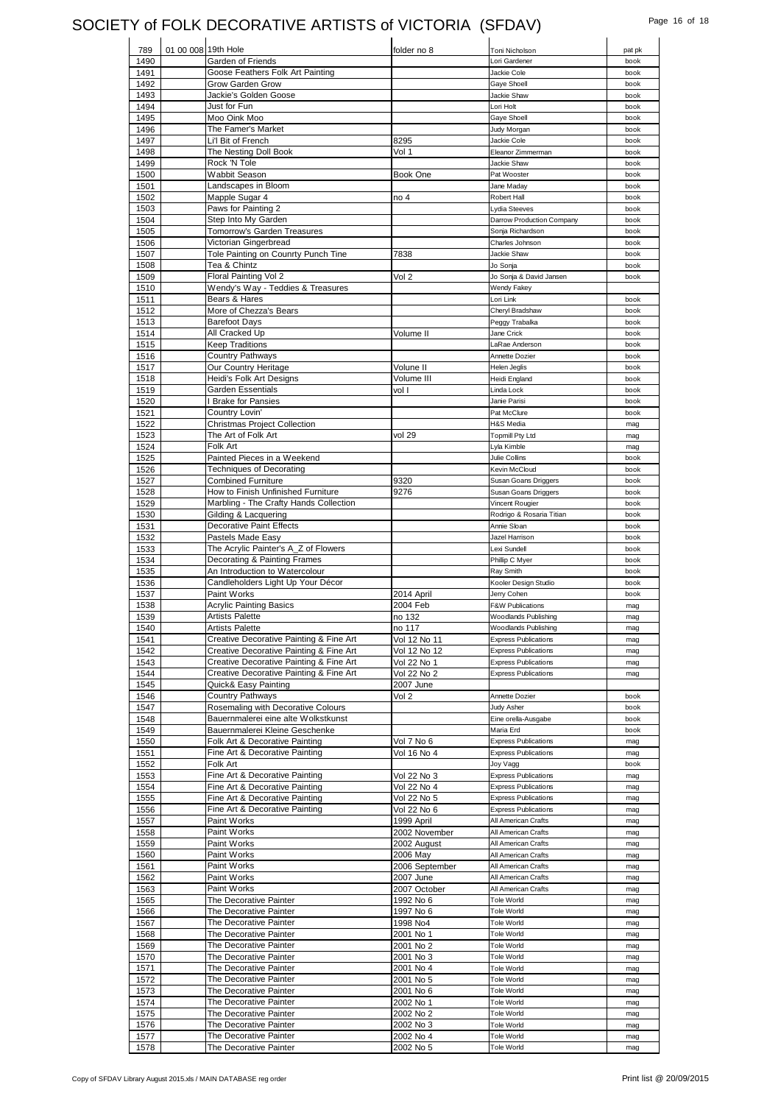## SOCIETY of FOLK DECORATIVE ARTISTS of VICTORIA (SFDAV) Page 16 of 18

| 789          | 01 00 008 19th Hole |                                                  | folder no 8                  | Toni Nicholson                                             | pat pk |
|--------------|---------------------|--------------------------------------------------|------------------------------|------------------------------------------------------------|--------|
| 1490         |                     | Garden of Friends                                |                              | Lori Gardener                                              | book   |
| 1491         |                     | Goose Feathers Folk Art Painting                 |                              | Jackie Cole                                                | book   |
| 1492         |                     | Grow Garden Grow                                 |                              | Gaye Shoell                                                | book   |
| 1493         |                     | Jackie's Golden Goose                            |                              | Jackie Shaw                                                | book   |
| 1494         |                     | Just for Fun                                     |                              | Lori Holt                                                  | book   |
| 1495         |                     | Moo Oink Moo                                     |                              | Gaye Shoell                                                | book   |
| 1496         |                     | The Famer's Market                               |                              | Judy Morgan                                                | book   |
| 1497         |                     | Li'l Bit of French                               | 8295                         | Jackie Cole                                                | book   |
| 1498         |                     | The Nesting Doll Book                            | Vol 1                        | Eleanor Zimmerman                                          | book   |
| 1499         |                     | Rock 'N Tole                                     |                              | Jackie Shaw                                                | book   |
| 1500         |                     | Wabbit Season                                    | Book One                     | Pat Wooster                                                | book   |
| 1501         |                     | Landscapes in Bloom                              |                              | Jane Maday                                                 | book   |
| 1502         |                     | Mapple Sugar 4                                   | no 4                         | Robert Hall                                                | book   |
| 1503         |                     | Paws for Painting 2                              |                              | Lydia Steeves                                              | book   |
| 1504         |                     | Step Into My Garden                              |                              | Darrow Production Company                                  | book   |
| 1505         |                     | Tomorrow's Garden Treasures                      |                              | Sonja Richardson                                           | book   |
| 1506         |                     | Victorian Gingerbread                            |                              | Charles Johnson                                            | book   |
| 1507         |                     | Tole Painting on Counrty Punch Tine              | 7838                         | Jackie Shaw                                                | book   |
| 1508         |                     | Tea & Chintz                                     |                              | Jo Sonja                                                   | book   |
| 1509         |                     | Floral Painting Vol 2                            | Vol 2                        | Jo Sonja & David Jansen                                    | book   |
| 1510         |                     | Wendy's Way - Teddies & Treasures                |                              | <b>Wendy Fakey</b>                                         |        |
| 1511         |                     | Bears & Hares                                    |                              | Lori Link                                                  | book   |
| 1512         |                     | More of Chezza's Bears                           |                              | Cheryl Bradshaw                                            | book   |
| 1513         |                     | <b>Barefoot Days</b>                             |                              | Peggy Trabalka                                             | book   |
| 1514         |                     | All Cracked Up                                   | Volume II                    | Jane Crick                                                 | book   |
| 1515         |                     | <b>Keep Traditions</b>                           |                              | LaRae Anderson                                             | book   |
| 1516         |                     | Country Pathways                                 |                              | Annette Dozier                                             | book   |
| 1517         |                     | Our Country Heritage                             | Volune II                    | <b>Helen Jeglis</b>                                        | book   |
| 1518         |                     | Heidi's Folk Art Designs                         | Volume III                   | Heidi England                                              | book   |
| 1519         |                     | <b>Garden Essentials</b>                         | vol I                        | Linda Lock                                                 | book   |
| 1520         |                     | <b>Brake for Pansies</b>                         |                              | Janie Parisi                                               | book   |
| 1521         |                     | Country Lovin'                                   |                              | Pat McClure                                                | book   |
| 1522         |                     | <b>Christmas Project Collection</b>              |                              | H&S Media                                                  | mag    |
| 1523         |                     | The Art of Folk Art                              | vol 29                       | <b>Topmill Pty Ltd</b>                                     | mag    |
| 1524         |                     | Folk Art                                         |                              | Lyla Kimble                                                | mag    |
| 1525         |                     | Painted Pieces in a Weekend                      |                              | Julie Collins                                              | book   |
| 1526         |                     | <b>Techniques of Decorating</b>                  |                              | Kevin McCloud                                              | book   |
| 1527         |                     | <b>Combined Furniture</b>                        | 9320                         | Susan Goans Driggers                                       | book   |
| 1528         |                     | How to Finish Unfinished Furniture               | 9276                         | Susan Goans Driggers                                       | book   |
| 1529         |                     | Marbling - The Crafty Hands Collection           |                              | Vincent Rougier                                            | book   |
| 1530         |                     | Gilding & Lacquering                             |                              | Rodrigo & Rosaria Titian                                   | book   |
| 1531         |                     | <b>Decorative Paint Effects</b>                  |                              | Annie Sloan                                                | book   |
| 1532         |                     | Pastels Made Easy                                |                              | Jazel Harrison                                             | book   |
| 1533         |                     | The Acrylic Painter's A_Z of Flowers             |                              | Lexi Sundell                                               | book   |
| 1534         |                     | Decorating & Painting Frames                     |                              | Phillip C Myer                                             | book   |
| 1535         |                     | An Introduction to Watercolour                   |                              | Ray Smith                                                  | book   |
| 1536         |                     | Candleholders Light Up Your Décor                |                              | Kooler Design Studio                                       | book   |
| 1537         |                     | Paint Works                                      | 2014 April                   | Jerry Cohen                                                | book   |
| 1538         |                     | <b>Acrylic Painting Basics</b>                   | 2004 Feb                     | <b>F&amp;W Publications</b>                                | mag    |
| 1539<br>1540 |                     | <b>Artists Palette</b><br><b>Artists Palette</b> | no 132                       | Woodlands Publishing                                       | mag    |
|              |                     | Creative Decorative Painting & Fine Art          | no 117                       | Woodlands Publishing                                       | mag    |
| 1541<br>1542 |                     | Creative Decorative Painting & Fine Art          | Vol 12 No 11<br>Vol 12 No 12 | <b>Express Publications</b><br><b>Express Publications</b> | mag    |
| 1543         |                     | Creative Decorative Painting & Fine Art          | Vol 22 No 1                  |                                                            | mag    |
| 1544         |                     | Creative Decorative Painting & Fine Art          | Vol 22 No 2                  | <b>Express Publications</b><br><b>Express Publications</b> | mag    |
|              |                     |                                                  | 2007 June                    |                                                            | mag    |
| 1545<br>1546 |                     | Quick& Easy Painting<br><b>Country Pathways</b>  | Vol 2                        | Annette Dozier                                             | book   |
| 1547         |                     | Rosemaling with Decorative Colours               |                              | Judy Asher                                                 | book   |
| 1548         |                     | Bauernmalerei eine alte Wolkstkunst              |                              | Eine orella-Ausgabe                                        | book   |
| 1549         |                     | Bauernmalerei Kleine Geschenke                   |                              | Maria Erd                                                  | book   |
| 1550         |                     | Folk Art & Decorative Painting                   | Vol 7 No 6                   | <b>Express Publications</b>                                | mag    |
| 1551         |                     | Fine Art & Decorative Painting                   | Vol 16 No 4                  | <b>Express Publications</b>                                | mag    |
| 1552         |                     | Folk Art                                         |                              | Joy Vagg                                                   | book   |
| 1553         |                     | Fine Art & Decorative Painting                   | Vol 22 No 3                  | <b>Express Publications</b>                                | mag    |
| 1554         |                     | Fine Art & Decorative Painting                   | Vol 22 No 4                  | <b>Express Publications</b>                                | mag    |
| 1555         |                     | Fine Art & Decorative Painting                   | Vol 22 No 5                  | <b>Express Publications</b>                                | mag    |
| 1556         |                     | Fine Art & Decorative Painting                   | Vol 22 No 6                  | <b>Express Publications</b>                                | mag    |
| 1557         |                     | Paint Works                                      | 1999 April                   | All American Crafts                                        | mag    |
| 1558         |                     | Paint Works                                      | 2002 November                | All American Crafts                                        | mag    |
| 1559         |                     | Paint Works                                      | 2002 August                  | All American Crafts                                        | mag    |
| 1560         |                     | Paint Works                                      | 2006 May                     | All American Crafts                                        | mag    |
| 1561         |                     |                                                  |                              |                                                            |        |
|              |                     | Paint Works                                      | 2006 September               | All American Crafts                                        | mag    |
| 1562         |                     | Paint Works                                      | 2007 June                    | All American Crafts                                        | mag    |
| 1563         |                     | Paint Works                                      | 2007 October                 | All American Crafts                                        | mag    |
| 1565         |                     | The Decorative Painter                           | 1992 No 6                    | Tole World                                                 | mag    |
| 1566         |                     | The Decorative Painter                           | 1997 No 6                    | Tole World                                                 | mag    |
| 1567         |                     | The Decorative Painter                           | 1998 No4                     | <b>Tole World</b>                                          | mag    |
| 1568         |                     | The Decorative Painter                           | 2001 No 1                    | <b>Tole World</b>                                          | mag    |
| 1569         |                     | The Decorative Painter                           | 2001 No 2                    | Tole World                                                 | mag    |
| 1570         |                     | The Decorative Painter                           | 2001 No 3                    | Tole World                                                 | mag    |
| 1571         |                     | The Decorative Painter                           | 2001 No 4                    | Tole World                                                 | mag    |
| 1572         |                     | The Decorative Painter                           | 2001 No 5                    | Tole World                                                 | mag    |
| 1573         |                     | The Decorative Painter                           | 2001 No 6                    | Tole World                                                 | mag    |
| 1574         |                     | The Decorative Painter                           | 2002 No 1                    | Tole World                                                 | mag    |
| 1575         |                     | The Decorative Painter                           | 2002 No 2                    | <b>Tole World</b>                                          | mag    |
| 1576         |                     | The Decorative Painter                           | 2002 No 3                    | <b>Tole World</b>                                          | mag    |
| 1577<br>1578 |                     | The Decorative Painter<br>The Decorative Painter | 2002 No 4<br>2002 No 5       | Tole World<br><b>Tole World</b>                            | mag    |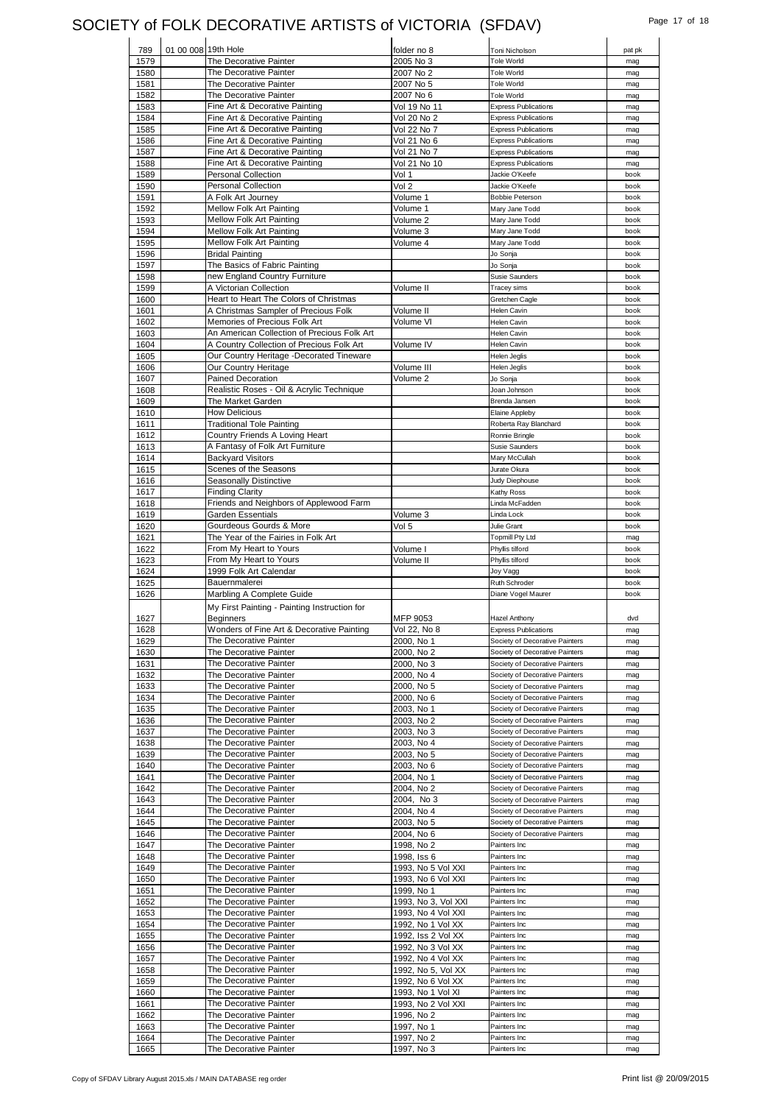### SOCIETY of FOLK DECORATIVE ARTISTS of VICTORIA (SFDAV) Page 17 of 18

| 789                                                                                                                                                                                                                                          | 01 00 008 19th Hole |                                                                  | folder no 8                       | Toni Nicholson                                                   | pat pk       |
|----------------------------------------------------------------------------------------------------------------------------------------------------------------------------------------------------------------------------------------------|---------------------|------------------------------------------------------------------|-----------------------------------|------------------------------------------------------------------|--------------|
| 1579                                                                                                                                                                                                                                         |                     | The Decorative Painter                                           | 2005 No 3                         | <b>Tole World</b>                                                | mag          |
| 1580                                                                                                                                                                                                                                         |                     | The Decorative Painter                                           | 2007 No 2                         | <b>Tole World</b>                                                | mag          |
| 1581                                                                                                                                                                                                                                         |                     | The Decorative Painter                                           | 2007 No 5                         | Tole World                                                       | mag          |
| 1582                                                                                                                                                                                                                                         |                     | The Decorative Painter                                           | 2007 No 6                         | Tole World                                                       | mag          |
| 1583                                                                                                                                                                                                                                         |                     | Fine Art & Decorative Painting<br>Fine Art & Decorative Painting | Vol 19 No 11                      | <b>Express Publications</b><br><b>Express Publications</b>       | mag<br>mag   |
| 1584<br>1585                                                                                                                                                                                                                                 |                     | Fine Art & Decorative Painting                                   | Vol 20 No 2<br>Vol 22 No 7        | <b>Express Publications</b>                                      | mag          |
| 1586                                                                                                                                                                                                                                         |                     | Fine Art & Decorative Painting                                   | Vol 21 No 6                       | <b>Express Publications</b>                                      | mag          |
| 1587                                                                                                                                                                                                                                         |                     | Fine Art & Decorative Painting                                   | Vol 21 No 7                       | <b>Express Publications</b>                                      | mag          |
| 1588                                                                                                                                                                                                                                         |                     | Fine Art & Decorative Painting                                   | Vol 21 No 10                      | <b>Express Publications</b>                                      | mag          |
| 1589                                                                                                                                                                                                                                         |                     | <b>Personal Collection</b>                                       | Vol 1                             | Jackie O'Keefe                                                   | book         |
| 1590                                                                                                                                                                                                                                         |                     | <b>Personal Collection</b>                                       | Vol 2                             | Jackie O'Keefe                                                   | book         |
| 1591                                                                                                                                                                                                                                         |                     | A Folk Art Journey                                               | Volume 1                          | <b>Bobbie Peterson</b>                                           | book         |
| 1592                                                                                                                                                                                                                                         |                     | Mellow Folk Art Painting                                         | Volume 1                          | Mary Jane Todd                                                   | book         |
| 1593                                                                                                                                                                                                                                         |                     | Mellow Folk Art Painting                                         | Volume 2                          | Mary Jane Todd                                                   | book         |
| 1594                                                                                                                                                                                                                                         |                     | Mellow Folk Art Painting                                         | Volume 3                          | Mary Jane Todd                                                   | book         |
| 1595<br>1596                                                                                                                                                                                                                                 |                     | Mellow Folk Art Painting<br><b>Bridal Painting</b>               | Volume 4                          | Mary Jane Todd<br>Jo Sonja                                       | book<br>book |
| 1597                                                                                                                                                                                                                                         |                     | The Basics of Fabric Painting                                    |                                   | Jo Sonja                                                         | book         |
| 1598                                                                                                                                                                                                                                         |                     | new England Country Furniture                                    |                                   | <b>Susie Saunders</b>                                            | book         |
| 1599                                                                                                                                                                                                                                         |                     | A Victorian Collection                                           | Volume II                         | Tracey sims                                                      | book         |
| 1600                                                                                                                                                                                                                                         |                     | Heart to Heart The Colors of Christmas                           |                                   | Gretchen Cagle                                                   | book         |
| 1601                                                                                                                                                                                                                                         |                     | A Christmas Sampler of Precious Folk                             | Volume II                         | <b>Helen Cavin</b>                                               | book         |
| 1602                                                                                                                                                                                                                                         |                     | Memories of Precious Folk Art                                    | Volume VI                         | <b>Helen Cavin</b>                                               | book         |
| 1603                                                                                                                                                                                                                                         |                     | An American Collection of Precious Folk Art                      |                                   | <b>Helen Cavin</b>                                               | book         |
| 1604                                                                                                                                                                                                                                         |                     | A Country Collection of Precious Folk Art                        | Volume IV                         | <b>Helen Cavin</b>                                               | book         |
| 1605                                                                                                                                                                                                                                         |                     | Our Country Heritage -Decorated Tineware                         |                                   | <b>Helen Jealis</b>                                              | book         |
| 1606                                                                                                                                                                                                                                         |                     | Our Country Heritage                                             | Volume III                        | Helen Jeglis                                                     | book         |
| 1607                                                                                                                                                                                                                                         |                     | <b>Pained Decoration</b>                                         | Volume <sub>2</sub>               | Jo Sonja                                                         | book         |
| 1608                                                                                                                                                                                                                                         |                     | Realistic Roses - Oil & Acrylic Technique                        |                                   | Joan Johnson                                                     | book         |
| 1609<br>1610                                                                                                                                                                                                                                 |                     | The Market Garden<br><b>How Delicious</b>                        |                                   | Brenda Jansen                                                    | book<br>book |
| 1611                                                                                                                                                                                                                                         |                     | <b>Traditional Tole Painting</b>                                 |                                   | Elaine Appleby<br>Roberta Ray Blanchard                          | book         |
| 1612                                                                                                                                                                                                                                         |                     | Country Friends A Loving Heart                                   |                                   | Ronnie Bringle                                                   | book         |
| 1613                                                                                                                                                                                                                                         |                     | A Fantasy of Folk Art Furniture                                  |                                   | <b>Susie Saunders</b>                                            | book         |
| 1614                                                                                                                                                                                                                                         |                     | <b>Backyard Visitors</b>                                         |                                   | Mary McCullah                                                    | book         |
| 1615                                                                                                                                                                                                                                         |                     | Scenes of the Seasons                                            |                                   | Jurate Okura                                                     | book         |
| 1616                                                                                                                                                                                                                                         |                     | Seasonally Distinctive                                           |                                   | Judy Diephouse                                                   | book         |
| 1617                                                                                                                                                                                                                                         |                     | <b>Finding Clarity</b>                                           |                                   | Kathy Ross                                                       | book         |
| 1618                                                                                                                                                                                                                                         |                     | Friends and Neighbors of Applewood Farm                          |                                   | Linda McFadden                                                   | book         |
| 1619                                                                                                                                                                                                                                         |                     | Garden Essentials                                                | Volume 3                          | Linda Lock                                                       | book         |
| 1620                                                                                                                                                                                                                                         |                     | Gourdeous Gourds & More                                          | Vol 5                             | Julie Grant                                                      | book         |
| 1621                                                                                                                                                                                                                                         |                     | The Year of the Fairies in Folk Art                              |                                   | <b>Topmill Pty Ltd</b>                                           | mag          |
| 1622<br>1623                                                                                                                                                                                                                                 |                     | From My Heart to Yours<br>From My Heart to Yours                 | Volume I<br>Volume II             | Phyllis tilford<br>Phyllis tilford                               | book<br>book |
| 1624                                                                                                                                                                                                                                         |                     | 1999 Folk Art Calendar                                           |                                   | Joy Vagg                                                         | book         |
| 1625                                                                                                                                                                                                                                         |                     | Bauernmalerei                                                    |                                   | Ruth Schroder                                                    | book         |
| 1626                                                                                                                                                                                                                                         |                     | Marbling A Complete Guide                                        |                                   | Diane Vogel Maurer                                               | book         |
|                                                                                                                                                                                                                                              |                     | My First Painting - Painting Instruction for                     |                                   |                                                                  |              |
| 1627                                                                                                                                                                                                                                         |                     | <b>Beginners</b>                                                 | MFP 9053                          | <b>Hazel Anthony</b>                                             | dvd          |
| 1628                                                                                                                                                                                                                                         |                     | Wonders of Fine Art & Decorative Painting                        | Vol 22, No 8                      | <b>Express Publications</b>                                      | mag          |
| 1629                                                                                                                                                                                                                                         |                     | The Decorative Painter                                           | 2000, No 1                        | Society of Decorative Painters                                   | mag          |
| 1630                                                                                                                                                                                                                                         |                     | The Decorative Painter                                           | 2000, No 2                        | Society of Decorative Painters                                   | mag          |
| 1631                                                                                                                                                                                                                                         |                     | The Decorative Painter                                           | 2000, No 3                        | Society of Decorative Painters                                   |              |
| 1632                                                                                                                                                                                                                                         |                     |                                                                  |                                   |                                                                  | mag          |
| 1633                                                                                                                                                                                                                                         |                     | The Decorative Painter                                           | 2000, No 4                        | Society of Decorative Painters                                   | mag          |
| 1634                                                                                                                                                                                                                                         |                     | The Decorative Painter                                           | 2000, No 5                        | Society of Decorative Painters                                   | mag          |
|                                                                                                                                                                                                                                              |                     | The Decorative Painter                                           | 2000, No 6                        | Society of Decorative Painters                                   | mag          |
|                                                                                                                                                                                                                                              |                     | The Decorative Painter                                           | 2003, No 1                        | Society of Decorative Painters                                   | mag          |
|                                                                                                                                                                                                                                              |                     | The Decorative Painter                                           | 2003, No 2                        | Society of Decorative Painters                                   | mag          |
|                                                                                                                                                                                                                                              |                     | The Decorative Painter                                           | 2003, No 3                        | Society of Decorative Painters                                   | mag          |
|                                                                                                                                                                                                                                              |                     | The Decorative Painter<br>The Decorative Painter                 | 2003, No 4                        | Society of Decorative Painters<br>Society of Decorative Painters | mag<br>mag   |
|                                                                                                                                                                                                                                              |                     | The Decorative Painter                                           | 2003, No 5<br>2003, No 6          | Society of Decorative Painters                                   | mag          |
|                                                                                                                                                                                                                                              |                     | The Decorative Painter                                           | 2004, No 1                        | Society of Decorative Painters                                   | mag          |
|                                                                                                                                                                                                                                              |                     | The Decorative Painter                                           | 2004, No 2                        | Society of Decorative Painters                                   | mag          |
|                                                                                                                                                                                                                                              |                     | The Decorative Painter                                           | 2004, No 3                        | Society of Decorative Painters                                   | mag          |
|                                                                                                                                                                                                                                              |                     | The Decorative Painter                                           | 2004, No 4                        | Society of Decorative Painters                                   | mag          |
|                                                                                                                                                                                                                                              |                     | The Decorative Painter                                           | 2003, No 5                        | Society of Decorative Painters                                   | mag          |
|                                                                                                                                                                                                                                              |                     | The Decorative Painter                                           | 2004, No 6                        | Society of Decorative Painters                                   | mag          |
|                                                                                                                                                                                                                                              |                     | The Decorative Painter                                           | 1998, No 2                        | Painters Inc                                                     | mag          |
|                                                                                                                                                                                                                                              |                     | The Decorative Painter                                           | 1998, Iss 6                       | Painters Inc                                                     | mag          |
|                                                                                                                                                                                                                                              |                     | The Decorative Painter                                           | 1993, No 5 Vol XXI                | Painters Inc                                                     | mag          |
|                                                                                                                                                                                                                                              |                     | The Decorative Painter                                           | 1993, No 6 Vol XXI                | Painters Inc                                                     | mag          |
|                                                                                                                                                                                                                                              |                     | The Decorative Painter<br>The Decorative Painter                 | 1999, No 1<br>1993, No 3, Vol XXI | Painters Inc<br>Painters Inc                                     | mag<br>mag   |
|                                                                                                                                                                                                                                              |                     | The Decorative Painter                                           | 1993, No 4 Vol XXI                | Painters Inc                                                     | mag          |
|                                                                                                                                                                                                                                              |                     | The Decorative Painter                                           | 1992, No 1 Vol XX                 | Painters Inc                                                     | mag          |
|                                                                                                                                                                                                                                              |                     | The Decorative Painter                                           | 1992, Iss 2 Vol XX                | Painters Inc                                                     | mag          |
|                                                                                                                                                                                                                                              |                     | The Decorative Painter                                           | 1992, No 3 Vol XX                 | Painters Inc                                                     | mag          |
|                                                                                                                                                                                                                                              |                     | The Decorative Painter                                           | 1992, No 4 Vol XX                 | Painters Inc                                                     | mag          |
|                                                                                                                                                                                                                                              |                     | The Decorative Painter                                           | 1992, No 5, Vol XX                | Painters Inc                                                     | mag          |
|                                                                                                                                                                                                                                              |                     | The Decorative Painter                                           | 1992, No 6 Vol XX                 | Painters Inc                                                     | mag          |
| 1658                                                                                                                                                                                                                                         |                     | The Decorative Painter                                           | 1993, No 1 Vol XI                 | Painters Inc                                                     | mag          |
|                                                                                                                                                                                                                                              |                     | The Decorative Painter                                           | 1993, No 2 Vol XXI                | Painters Inc                                                     | mag          |
|                                                                                                                                                                                                                                              |                     | The Decorative Painter                                           | 1996, No 2                        | Painters Inc                                                     | mag          |
|                                                                                                                                                                                                                                              |                     | The Decorative Painter                                           | 1997, No 1                        | Painters Inc                                                     | mag          |
| 1635<br>1636<br>1637<br>1638<br>1639<br>1640<br>1641<br>1642<br>1643<br>1644<br>1645<br>1646<br>1647<br>1648<br>1649<br>1650<br>1651<br>1652<br>1653<br>1654<br>1655<br>1656<br>1657<br>1659<br>1660<br>1661<br>1662<br>1663<br>1664<br>1665 |                     | The Decorative Painter<br>The Decorative Painter                 | 1997, No 2<br>1997, No 3          | Painters Inc<br>Painters Inc                                     | mag<br>mag   |